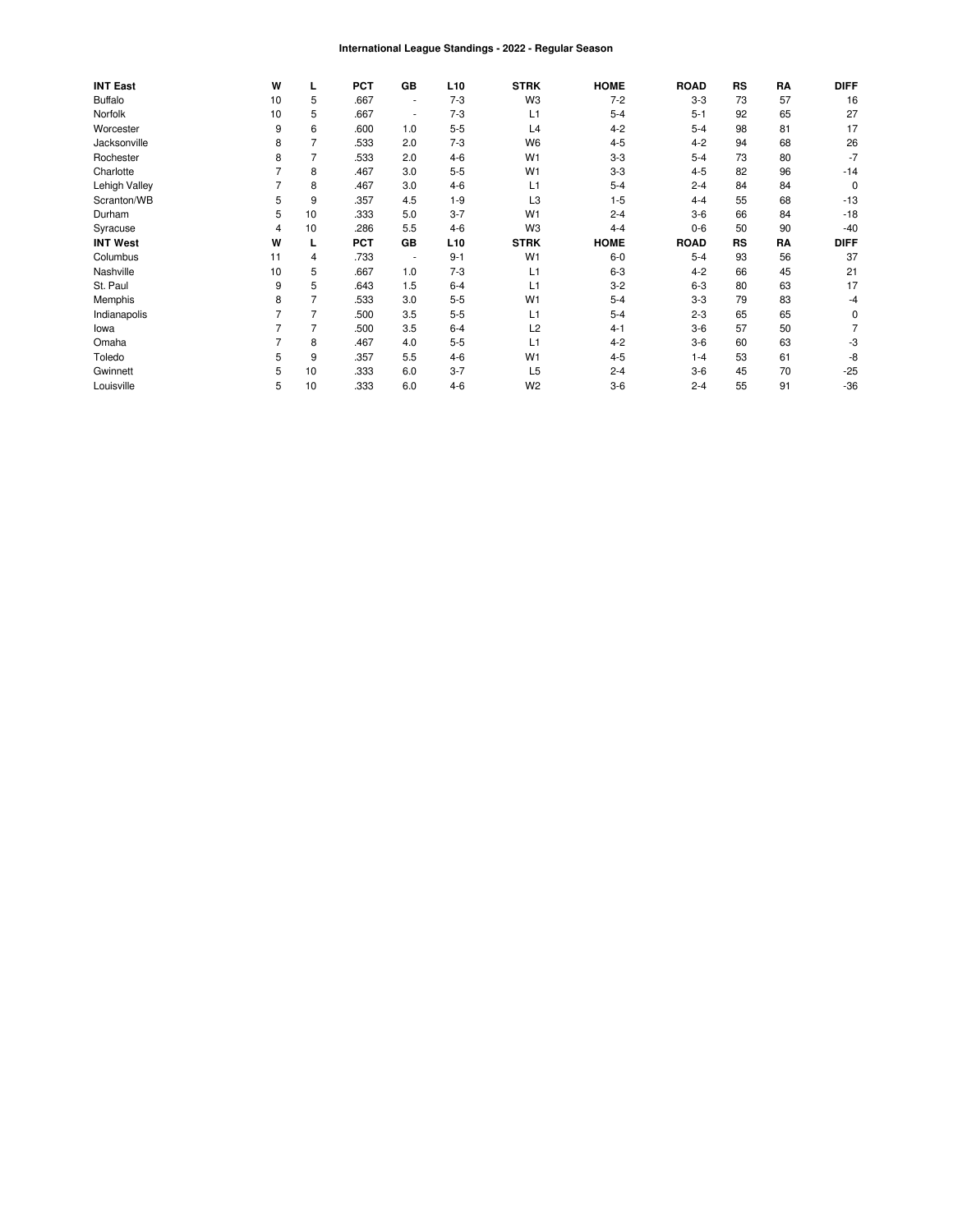#### International League Standings - 2022 - Regular Season

| <b>INT East</b> | W  | L              | <b>PCT</b> | GB                       | L <sub>10</sub> | <b>STRK</b>    | <b>HOME</b> | <b>ROAD</b> | RS | RA | <b>DIFF</b> |
|-----------------|----|----------------|------------|--------------------------|-----------------|----------------|-------------|-------------|----|----|-------------|
| <b>Buffalo</b>  | 10 | 5              | .667       | $\overline{\phantom{a}}$ | $7 - 3$         | W3             | $7-2$       | $3-3$       | 73 | 57 | 16          |
| Norfolk         | 10 | 5              | .667       | ۰.                       | $7 - 3$         | L1             | $5 - 4$     | $5 - 1$     | 92 | 65 | 27          |
| Worcester       | 9  | 6              | .600       | 1.0                      | $5 - 5$         | L4             | $4 - 2$     | $5 - 4$     | 98 | 81 | 17          |
| Jacksonville    | 8  | 7              | .533       | 2.0                      | $7 - 3$         | W <sub>6</sub> | $4 - 5$     | $4 - 2$     | 94 | 68 | 26          |
| Rochester       | 8  | 7              | .533       | 2.0                      | $4 - 6$         | W <sub>1</sub> | $3-3$       | $5 - 4$     | 73 | 80 | $-7$        |
| Charlotte       |    | 8              | .467       | 3.0                      | $5 - 5$         | W <sub>1</sub> | $3-3$       | $4 - 5$     | 82 | 96 | $-14$       |
| Lehigh Valley   |    | 8              | .467       | 3.0                      | $4 - 6$         | L1             | $5 - 4$     | $2 - 4$     | 84 | 84 | 0           |
| Scranton/WB     | 5  | 9              | .357       | 4.5                      | $1 - 9$         | L3             | $1 - 5$     | $4 - 4$     | 55 | 68 | $-13$       |
| Durham          | 5  | 10             | .333       | 5.0                      | $3 - 7$         | W <sub>1</sub> | $2 - 4$     | $3-6$       | 66 | 84 | $-18$       |
| Syracuse        | 4  | 10             | .286       | 5.5                      | $4-6$           | W <sub>3</sub> | $4 - 4$     | $0-6$       | 50 | 90 | $-40$       |
| <b>INT West</b> | W  |                | <b>PCT</b> | GB                       | L <sub>10</sub> | <b>STRK</b>    | <b>HOME</b> | <b>ROAD</b> | RS | RA | <b>DIFF</b> |
| Columbus        | 11 | 4              | .733       | $\overline{\phantom{a}}$ | $9 - 1$         | W <sub>1</sub> | $6-0$       | $5 - 4$     | 93 | 56 | 37          |
| Nashville       | 10 | 5              | .667       | 1.0                      | $7 - 3$         | L1             | $6 - 3$     | $4 - 2$     | 66 | 45 | 21          |
| St. Paul        | 9  | 5              | .643       | 1.5                      | $6 - 4$         | L1             | $3 - 2$     | $6 - 3$     | 80 | 63 | 17          |
| Memphis         | 8  |                | .533       | 3.0                      | $5 - 5$         | W <sub>1</sub> | $5 - 4$     | $3 - 3$     | 79 | 83 | $-4$        |
| Indianapolis    |    | $\overline{7}$ | .500       | 3.5                      | $5 - 5$         | L1             | $5 - 4$     | $2 - 3$     | 65 | 65 | 0           |
| lowa            |    | 7              | .500       | 3.5                      | $6 - 4$         | L <sub>2</sub> | $4 - 1$     | $3-6$       | 57 | 50 |             |
| Omaha           |    | 8              | .467       | 4.0                      | $5 - 5$         | L1             | $4 - 2$     | $3-6$       | 60 | 63 | -3          |
| Toledo          | 5  | 9              | .357       | 5.5                      | $4 - 6$         | W <sub>1</sub> | $4 - 5$     | $1 - 4$     | 53 | 61 | -8          |
| Gwinnett        | 5  | 10             | .333       | 6.0                      | $3 - 7$         | L <sub>5</sub> | $2 - 4$     | $3-6$       | 45 | 70 | $-25$       |
| Louisville      | 5  | 10             | .333       | 6.0                      | $4 - 6$         | W <sub>2</sub> | $3-6$       | $2 - 4$     | 55 | 91 | $-36$       |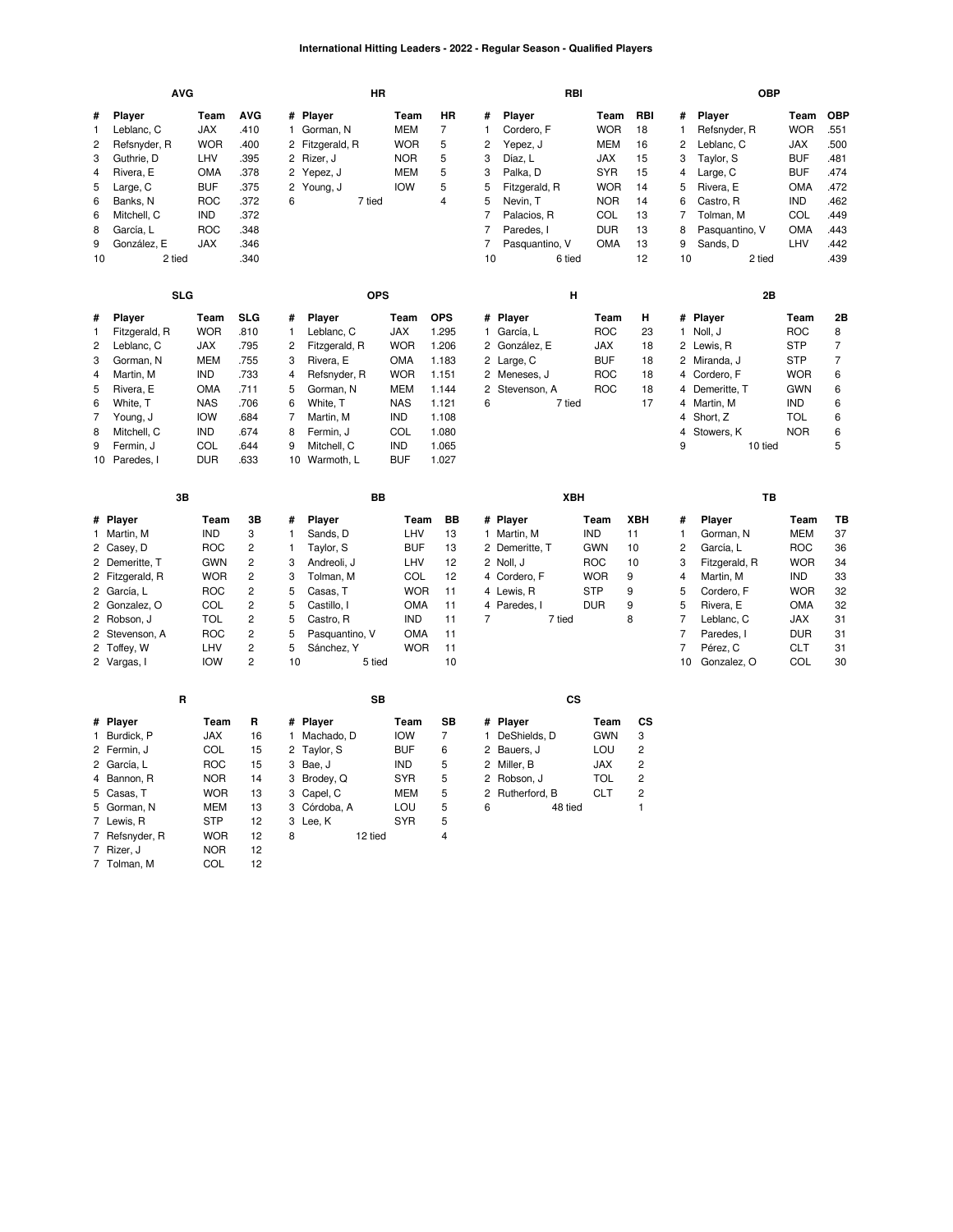### **International Hitting Leaders - 2022 - Regular Season - Qualified Players**

|                                                   | <b>AVG</b>                                                                                                                                                    |                                                                                                                            |                                                                                                                                                        |                                                            | <b>HR</b>                                                                                                                           |                                                                                                       |                                                            |                                                              | RBI                                                                                                 |                                                                                                 |                                               |                                                                           | <b>OBP</b>                                                                                                                             |                                                                                                              |                                                                   |
|---------------------------------------------------|---------------------------------------------------------------------------------------------------------------------------------------------------------------|----------------------------------------------------------------------------------------------------------------------------|--------------------------------------------------------------------------------------------------------------------------------------------------------|------------------------------------------------------------|-------------------------------------------------------------------------------------------------------------------------------------|-------------------------------------------------------------------------------------------------------|------------------------------------------------------------|--------------------------------------------------------------|-----------------------------------------------------------------------------------------------------|-------------------------------------------------------------------------------------------------|-----------------------------------------------|---------------------------------------------------------------------------|----------------------------------------------------------------------------------------------------------------------------------------|--------------------------------------------------------------------------------------------------------------|-------------------------------------------------------------------|
| #<br>1<br>$\overline{c}$<br>3<br>4<br>5<br>6<br>6 | Player<br>Leblanc, C<br>Refsnyder, R<br>Guthrie, D<br>Rivera, E<br>Large, C<br>Banks, N<br>Mitchell, C                                                        | Team<br>JAX<br><b>WOR</b><br>LHV<br>OMA<br><b>BUF</b><br><b>ROC</b><br>IND                                                 | <b>AVG</b><br>.410<br>.400<br>.395<br>.378<br>.375<br>.372<br>.372                                                                                     | #<br>$\mathbf{1}$<br>2<br>2<br>2<br>2<br>6                 | Player<br>Gorman, N<br>Fitzgerald, R<br>Rizer, J<br>Yepez, J<br>Young, J<br>7 tied                                                  | Team<br><b>MEM</b><br>WOR<br><b>NOR</b><br><b>MEM</b><br><b>IOW</b>                                   | HR<br>$\overline{7}$<br>5<br>5<br>5<br>5<br>$\overline{4}$ | #<br>$\mathbf{1}$<br>2<br>3<br>3<br>5<br>5<br>$\overline{7}$ | Player<br>Cordero, F<br>Yepez, J<br>Díaz, L<br>Palka, D<br>Fitzgerald, R<br>Nevin, T<br>Palacios, R | Team<br><b>WOR</b><br><b>MEM</b><br><b>JAX</b><br><b>SYR</b><br><b>WOR</b><br><b>NOR</b><br>COL | RBI<br>18<br>16<br>15<br>15<br>14<br>14<br>13 | #<br>1<br>2<br>3<br>4<br>5<br>6<br>7                                      | Player<br>Refsnyder, R<br>Leblanc, C<br>Taylor, S<br>Large, C<br>Rivera, E<br>Castro, R<br>Tolman, M                                   | Team<br><b>WOR</b><br><b>JAX</b><br><b>BUF</b><br><b>BUF</b><br><b>OMA</b><br><b>IND</b><br><b>COL</b>       | <b>OBP</b><br>551<br>.500<br>.481<br>.474<br>.472<br>.462<br>.449 |
| 8<br>9                                            | García, L                                                                                                                                                     | <b>ROC</b>                                                                                                                 | .348                                                                                                                                                   |                                                            |                                                                                                                                     |                                                                                                       |                                                            | 7<br>7                                                       | Paredes, I                                                                                          | <b>DUR</b>                                                                                      | 13                                            | 8<br>9                                                                    | Pasquantino, V                                                                                                                         | <b>OMA</b>                                                                                                   | .443                                                              |
| 10                                                | González, E<br>2 tied                                                                                                                                         | JAX                                                                                                                        | .346<br>.340                                                                                                                                           |                                                            |                                                                                                                                     |                                                                                                       |                                                            | 10                                                           | Pasquantino, V<br>6 tied                                                                            | <b>OMA</b>                                                                                      | 13<br>12                                      | 10                                                                        | Sands, D<br>2 tied                                                                                                                     | LHV                                                                                                          | .442<br>.439                                                      |
|                                                   |                                                                                                                                                               |                                                                                                                            |                                                                                                                                                        |                                                            |                                                                                                                                     |                                                                                                       |                                                            |                                                              |                                                                                                     |                                                                                                 |                                               |                                                                           |                                                                                                                                        |                                                                                                              |                                                                   |
|                                                   | <b>SLG</b>                                                                                                                                                    |                                                                                                                            |                                                                                                                                                        |                                                            | <b>OPS</b>                                                                                                                          |                                                                                                       |                                                            |                                                              | н                                                                                                   |                                                                                                 |                                               |                                                                           | 2B                                                                                                                                     |                                                                                                              |                                                                   |
| #<br>1<br>2<br>3                                  | Player<br>Fitzgerald, R<br>Leblanc, C<br>Gorman, N                                                                                                            | Team<br><b>WOR</b><br><b>JAX</b><br><b>MEM</b>                                                                             | <b>SLG</b><br>.810<br>.795<br>.755                                                                                                                     | #<br>$\mathbf{1}$<br>2<br>3                                | Player<br>Leblanc, C<br>Fitzgerald, R<br>Rivera, E                                                                                  | Team<br><b>JAX</b><br><b>WOR</b><br><b>OMA</b>                                                        | <b>OPS</b><br>1.295<br>1.206<br>1.183                      |                                                              | # Player<br>1 García, L<br>2 González, E<br>2 Large, C                                              | Team<br><b>ROC</b><br><b>JAX</b><br><b>BUF</b>                                                  | н<br>23<br>18<br>18                           |                                                                           | # Player<br>1 Noll, J<br>2 Lewis, R<br>2 Miranda, J                                                                                    | Team<br><b>ROC</b><br><b>STP</b><br><b>STP</b>                                                               | 2B<br>8<br>$\overline{7}$<br>$\overline{7}$                       |
| 4                                                 | Martin, M                                                                                                                                                     | <b>IND</b>                                                                                                                 | .733                                                                                                                                                   | $\overline{4}$                                             | Refsnyder, R                                                                                                                        | <b>WOR</b>                                                                                            | 1.151                                                      |                                                              | 2 Meneses, J                                                                                        | <b>ROC</b>                                                                                      | 18                                            |                                                                           | 4 Cordero, F                                                                                                                           | <b>WOR</b>                                                                                                   | 6                                                                 |
| 5<br>6<br>7<br>8<br>9                             | Rivera, E<br>White, T<br>Young, J<br>Mitchell, C<br>Fermin, J<br>10 Paredes, I                                                                                | <b>OMA</b><br><b>NAS</b><br><b>IOW</b><br><b>IND</b><br>COL<br><b>DUR</b>                                                  | .711<br>.706<br>.684<br>.674<br>.644<br>.633                                                                                                           | 5<br>6<br>7<br>8<br>9<br>10 <sup>10</sup>                  | Gorman, N<br>White, T<br>Martin, M<br>Fermin, J<br>Mitchell, C<br>Warmoth, L                                                        | <b>MEM</b><br><b>NAS</b><br><b>IND</b><br>COL<br><b>IND</b><br><b>BUF</b>                             | 1.144<br>1.121<br>1.108<br>1.080<br>1.065<br>1.027         | $\overline{2}$<br>6                                          | Stevenson, A<br>7 tied                                                                              | <b>ROC</b>                                                                                      | 18<br>17                                      | 4<br>9                                                                    | 4 Demeritte, T<br>4 Martin, M<br>4 Short, Z<br>Stowers, K<br>10 tied                                                                   | <b>GWN</b><br><b>IND</b><br><b>TOL</b><br><b>NOR</b>                                                         | 6<br>6<br>6<br>6<br>5                                             |
|                                                   |                                                                                                                                                               |                                                                                                                            |                                                                                                                                                        |                                                            |                                                                                                                                     |                                                                                                       |                                                            |                                                              |                                                                                                     |                                                                                                 |                                               |                                                                           |                                                                                                                                        |                                                                                                              |                                                                   |
|                                                   | 3B                                                                                                                                                            |                                                                                                                            |                                                                                                                                                        |                                                            | BB                                                                                                                                  |                                                                                                       |                                                            |                                                              | XBH                                                                                                 |                                                                                                 |                                               |                                                                           | TB                                                                                                                                     |                                                                                                              |                                                                   |
|                                                   | # Player                                                                                                                                                      | Team                                                                                                                       | 3B                                                                                                                                                     | #                                                          | Player                                                                                                                              | Team                                                                                                  | BB                                                         |                                                              | # Player                                                                                            | Team                                                                                            | <b>XBH</b>                                    | #                                                                         | Player                                                                                                                                 | Team                                                                                                         | TB                                                                |
|                                                   | 1 Martin, M<br>2 Casey, D<br>2 Demeritte, T<br>2 Fitzgerald, R<br>2 García, L<br>2 Gonzalez, O<br>2 Robson, J<br>2 Stevenson, A<br>2 Toffey, W<br>2 Vargas, I | <b>IND</b><br><b>ROC</b><br><b>GWN</b><br><b>WOR</b><br><b>ROC</b><br>COL<br><b>TOL</b><br><b>ROC</b><br>LHV<br><b>IOW</b> | 3<br>$\overline{c}$<br>$\overline{2}$<br>$\overline{c}$<br>$\overline{c}$<br>$\overline{2}$<br>$\overline{c}$<br>$\overline{c}$<br>$\overline{c}$<br>2 | $\mathbf{1}$<br>1<br>3<br>3<br>5<br>5<br>5<br>5<br>5<br>10 | Sands, D<br>Taylor, S<br>Andreoli, J<br>Tolman, M<br>Casas, T<br>Castillo, I<br>Castro, R<br>Pasquantino, V<br>Sánchez, Y<br>5 tied | LHV<br><b>BUF</b><br>LHV<br>COL<br><b>WOR</b><br><b>OMA</b><br><b>IND</b><br><b>OMA</b><br><b>WOR</b> | 13<br>13<br>12<br>12<br>11<br>11<br>11<br>11<br>11<br>10   | 7                                                            | 1 Martin, M<br>2 Demeritte, T<br>2 Noll, J<br>4 Cordero, F<br>4 Lewis, R<br>4 Paredes, I<br>7 tied  | <b>IND</b><br><b>GWN</b><br><b>ROC</b><br><b>WOR</b><br><b>STP</b><br><b>DUR</b>                | 11<br>10<br>10<br>9<br>9<br>9<br>8            | 1<br>2<br>3<br>4<br>5<br>5<br>7<br>$\overline{7}$<br>$\overline{7}$<br>10 | Gorman, N<br>García, L<br>Fitzgerald, R<br>Martin, M<br>Cordero, F<br>Rivera, E<br>Leblanc, C<br>Paredes, I<br>Pérez, C<br>Gonzalez, O | <b>MEM</b><br>ROC<br><b>WOR</b><br>IND<br><b>WOR</b><br><b>OMA</b><br>JAX<br><b>DUR</b><br><b>CLT</b><br>COL | 37<br>36<br>34<br>33<br>32<br>32<br>31<br>31<br>31<br>30          |
|                                                   | R                                                                                                                                                             |                                                                                                                            |                                                                                                                                                        |                                                            | <b>SB</b>                                                                                                                           |                                                                                                       |                                                            |                                                              | CS                                                                                                  |                                                                                                 |                                               |                                                                           |                                                                                                                                        |                                                                                                              |                                                                   |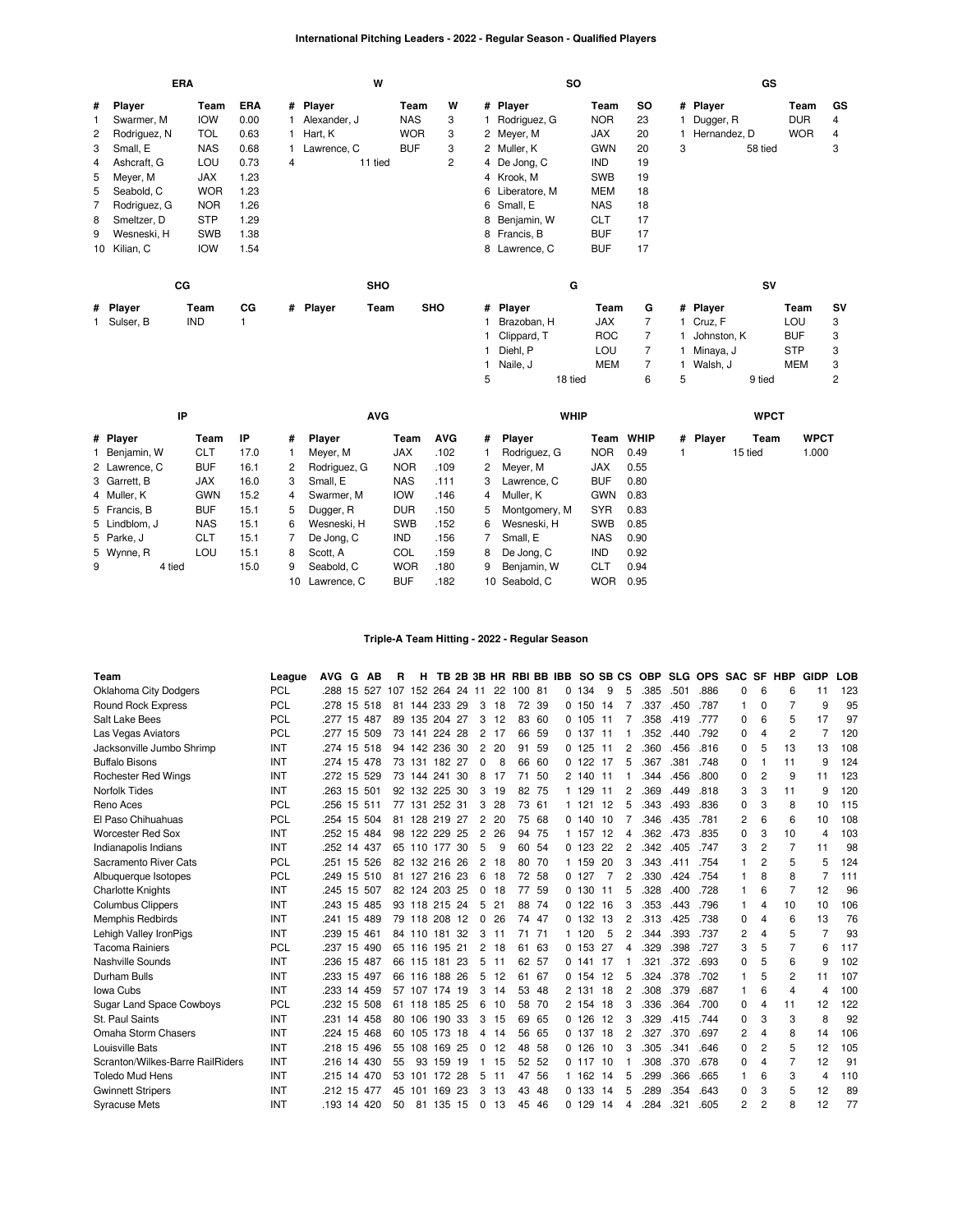### **International Pitching Leaders - 2022 - Regular Season - Qualified Players**

| ERA |              |            |      |   |               | W          |            |                |   |                 | <b>SO</b>   |            |                |   |                | GS          |             |                |
|-----|--------------|------------|------|---|---------------|------------|------------|----------------|---|-----------------|-------------|------------|----------------|---|----------------|-------------|-------------|----------------|
| #   | Player       | Team       | ERA  |   | # Player      |            | Team       | W              |   | # Player        |             | Team       | SO             |   | # Player       |             | Team        | GS             |
| 1   | Swarmer, M   | <b>IOW</b> | 0.00 |   | Alexander, J  |            | <b>NAS</b> | 3              |   | 1 Rodriguez, G  |             | <b>NOR</b> | 23             |   | 1 Dugger, R    |             | <b>DUR</b>  | 4              |
| 2   | Rodriguez, N | <b>TOL</b> | 0.63 |   | Hart, K       |            | <b>WOR</b> | 3              |   | 2 Meyer, M      |             | <b>JAX</b> | 20             |   | 1 Hernandez, D |             | <b>WOR</b>  | 4              |
| 3   | Small, E     | <b>NAS</b> | 0.68 |   | 1 Lawrence, C |            | <b>BUF</b> | 3              |   | 2 Muller, K     |             | <b>GWN</b> | 20             | 3 |                | 58 tied     |             | 3              |
| 4   | Ashcraft, G  | LOU        | 0.73 | 4 |               | 11 tied    |            | $\overline{c}$ |   | 4 De Jong, C    |             | IND        | 19             |   |                |             |             |                |
| 5   | Meyer, M     | <b>JAX</b> | 1.23 |   |               |            |            |                |   | 4 Krook, M      |             | SWB        | 19             |   |                |             |             |                |
| 5   | Seabold, C   | <b>WOR</b> | 1.23 |   |               |            |            |                |   | 6 Liberatore, M |             | <b>MEM</b> | 18             |   |                |             |             |                |
| 7   | Rodriguez, G | <b>NOR</b> | 1.26 |   |               |            |            |                |   | 6 Small, E      |             | <b>NAS</b> | 18             |   |                |             |             |                |
| 8   | Smeltzer, D  | <b>STP</b> | 1.29 |   |               |            |            |                |   | 8 Benjamin, W   |             | <b>CLT</b> | 17             |   |                |             |             |                |
| 9   | Wesneski, H  | <b>SWB</b> | 1.38 |   |               |            |            |                |   | 8 Francis, B    |             | <b>BUF</b> | 17             |   |                |             |             |                |
|     | 10 Kilian, C | <b>IOW</b> | 1.54 |   |               |            |            |                |   | 8 Lawrence, C   |             | <b>BUF</b> | 17             |   |                |             |             |                |
|     |              | cc         |      |   |               | <b>SHO</b> |            |                |   |                 | G           |            |                |   |                | SV          |             |                |
|     | # Player     | Team       | CG   |   | # Player      | Team       | SHO        |                |   | # Player        |             | Team       | G              |   | # Player       |             | Team        | SV             |
|     | 1 Sulser, B  | <b>IND</b> | 1.   |   |               |            |            |                |   | Brazoban, H     |             | JAX        | $\overline{7}$ |   | 1 Cruz, F      |             | LOU         | 3              |
|     |              |            |      |   |               |            |            |                |   | Clippard, T     |             | <b>ROC</b> | 7              |   | 1 Johnston, K  |             | <b>BUF</b>  | 3              |
|     |              |            |      |   |               |            |            |                | 1 | Diehl, P        |             | LOU        | 7              |   | 1 Minaya, J    |             | <b>STP</b>  | 3              |
|     |              |            |      |   |               |            |            |                | 1 | Naile, J        |             | <b>MEM</b> | 7              |   | 1 Walsh, J     |             | <b>MEM</b>  | 3              |
|     |              |            |      |   |               |            |            |                | 5 |                 | 18 tied     |            | 6              | 5 |                | 9 tied      |             | $\overline{c}$ |
|     |              | IP         |      |   |               | <b>AVG</b> |            |                |   |                 | <b>WHIP</b> |            |                |   |                | <b>WPCT</b> |             |                |
|     | # Plaver     | Team       | IP   | # | <b>Player</b> |            | Team       | <b>AVG</b>     | # | <b>Player</b>   |             | Team WHIP  |                |   | # Plaver       | Team        | <b>WPCT</b> |                |

|   | # Player      | Team       | ΙP   | #  | Player         | Team       | <b>AVG</b> | #              | Player          |            | Team WHIP | # Player | Team    | <b>WPCT</b> |
|---|---------------|------------|------|----|----------------|------------|------------|----------------|-----------------|------------|-----------|----------|---------|-------------|
|   | 1 Benjamin, W | <b>CLT</b> | 17.0 |    | Meyer, M       | JAX        | .102       |                | Rodriguez, G    | NOR.       | 0.49      |          | 15 tied | 1.000       |
|   | 2 Lawrence, C | BUF        | 16.1 | 2  | Rodriguez, G   | <b>NOR</b> | .109       |                | 2 Meyer, M      | <b>JAX</b> | 0.55      |          |         |             |
|   | 3 Garrett, B  | <b>JAX</b> | 16.0 | 3  | Small, E       | <b>NAS</b> | .111       |                | 3 Lawrence, C   | <b>BUF</b> | 0.80      |          |         |             |
|   | 4 Muller, K   | <b>GWN</b> | 15.2 | 4  | Swarmer, M     | <b>IOW</b> | .146       | $\overline{4}$ | Muller. K       | GWN        | 0.83      |          |         |             |
|   | 5 Francis, B  | <b>BUF</b> | 15.1 | 5. | Dugger, R      | DUR        | .150       |                | 5 Montgomery, M | <b>SYR</b> | 0.83      |          |         |             |
|   | 5 Lindblom, J | <b>NAS</b> | 15.1 | 6  | Wesneski, H    | <b>SWB</b> | .152       | 6              | Wesneski, H     | <b>SWB</b> | 0.85      |          |         |             |
|   | 5 Parke, J    | <b>CLT</b> | 15.1 |    | De Jong, C     | <b>IND</b> | .156       |                | Small, E        | <b>NAS</b> | 0.90      |          |         |             |
|   | 5 Wynne, R    | LOU        | 15.1 | 8  | Scott, A       | COL        | .159       |                | 8 De Jong, C    | <b>IND</b> | 0.92      |          |         |             |
| 9 | 4 tied        |            | 15.0 | 9  | Seabold, C     | <b>WOR</b> | .180       | 9              | Benjamin, W     | <b>CLT</b> | 0.94      |          |         |             |
|   |               |            |      |    | 10 Lawrence, C | <b>BUF</b> | .182       |                | 10 Seabold, C   | WOR        | 0.95      |          |         |             |

# **Triple-A Team Hitting - 2022 - Regular Season**

| Team                             | League     | <b>AVG</b>  | G  | AВ  | R   | н             |        |     |                |     | TB 2B 3B HR RBI BB IBB |       |   |          | SO SB CS |                | <b>OBP</b> |      | SLG OPS | <b>SAC</b> | <b>SF</b>      | <b>HBP</b>     | <b>GIDP</b>    | <b>LOB</b> |
|----------------------------------|------------|-------------|----|-----|-----|---------------|--------|-----|----------------|-----|------------------------|-------|---|----------|----------|----------------|------------|------|---------|------------|----------------|----------------|----------------|------------|
| <b>Oklahoma City Dodgers</b>     | <b>PCL</b> | .288        | 15 | 527 | 107 | 152           | 264    | 24  | 11             | 22  | 100 81                 |       | 0 | 134      | 9        | 5              | 385        | .501 | .886    | 0          | 6              | 6              | 11             | 123        |
| Round Rock Express               | <b>PCL</b> | .278        | 15 | 518 | 81  | 144           | 233 29 |     | 3              | 18  |                        | 72 39 |   | 0 150    | 14       |                | .337       | .450 | .787    | 1          | 0              | 7              | g              | 95         |
| Salt Lake Bees                   | <b>PCL</b> | .277        | 15 | 487 | 89  | 135           | 204    | 27  | 3              | 12  | 83                     | -60   |   | 0.105    | 11       |                | .358       | .419 | .777    | 0          | 6              | 5              | 17             | 97         |
| Las Vegas Aviators               | <b>PCL</b> | .277        | 15 | 509 |     | 73 141        | 224    | 28  | $\overline{2}$ | -17 | 66                     | -59   |   | 0.137    | 11       |                | .352       | .440 | .792    | 0          |                | $\overline{2}$ | 7              | 120        |
| Jacksonville Jumbo Shrimp        | INT        | .274        | 15 | 518 |     | 94 142 236 30 |        |     | 2              | 20  | 91                     | 59    |   | 0, 125   | 11       |                | .360       | .456 | .816    | 0          | 5              | 13             | 13             | 108        |
| <b>Buffalo Bisons</b>            | INT        | .274        | 15 | 478 | 73  | 131           | 182    | 27  | 0              | 8   | 66                     | 60    |   | 0 122    | 17       | 5              | .367       | .381 | .748    | 0          |                | 11             | g              | 124        |
| <b>Rochester Red Wings</b>       | INT        | .272 15     |    | 529 |     | 73 144        | 241    | 30  | 8              | 17  | 71                     | 50    |   | 2 140 11 |          |                | 344        | .456 | .800    | 0          | 2              | 9              | 11             | 123        |
| <b>Norfolk Tides</b>             | INT        | .263        | 15 | 501 | 92  | 132           | 225    | -30 | 3              | 19  | 82                     | 75    |   | 1 129    | 11       | 2              | .369       | .449 | .818    | 3          | 3              | 11             | 9              | 120        |
| Reno Aces                        | <b>PCL</b> | .256        | 15 | 511 | 77  | 131           | 252 31 |     | 3              | 28  |                        | 73 61 |   | 1 121    | 12       | 5              | .343       | .493 | .836    | $\Omega$   | 3              | 8              | 10             | 115        |
| El Paso Chihuahuas               | <b>PCL</b> | .254 15     |    | 504 | 81  | 128 219 27    |        |     | $\overline{2}$ | 20  | 75                     | 68    |   | 0,140,10 |          |                | .346       | .435 | .781    | 2          | 6              | 6              | 10             | 108        |
| <b>Worcester Red Sox</b>         | INT        | .252        | 15 | 484 | 98  | 122           | 229    | 25  | $\overline{c}$ | 26  | 94                     | 75    |   | 1 157    | 12       | Δ              | 362        | .473 | .835    | 0          | 3              | 10             | 4              | 103        |
| Indianapolis Indians             | <b>INT</b> | .252 14 437 |    |     |     | 65 110 177    |        | 30  | 5              | 9   |                        | 60 54 |   | 0.123    | 22       | 2              | .342       | .405 | .747    | 3          | $\overline{c}$ | $\overline{7}$ | 11             | 98         |
| Sacramento River Cats            | <b>PCL</b> | .251        | 15 | 526 | 82  | 132           | 216    | 26  | $\overline{2}$ | 18  | 80                     | 70    |   | 1 159    | 20       | 3              | .343       | .411 | .754    |            | 2              | 5              | 5              | 124        |
| Albuquerque Isotopes             | <b>PCL</b> | .249        | 15 | 510 | 81  | 127           | 216 23 |     | 6              | 18  |                        | 72 58 |   | 0.127    |          | 2              | .330       | .424 | .754    |            | 8              | 8              | $\overline{7}$ | 111        |
| <b>Charlotte Knights</b>         | INT        | .245 15     |    | 507 |     | 82 124        | 203 25 |     | 0              | 18  | 77                     | 59    |   | 0,130    | 11       | 5              | .328       | .400 | .728    |            | 6              | $\overline{7}$ | 12             | 96         |
| <b>Columbus Clippers</b>         | INT        | .243 15     |    | 485 | 93  | 118           | 215 24 |     | 5              | 21  | 88                     | -74   |   | 0,122    | 16       | 3              | .353       | .443 | .796    |            | 4              | 10             | 10             | 106        |
| <b>Memphis Redbirds</b>          | <b>INT</b> | .241        | 15 | 489 |     | 79 118        | 208 12 |     | 0              | 26  |                        | 74 47 |   | 0.132    | 13       | 2              | .313       | .425 | .738    | 0          | 4              | 6              | 13             | 76         |
| Lehigh Valley IronPigs           | INT        | .239        | 15 | 461 |     | 84 110        | 181    | 32  | 3              | 11  | 71                     | 71    |   | 1 120    | 5        | $\overline{c}$ | 344        | .393 | .737    | 2          | 4              | 5              | 7              | 93         |
| <b>Tacoma Rainiers</b>           | PCL        | .237        | 15 | 490 |     | 65 116        | 195 21 |     | 2              | 18  | 61                     | -63   |   | 0.153    | -27      | Δ              | .329       | .398 | .727    | 3          | 5              | $\overline{7}$ | 6              | 117        |
| Nashville Sounds                 | INT        | .236        | 15 | 487 | 66  | 115           | 181    | 23  | 5              | 11  |                        | 62 57 | 0 | 141      | 17       |                | 321        | .372 | .693    | 0          |                | 6              | 9              | 102        |
| Durham Bulls                     | INT        | .233        | 15 | 497 | 66  | 116           | 188    | 26  | 5              | 12  | 61                     | 67    |   | 0.154    | 12       | 5              | .324       | .378 | .702    |            | 5              | 2              | 11             | 107        |
| Iowa Cubs                        | INT        | .233        | 14 | 459 | 57  | 107 174 19    |        |     | 3              | 14  | 53                     | 48    |   | 2 131    | 18       |                | .308       | .379 | .687    | 1          | 6              | $\overline{4}$ | 4              | 100        |
| <b>Sugar Land Space Cowboys</b>  | <b>PCL</b> | .232        | 15 | 508 | 61  | 118           | 185    | 25  | 6              | 10  | 58                     | 70    |   | 2 154    | 18       | 3              | .336       | .364 | .700    | 0          | 4              | 11             | 12             | 122        |
| St. Paul Saints                  | INT        | .231        | 14 | 458 | 80  | 106           | 190 33 |     | 3              | 15  | 69                     | 65    |   | 0,126    | 12       | 3              | .329       | .415 | .744    | 0          | 3              | 3              | 8              | 92         |
| Omaha Storm Chasers              | <b>INT</b> | .224        | 15 | 468 | 60  | 105           | 173    | 18  | 4              | 14  | 56                     | 65    |   | 0.137    | 18       | 2              | .327       | .370 | .697    | 2          | Δ              | 8              | 14             | 106        |
| Louisville Bats                  | INT        | .218        | 15 | 496 | 55  | 108           | 169    | 25  | 0              | 12  | 48                     | 58    |   | 0.126    | 10       | 3              | .305       | .341 | .646    | 0          | 2              | 5              | 12             | 105        |
| Scranton/Wilkes-Barre RailRiders | <b>INT</b> | .216        | 14 | 430 | 55  | 93            | 159 19 |     |                | 15  |                        | 52 52 |   | 0.117    | 10       |                | .308       | .370 | .678    | 0          | 4              | 7              | 12             | 91         |
| <b>Toledo Mud Hens</b>           | <b>INT</b> | .215        | 14 | 470 | 53  | 101           | 172    | 28  | 5              | 11  | 47                     | 56    |   | 1 162    | 14       | 5              | .299       | .366 | .665    |            | 6              | 3              | $\overline{4}$ | 110        |
| <b>Gwinnett Stripers</b>         | INT        | .212        | 15 | 477 | 45  | 101           | 169    | 23  | 3              | 13  | 43                     | -48   |   | 0.133    | 14       | 5              | .289       | .354 | .643    | $\Omega$   | 3              | 5              | 12             | 89         |
| <b>Syracuse Mets</b>             | INT        | .193 14 420 |    |     | 50  | 81            | 135 15 |     | $\Omega$       | 13  | 45                     | 46    |   | 0.129    | 14       | Δ              | .284       | .321 | .605    | 2          | $\overline{c}$ | 8              | 12             | 77         |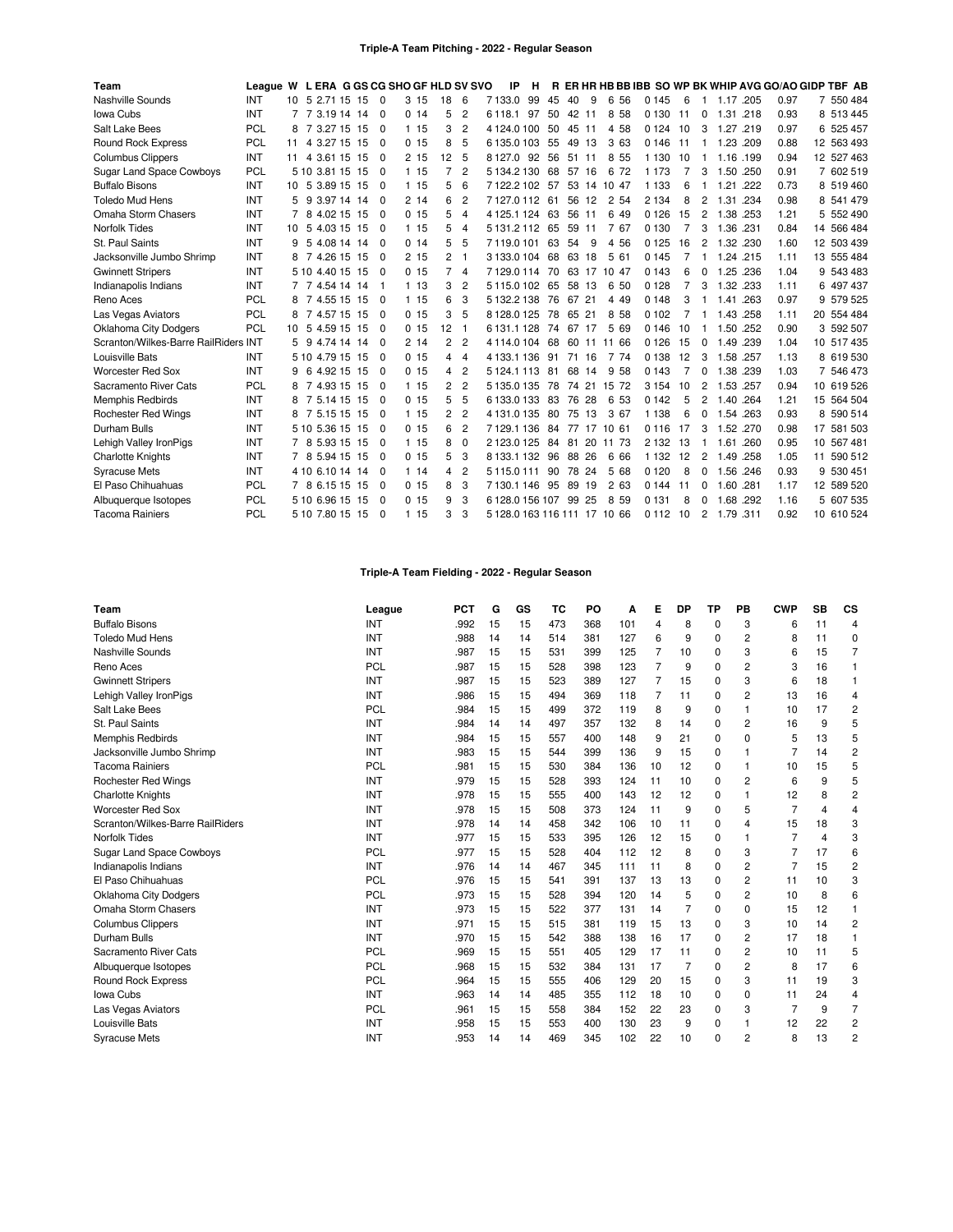#### **Triple-A Team Pitching - 2022 - Regular Season**

| Team                                 | League W L ERA G GS CG SHO GF HLD SV SVO |                 |    |                 |          |       |                |                | IP                           | н  |          |       |             |         |                |                |           |      |      | R ER HR HB BB IBB SO WP BK WHIP AVG GO/AO GIDP TBF AB |
|--------------------------------------|------------------------------------------|-----------------|----|-----------------|----------|-------|----------------|----------------|------------------------------|----|----------|-------|-------------|---------|----------------|----------------|-----------|------|------|-------------------------------------------------------|
| Nashville Sounds                     | INT                                      |                 |    | 10 5 2.71 15 15 | $\Omega$ | 3 15  | 18             | 6              | 7133.0<br>99                 | 45 | 40       | 9     | 6<br>56     | 0 1 4 5 | 6              |                | 1.17      | .205 | 0.97 | 7 550 484                                             |
| Iowa Cubs                            | INT                                      |                 |    | 7 3.19 14 14    | 0        | 0.14  | 5              | $\overline{c}$ | 6 118.1 97                   | 50 |          | 42 11 | 8 5 8       | 0 1 3 0 | 11             | 0              | 1.31      | .218 | 0.93 | 8 513 445                                             |
| Salt Lake Bees                       | PCL                                      | 8               |    | 7 3.27 15 15    | - 0      | 1 15  | 3              | $\overline{c}$ | 4 1 2 4 0 1 0 0              | 50 |          | 45 11 | 4 58        | 0 1 2 4 | 10             | 3              | 1.27      | .219 | 0.97 | 6 525 457                                             |
| Round Rock Express                   | <b>PCL</b>                               | 11              |    | 4 3.27 15 15    | $\Omega$ | 0.15  | 8              | 5              | 6135.0103                    | 55 |          | 49 13 | 3 63        | 0 1 4 6 | -11            | $\mathbf{1}$   | 1.23 .209 |      | 0.88 | 12 563 493                                            |
| <b>Columbus Clippers</b>             | INT                                      | 11              |    | 4 3.61 15 15    | $\Omega$ | 2 15  | 12             | 5              | 8127.0<br>92                 | 56 |          | 51 11 | 8<br>55     | 1 1 3 0 | 10             | -1             | 1.16      | .199 | 0.94 | 12 527 463                                            |
| <b>Sugar Land Space Cowboys</b>      | PCL                                      |                 |    | 5 10 3.81 15 15 | $\Omega$ | 115   |                | $\overline{2}$ | 5 134 2 130                  | 68 | 57       | 16    | 72<br>6     | 1 1 7 3 | $\overline{7}$ | 3              | 1.50 .250 |      | 0.91 | 7 602 519                                             |
| <b>Buffalo Bisons</b>                | INT                                      |                 |    | 10 5 3.89 15 15 | - 0      | 115   | 5              | 6              | 7122.2102                    | 57 |          |       | 53 14 10 47 | 1 1 3 3 | 6              |                | 1.21      | .222 | 0.73 | 8 519 460                                             |
| <b>Toledo Mud Hens</b>               | INT                                      | 5               |    | 9 3.97 14 14    | 0        | 214   | 6              | $\overline{c}$ | 7127.0112                    | 61 |          | 56 12 | 2 54        | 2 1 3 4 | 8              | 2              | 1.31      | .234 | 0.98 | 8 541 479                                             |
| Omaha Storm Chasers                  | INT                                      |                 |    | 8 4.02 15 15    | $\Omega$ | 0.15  | 5              | $\overline{4}$ | 4 1 2 5 1 1 2 4              | 63 |          | 56 11 | 6 4 9       | 0 1 2 6 | 15             | $\overline{2}$ | 1.38 .253 |      | 1.21 | 5 552 490                                             |
| Norfolk Tides                        | INT                                      | 10              |    | 5 4.03 15 15    | - 0      | 115   | 5              | 4              | 5 131.2 112                  | 65 |          | 59 11 | 7 67        | 0 1 3 0 | 7              | 3              | 1.36 .231 |      | 0.84 | 14 566 484                                            |
| St. Paul Saints                      | INT                                      | 9               |    | 5 4.08 14 14    | - 0      | 0.14  | 5              | 5              | 7119.0101                    | 63 | 54       | 9     | 4 5 6       | 0 1 2 5 | 16             | $\overline{c}$ | 1.32      | .230 | 1.60 | 12 503 439                                            |
| Jacksonville Jumbo Shrimp            | INT                                      | 8               |    | 7 4.26 15 15    | $\Omega$ | 2 15  | 2              | 1              | 3 133.0 104                  | 68 |          | 63 18 | 5 61        | 0 1 4 5 | $\overline{7}$ |                | 1.24 .215 |      | 1.11 | 13 555 484                                            |
| <b>Gwinnett Stripers</b>             | INT                                      |                 |    | 5 10 4 40 15 15 | $\Omega$ | 0.15  | 7              | $\overline{4}$ | 7129.0114                    | 70 |          |       | 63 17 10 47 | 0 1 4 3 | 6              | $\Omega$       | 1.25      | .236 | 1.04 | 9 543 483                                             |
| Indianapolis Indians                 | INT                                      |                 |    | 7 4.54 14 14    |          | 1 13  | 3              | $\overline{2}$ | 5115.0102                    | 65 |          | 58 13 | 6<br>50     | 0 1 2 8 | $\overline{7}$ | 3              | 1.32 .233 |      | 1.11 | 6 497 437                                             |
| Reno Aces                            | <b>PCL</b>                               | 8               |    | 7 4.55 15 15    | - 0      | 1 15  | 6              | 3              | 5 132.2 138                  | 76 | 67 21    |       | 4 4 9       | 0 1 4 8 | 3              |                | 1.41      | .263 | 0.97 | 9 579 525                                             |
| Las Vegas Aviators                   | PCL                                      | 8               |    | 7 4.57 15 15    | $\Omega$ | 0.15  | 3              | -5             | 8128.0125                    | 78 |          | 65 21 | 8<br>58     | 0 1 0 2 | 7              | 1              | 1.43      | .258 | 1.11 | 20 554 484                                            |
| <b>Oklahoma City Dodgers</b>         | <b>PCL</b>                               | 10 <sup>1</sup> |    | 5 4.59 15 15    | $\Omega$ | 0.15  | 12             | -1             | 6131.1128                    |    | 74 67 17 |       | 5 69        | 0 1 4 6 | 10             | -1             | 1.50 .252 |      | 0.90 | 3 592 507                                             |
| Scranton/Wilkes-Barre RailRiders INT |                                          | 5               | -9 | 4.74 14 14      | $\Omega$ | 214   | $\overline{c}$ | $\overline{2}$ | 4114.0104                    | 68 |          | 60 11 | 11 66       | 0 1 2 6 | 15             | $\Omega$       | 1.49      | .239 | 1.04 | 10 517 435                                            |
| Louisville Bats                      | INT                                      |                 |    | 5 10 4.79 15 15 | $\Omega$ | 0.15  | 4              | $\overline{4}$ | 4 133 1 136                  | 91 | 71       | 16    | 7<br>74     | 0 1 3 8 | 12             | 3              | 1.58 .257 |      | 1.13 | 8 619 530                                             |
| <b>Worcester Red Sox</b>             | INT                                      | 9               |    | 6 4.92 15 15    | $\Omega$ | 0.15  | 4              | $\overline{c}$ | 5 1 2 4 1 1 1 1 3            | 81 |          | 68 14 | 9<br>58     | 0 1 4 3 | $\overline{7}$ | 0              | 1.38 .239 |      | 1.03 | 7 546 473                                             |
| Sacramento River Cats                | <b>PCL</b>                               | 8               |    | 7 4.93 15 15    | $\Omega$ | 1 15  | 2              | $\overline{c}$ | 5 135.0 135                  | 78 | 74       | 21    | 15<br>72    | 3 1 5 4 | 10             | $\overline{c}$ | 1.53 .257 |      | 0.94 | 10 619 526                                            |
| <b>Memphis Redbirds</b>              | INT                                      | 8               |    | 7 5.14 15 15    | $\Omega$ | 0, 15 | 5              | 5              | 6133.0133                    | 83 |          | 76 28 | 6<br>53     | 0 1 4 2 | 5              | 2              | 1.40      | .264 | 1.21 | 15 564 504                                            |
| <b>Rochester Red Wings</b>           | INT                                      | 8               |    | 7 5.15 15 15    | - 0      | 1 15  | 2              | $\overline{c}$ | 4 131.0 135                  | 80 |          | 75 13 | 3 67        | 1 1 3 8 | 6              | 0              | 1.54      | .263 | 0.93 | 8 590 514                                             |
| Durham Bulls                         | INT                                      |                 |    | 5 10 5.36 15 15 | $\Omega$ | 0.15  | 6              | $\overline{c}$ | 7129.1136                    | 84 |          |       | 77 17 10 61 | 0 1 1 6 | 17             | 3              | 1.52      | .270 | 0.98 | 17 581 503                                            |
| Lehigh Valley IronPigs               | INT                                      |                 |    | 8 5.93 15 15    | - 0      | 1 15  | 8              | $\Omega$       | 2123.0125                    | 84 | 81       |       | 20 11 73    | 2 1 3 2 | 13             |                | 1.61      | .260 | 0.95 | 10 567 481                                            |
| <b>Charlotte Knights</b>             | INT                                      | 7               |    | 8 5.94 15 15    | $\Omega$ | 0.15  | 5              | 3              | 8133.1132                    | 96 | 88       | 26    | 6<br>66     | 1 1 3 2 | 12             | $\overline{2}$ | 1.49      | .258 | 1.05 | 11 590 512                                            |
| <b>Syracuse Mets</b>                 | INT                                      |                 |    | 4 10 6 10 14 14 | - 0      | 114   | 4              | $\overline{c}$ | 5115.0111                    | 90 |          | 78 24 | 5<br>68     | 0 1 2 0 | 8              | 0              | 1.56      | .246 | 0.93 | 9 530 451                                             |
| El Paso Chihuahuas                   | <b>PCL</b>                               |                 |    | 8 6.15 15 15    | - 0      | 0.15  | 8              | 3              | 7130.1146                    | 95 |          | 89 19 | 2 63        | 0 1 4 4 | 11             | 0              | 1.60 .281 |      | 1.17 | 12 589 520                                            |
| Albuquerque Isotopes                 | <b>PCL</b>                               |                 |    | 5 10 6.96 15 15 | 0        | 0, 15 | 9              | 3              | 6 128.0 156 107 99           |    |          | 25    | 8<br>59     | 0 1 3 1 | 8              | $\Omega$       | 1.68      | .292 | 1.16 | 5 607 535                                             |
| <b>Tacoma Rainiers</b>               | PCL                                      |                 |    | 5 10 7.80 15 15 | $\Omega$ | 1 15  | 3              | 3              | 5 128.0 163 116 111 17 10 66 |    |          |       |             | 0 1 1 2 | 10             | $\overline{2}$ | 1.79 .311 |      | 0.92 | 10 610 524                                            |

# **Triple-A Team Fielding - 2022 - Regular Season**

| Team                             | League     | <b>PCT</b> | G  | GS | TC  | PO  | A   | Е  | DP             | TP       | PB          | <b>CWP</b>     | <b>SB</b>      | CS             |
|----------------------------------|------------|------------|----|----|-----|-----|-----|----|----------------|----------|-------------|----------------|----------------|----------------|
| <b>Buffalo Bisons</b>            | INT        | .992       | 15 | 15 | 473 | 368 | 101 | 4  | 8              | 0        | 3           | 6              | 11             | 4              |
| <b>Toledo Mud Hens</b>           | INT        | .988       | 14 | 14 | 514 | 381 | 127 | 6  | 9              | 0        | 2           | 8              | 11             | 0              |
| Nashville Sounds                 | INT        | .987       | 15 | 15 | 531 | 399 | 125 | 7  | 10             | 0        | 3           | 6              | 15             | $\overline{7}$ |
| Reno Aces                        | PCL        | .987       | 15 | 15 | 528 | 398 | 123 | 7  | 9              | $\Omega$ | 2           | 3              | 16             | 1              |
| <b>Gwinnett Stripers</b>         | INT        | .987       | 15 | 15 | 523 | 389 | 127 | 7  | 15             | 0        | 3           | 6              | 18             |                |
| Lehigh Valley IronPigs           | INT        | .986       | 15 | 15 | 494 | 369 | 118 | 7  | 11             | 0        | 2           | 13             | 16             | 4              |
| Salt Lake Bees                   | PCL        | .984       | 15 | 15 | 499 | 372 | 119 | 8  | 9              | $\Omega$ |             | 10             | 17             | $\overline{2}$ |
| St. Paul Saints                  | INT        | .984       | 14 | 14 | 497 | 357 | 132 | 8  | 14             | $\Omega$ | 2           | 16             | 9              | 5              |
| Memphis Redbirds                 | INT        | .984       | 15 | 15 | 557 | 400 | 148 | 9  | 21             | $\Omega$ | $\Omega$    | 5              | 13             | 5              |
| Jacksonville Jumbo Shrimp        | INT        | .983       | 15 | 15 | 544 | 399 | 136 | 9  | 15             | $\Omega$ |             | 7              | 14             | $\overline{2}$ |
| <b>Tacoma Rainiers</b>           | PCL        | .981       | 15 | 15 | 530 | 384 | 136 | 10 | 12             | 0        |             | 10             | 15             | 5              |
| <b>Rochester Red Wings</b>       | INT        | .979       | 15 | 15 | 528 | 393 | 124 | 11 | 10             | $\Omega$ | 2           | 6              | 9              | 5              |
| <b>Charlotte Knights</b>         | INT        | .978       | 15 | 15 | 555 | 400 | 143 | 12 | 12             | 0        | 1           | 12             | 8              | $\overline{c}$ |
| <b>Worcester Red Sox</b>         | INT        | .978       | 15 | 15 | 508 | 373 | 124 | 11 | 9              | 0        | 5           | $\overline{7}$ | $\overline{4}$ | $\overline{4}$ |
| Scranton/Wilkes-Barre RailRiders | INT        | .978       | 14 | 14 | 458 | 342 | 106 | 10 | 11             | $\Omega$ | 4           | 15             | 18             | 3              |
| Norfolk Tides                    | INT        | .977       | 15 | 15 | 533 | 395 | 126 | 12 | 15             | 0        |             | 7              | $\overline{4}$ | 3              |
| <b>Sugar Land Space Cowboys</b>  | PCL        | .977       | 15 | 15 | 528 | 404 | 112 | 12 | 8              | 0        | 3           | 7              | 17             | 6              |
| Indianapolis Indians             | INT        | .976       | 14 | 14 | 467 | 345 | 111 | 11 | 8              | 0        | 2           | $\overline{7}$ | 15             | $\overline{c}$ |
| El Paso Chihuahuas               | PCL        | .976       | 15 | 15 | 541 | 391 | 137 | 13 | 13             | $\Omega$ | 2           | 11             | 10             | 3              |
| Oklahoma City Dodgers            | PCL        | .973       | 15 | 15 | 528 | 394 | 120 | 14 | 5              | $\Omega$ | 2           | 10             | 8              | 6              |
| Omaha Storm Chasers              | INT        | .973       | 15 | 15 | 522 | 377 | 131 | 14 | $\overline{7}$ | $\Omega$ | $\mathbf 0$ | 15             | 12             | 1              |
| <b>Columbus Clippers</b>         | INT        | .971       | 15 | 15 | 515 | 381 | 119 | 15 | 13             | $\Omega$ | 3           | 10             | 14             | $\overline{c}$ |
| Durham Bulls                     | INT        | .970       | 15 | 15 | 542 | 388 | 138 | 16 | 17             | 0        | 2           | 17             | 18             | 1              |
| Sacramento River Cats            | PCL        | .969       | 15 | 15 | 551 | 405 | 129 | 17 | 11             | 0        | 2           | 10             | 11             | 5              |
| Albuquerque Isotopes             | <b>PCL</b> | .968       | 15 | 15 | 532 | 384 | 131 | 17 | $\overline{7}$ | $\Omega$ | 2           | 8              | 17             | 6              |
| Round Rock Express               | PCL        | .964       | 15 | 15 | 555 | 406 | 129 | 20 | 15             | 0        | 3           | 11             | 19             | 3              |
| Iowa Cubs                        | INT        | .963       | 14 | 14 | 485 | 355 | 112 | 18 | 10             | 0        | $\mathbf 0$ | 11             | 24             | $\overline{4}$ |
| Las Vegas Aviators               | PCL        | .961       | 15 | 15 | 558 | 384 | 152 | 22 | 23             | 0        | 3           | $\overline{7}$ | 9              | $\overline{7}$ |
| Louisville Bats                  | INT        | .958       | 15 | 15 | 553 | 400 | 130 | 23 | 9              | 0        | 1           | 12             | 22             | $\overline{c}$ |
| <b>Syracuse Mets</b>             | INT        | .953       | 14 | 14 | 469 | 345 | 102 | 22 | 10             | $\Omega$ | 2           | 8              | 13             | $\overline{c}$ |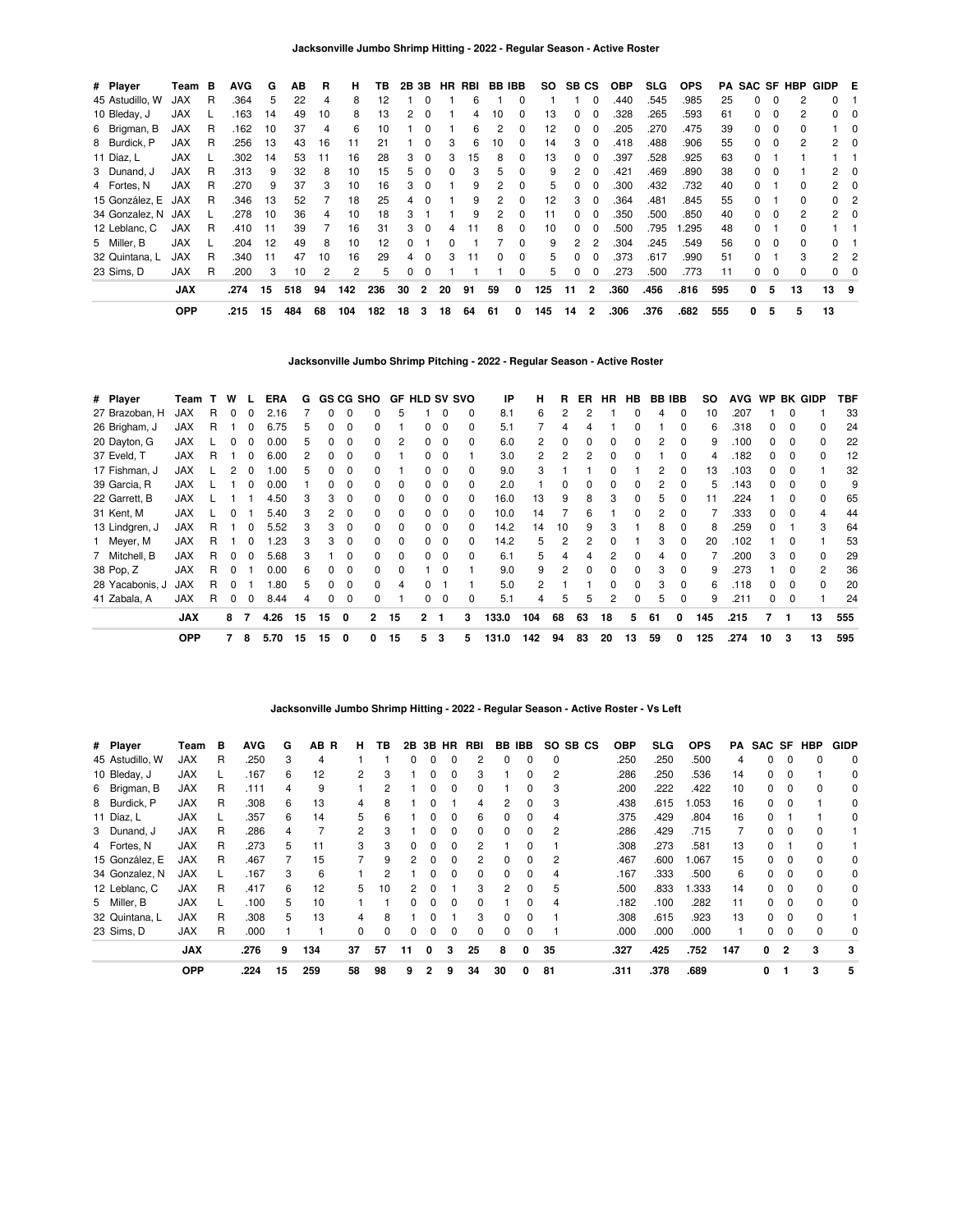| # Player        | Team       | в | <b>AVG</b> | G  | AВ  | R  | н   | ΤВ  | 2B 3B |          |    | HR RBI | BB IBB       |          | SO. | SB CS         |                | <b>OBP</b> | <b>SLG</b> | <b>OPS</b> | PA. |              |          | <b>SAC SF HBP</b> | GIDP E         |             |
|-----------------|------------|---|------------|----|-----|----|-----|-----|-------|----------|----|--------|--------------|----------|-----|---------------|----------------|------------|------------|------------|-----|--------------|----------|-------------------|----------------|-------------|
| 45 Astudillo, W | <b>JAX</b> | R | .364       | 5  | 22  | 4  | 8   | 12  |       |          |    | 6      |              |          |     |               | 0              | .440       | .545       | .985       | 25  | <sup>0</sup> | $\Omega$ |                   | 0              |             |
| 10 Bleday, J    | <b>JAX</b> |   | .163       | 14 | 49  | 10 | 8   | 13  | 2     | $\Omega$ |    | 4      | 10           |          | 13  | 0             | 0              | .328       | .265       | .593       | 61  | 0            | 0        | 2                 | $\Omega$       | 0           |
| 6 Brigman, B    | <b>JAX</b> | R | .162       | 10 | 37  | 4  | 6   | 10  |       | $\Omega$ |    | 6      | 2            | 0        | 12  | 0             | 0              | .205       | .270       | .475       | 39  | 0            | 0        | 0                 |                | -0          |
| 8 Burdick, P    | <b>JAX</b> | R | .256       | 13 | 43  | 16 | 11  | 21  |       | $\Omega$ | 3  | 6      | 10           | $\Omega$ | 14  | 3             | $\Omega$       | .418       | .488       | .906       | 55  | $\Omega$     | $\Omega$ | 2                 |                | $2 \quad 0$ |
| 11 Díaz. L      | <b>JAX</b> |   | .302       | 14 | 53  | 11 | 16  | 28  | 3     | $\Omega$ | 3  | 15     | 8            | 0        | 13  | $\Omega$      | 0              | .397       | .528       | .925       | 63  | $\Omega$     |          |                   |                |             |
| 3 Dunand, J     | <b>JAX</b> | R | .313       | 9  | 32  | 8  | 10  | 15  | 5.    | $\Omega$ | n  | з      | 5            |          | 9   | 2             | 0              | .421       | .469       | .890       | 38  | <sup>0</sup> | $\Omega$ |                   | 2              | $\Omega$    |
| 4 Fortes, N     | <b>JAX</b> | R | .270       | 9  | 37  | 3  | 10  | 16  | 3     | $\Omega$ |    | 9      | 2            |          | 5.  | 0             | 0              | .300       | .432       | .732       | 40  | 0            |          | <sup>0</sup>      | 2              | - 0         |
| 15 González, E  | JAX        | R | .346       | 13 | 52  |    | 18  | 25  | 4     | $\Omega$ |    | 9      |              |          | 12  | 3             | 0              | .364       | .481       | .845       | 55  | 0            |          | 0                 | 0              | -2          |
| 34 Gonzalez, N  | JAX        |   | 278        | 10 | 36  | 4  | 10  | 18  | 3     |          |    | 9      | 2            | $\Omega$ | 11  | $\Omega$      | 0              | .350       | .500       | .850       | 40  | 0            | $\Omega$ | 2                 |                | $2 \quad 0$ |
| 12 Leblanc, C   | <b>JAX</b> | R | .410       | 11 | 39  |    | 16  | 31  | 3     | $\Omega$ | 4  | 11     | 8            | 0        | 10  | $\Omega$      | 0              | .500       | .795       | .295       | 48  | <sup>0</sup> |          | <sup>0</sup>      |                |             |
| 5 Miller, B     | <b>JAX</b> |   | 204        | 12 | 49  | 8  | 10  | 12  | O.    |          | n  |        |              |          | 9   | $\mathcal{P}$ | 2              | .304       | .245       | .549       | 56  | <sup>0</sup> | $\Omega$ | 0                 | 0              |             |
| 32 Quintana, L  | JAX        | R | .340       | 11 | 47  | 10 | 16  | 29  | 4     | $\Omega$ | 3  | 11     | <sup>0</sup> | $\Omega$ | h.  | 0             | 0              | .373       | .617       | .990       | 51  | <sup>0</sup> |          | 3                 | $\overline{2}$ | -2          |
| 23 Sims. D      | <b>JAX</b> | R | .200       | 3  | 10  | 2  | 2   | 5   | 0     | $\Omega$ |    |        |              | $\Omega$ | 5.  | 0             | 0              | .273       | .500       | .773       | 11  | 0            | 0        | 0                 |                | $0\quad 0$  |
|                 | <b>JAX</b> |   | .274       | 15 | 518 | 94 | 142 | 236 | 30    | 2        | 20 | 91     | 59           | 0        | 125 | 11            | $\overline{2}$ | .360       | .456       | .816       | 595 | 0            | 5        | 13                | 13 9           |             |
|                 | <b>OPP</b> |   | .215       | 15 | 484 | 68 | 104 | 182 | 18    | 3        | 18 | 64     | 61           | 0        | 145 | 14            | 2              | .306       | .376       | .682       | 555 | 0            | 5        | 5                 | 13             |             |

**Jacksonville Jumbo Shrimp Pitching - 2022 - Regular Season - Active Roster**

| # Player        | Team       |    | W        |              | ERA  | G  |          |              | GS CG SHO    | <b>GF HLD SV SVO</b> |              |              |   | IP    | н   | R        | ER           | HR.      | HB           | <b>BB IBB</b> |              | so  | <b>AVG</b> |    |          | WP BK GIDP     | TBF |
|-----------------|------------|----|----------|--------------|------|----|----------|--------------|--------------|----------------------|--------------|--------------|---|-------|-----|----------|--------------|----------|--------------|---------------|--------------|-----|------------|----|----------|----------------|-----|
| 27 Brazoban, H  | <b>JAX</b> | R. | $\Omega$ | 0            | 2.16 |    | $\Omega$ | $\Omega$     | 0            | 5                    |              |              | 0 | 8.1   | 6   | 2        | 2            |          | 0            | 4             | $\Omega$     | 10  | .207       |    | $\Omega$ |                | 33  |
| 26 Brigham, J   | JAX        | R  |          | 0            | 6.75 | 5  | 0        | 0            | 0            |                      | 0            | 0            | 0 | 5.1   |     | 4        |              |          |              |               | $\Omega$     | 6   | .318       | 0  | $\Omega$ | 0              | 24  |
| 20 Dayton, G    | <b>JAX</b> |    |          |              | 0.00 | 5  | 0        | $\Omega$     | 0            | 2                    |              | <sup>0</sup> | 0 | 6.0   | 2   | 0        | <sup>0</sup> | $\Omega$ | 0            | 2             | $\Omega$     | 9   | .100       | O. | $\Omega$ | 0              | 22  |
| 37 Eveld, T     | <b>JAX</b> | R  |          |              | 6.00 | 2  | 0        | 0            |              |                      |              |              |   | 3.0   | 2   | 2        |              |          |              |               | $\Omega$     | 4   | .182       | n. | 0        | 0              | 12  |
| 17 Fishman, J   | <b>JAX</b> |    |          |              | .00  | 5  | 0        | C            |              |                      |              |              | 0 | 9.0   | 3   |          |              |          |              | 2             | <sup>0</sup> | 13  | .103       | 0  | $\Omega$ |                | 32  |
| 39 Garcia, R    | <b>JAX</b> |    |          | <sup>0</sup> | 0.00 |    | 0        | C            | 0            |                      |              |              |   | 2.0   |     | $\Omega$ |              |          |              | 2             |              | 5   | .143       | O. | $\Omega$ | <sup>0</sup>   | 9   |
| 22 Garrett, B   | JAX        |    |          |              | 4.50 |    | 3        | $\Omega$     | O.           |                      |              | 0            | 0 | 16.0  | 13  | 9        | 8            | 3        |              | 5             |              | 11  | .224       |    | 0        | 0              | 65  |
| 31 Kent, M      | <b>JAX</b> |    |          |              | 5.40 | 3  | 2        | 0            | 0            |                      |              | $\Omega$     | 0 | 10.0  | 14  |          | 6            |          |              | 2             | $\Omega$     |     | .333       | 0  | $\Omega$ |                | 44  |
| 13 Lindgren, J  | <b>JAX</b> | R  |          | 0            | 5.52 | 3  | 3        | 0            | 0            | 0                    | 0            | $\Omega$     | 0 | 14.2  | 14  | 10       | 9            | 3        |              | 8             | $\Omega$     | 8   | .259       | 0  |          | 3              | 64  |
| 1 Meyer, M      | <b>JAX</b> | R. |          | 0            | .23  | 3  | 3        | $\Omega$     | 0            | $\Omega$             | 0            | $\Omega$     | 0 | 14.2  | 5   | 2        | 2            | 0        |              | 3             | $\Omega$     | 20  | .102       |    | $\Omega$ |                | 53  |
| 7 Mitchell, B   | JAX        | R. | $\Omega$ | <sup>0</sup> | 5.68 | 3  |          | $\Omega$     | <sup>0</sup> | $\Omega$             | $\Omega$     | $\Omega$     | 0 | 6.1   | 5   | 4        | 4            |          | <sup>0</sup> | 4             | $\Omega$     |     | .200       | 3  | $\Omega$ | $\Omega$       | 29  |
| 38 Pop, Z       | <b>JAX</b> | R. | $\Omega$ |              | 0.00 | 6  | O.       | O            | <sup>0</sup> | <sup>0</sup>         |              | <sup>0</sup> |   | 9.0   | 9   | 2        | <sup>n</sup> | $\Omega$ | <sup>0</sup> | 3             | $\Omega$     | 9   | .273       |    | $\Omega$ | $\overline{2}$ | 36  |
| 28 Yacabonis, J | <b>JAX</b> | R  |          |              | .80  | 5  | 0        | $\Omega$     | <sup>0</sup> | 4                    |              |              |   | 5.0   | 2   |          |              | $\Omega$ | <sup>0</sup> | 3             | $\Omega$     | 6   | .118       | O. | 0        | $\Omega$       | 20  |
| 41 Zabala, A    | <b>JAX</b> | R  | 0        | 0            | 8.44 | 4  | 0        | 0            | 0            |                      | 0            | $\Omega$     | 0 | 5.1   | 4   | 5        | 5            | 2        |              | 5             | $\Omega$     | 9   | .211       | O. | 0        |                | 24  |
|                 | <b>JAX</b> |    | 8        | 7            | 4.26 | 15 | 15       | 0            | $\mathbf{2}$ | 15                   | $\mathbf{2}$ | -1           | 3 | 133.0 | 104 | 68       | 63           | 18       | 5            | 61            | 0            | 145 | .215       |    | 1        | 13             | 555 |
|                 | <b>OPP</b> |    | 7        | 8            | 5.70 | 15 | 15       | $\mathbf{0}$ | 0            | 15                   | 5            | 3            | 5 | 131.0 | 142 | 94       | 83           | 20       | 13           | 59            | 0            | 125 | .274       | 10 | 3        | 13             | 595 |

**Jacksonville Jumbo Shrimp Hitting - 2022 - Regular Season - Active Roster - Vs Left**

| # Player        | Team       | в  | AVG  | G  | AB.<br>R | н. | тв       | 2Β | 3В           | HR           | RBI          | BB.          | <b>IBB</b>   | SO.            | SB CS | <b>OBP</b> | SLG  | <b>OPS</b> | PA  |    |              | SAC SF HBP | <b>GIDP</b> |
|-----------------|------------|----|------|----|----------|----|----------|----|--------------|--------------|--------------|--------------|--------------|----------------|-------|------------|------|------------|-----|----|--------------|------------|-------------|
| 45 Astudillo, W | JAX        | R  | .250 | 3  | 4        |    |          |    |              |              |              |              |              | 0              |       | .250       | .250 | .500       |     | 0  |              |            | $\Omega$    |
| 10 Bleday, J    | JAX        |    | .167 | 6  | 12       | 2  | 3        |    | 0            | 0            | з            |              | 0            | 2              |       | .286       | .250 | .536       | 14  | 0  | 0            |            | 0           |
| 6 Brigman, B    | <b>JAX</b> | R. | .111 | 4  | 9        |    | 2        |    | 0            | <sup>0</sup> | <sup>0</sup> |              | 0            | 3              |       | .200       | .222 | .422       | 10  | 0  | <sup>0</sup> |            | $\Omega$    |
| 8 Burdick, P    | <b>JAX</b> | R  | .308 | 6  | 13       | 4  | 8        |    |              |              | 4            | 2            | $\Omega$     | 3              |       | .438       | .615 | .053       | 16  | 0  |              |            | 0           |
| 11 Díaz, L      | <b>JAX</b> |    | .357 | 6  | 14       | 5  | 6        |    |              |              | 6            |              | <sup>0</sup> | 4              |       | .375       | .429 | .804       | 16  | 0  |              |            | 0           |
| 3 Dunand, J     | <b>JAX</b> | R  | .286 |    |          | 2  | 3        |    |              |              |              |              | 0            | 2              |       | .286       | .429 | .715       |     | 0  |              |            |             |
| 4 Fortes, N     | <b>JAX</b> | R  | .273 | 5  | 11       | 3  | 3        | 0  | 0            | 0            | 2            |              | 0            |                |       | .308       | .273 | .581       | 13  | 0  |              |            |             |
| 15 González, E  | <b>JAX</b> | R  | .467 |    | 15       |    | 9        | 2  | $\Omega$     | $\Omega$     | 2            | 0            | 0            | $\overline{2}$ |       | .467       | .600 | .067       | 15  | 0  | $\Omega$     |            | $\Omega$    |
| 34 Gonzalez, N  | <b>JAX</b> |    | .167 | 3  | 6        |    |          |    | <sup>0</sup> | <sup>0</sup> | <sup>n</sup> | <sup>n</sup> | $\Omega$     | 4              |       | .167       | .333 | .500       | 6   | 0  | $\Omega$     |            | 0           |
| 12 Leblanc, C   | <b>JAX</b> | R  | .417 | 6  | 12       | 5. | 10       |    |              |              | 3            |              | <sup>0</sup> | 5              |       | .500       | .833 | .333       | 14  | O. |              |            | $\Omega$    |
| 5 Miller, B     | <b>JAX</b> |    | .100 | 5  | 10       |    |          |    |              |              |              |              | 0            | 4              |       | .182       | .100 | .282       | 11  | 0  |              |            | $\Omega$    |
| 32 Quintana, L  | <b>JAX</b> | R  | .308 | 5  | 13       | 4  | 8        |    |              |              | 3            | 0            | 0            |                |       | .308       | .615 | .923       | 13  | 0  | 0            |            |             |
| 23 Sims, D      | <b>JAX</b> | R  | .000 |    |          | 0  | $\Omega$ | 0  | $\Omega$     | $\Omega$     | $\Omega$     | 0            | 0            |                |       | .000       | .000 | .000       |     | 0  | $\Omega$     |            | $\Omega$    |
|                 | <b>JAX</b> |    | .276 | 9  | 134      | 37 | 57       | 11 | 0            | 3            | 25           | 8            | 0            | 35             |       | .327       | .425 | .752       | 147 | 0  | $\mathbf{2}$ | 3          | 3           |
|                 | <b>OPP</b> |    | .224 | 15 | 259      | 58 | 98       | 9  | 2            | 9            | 34           | 30           | 0            | 81             |       | .311       | .378 | .689       |     | 0  |              | 3          | 5           |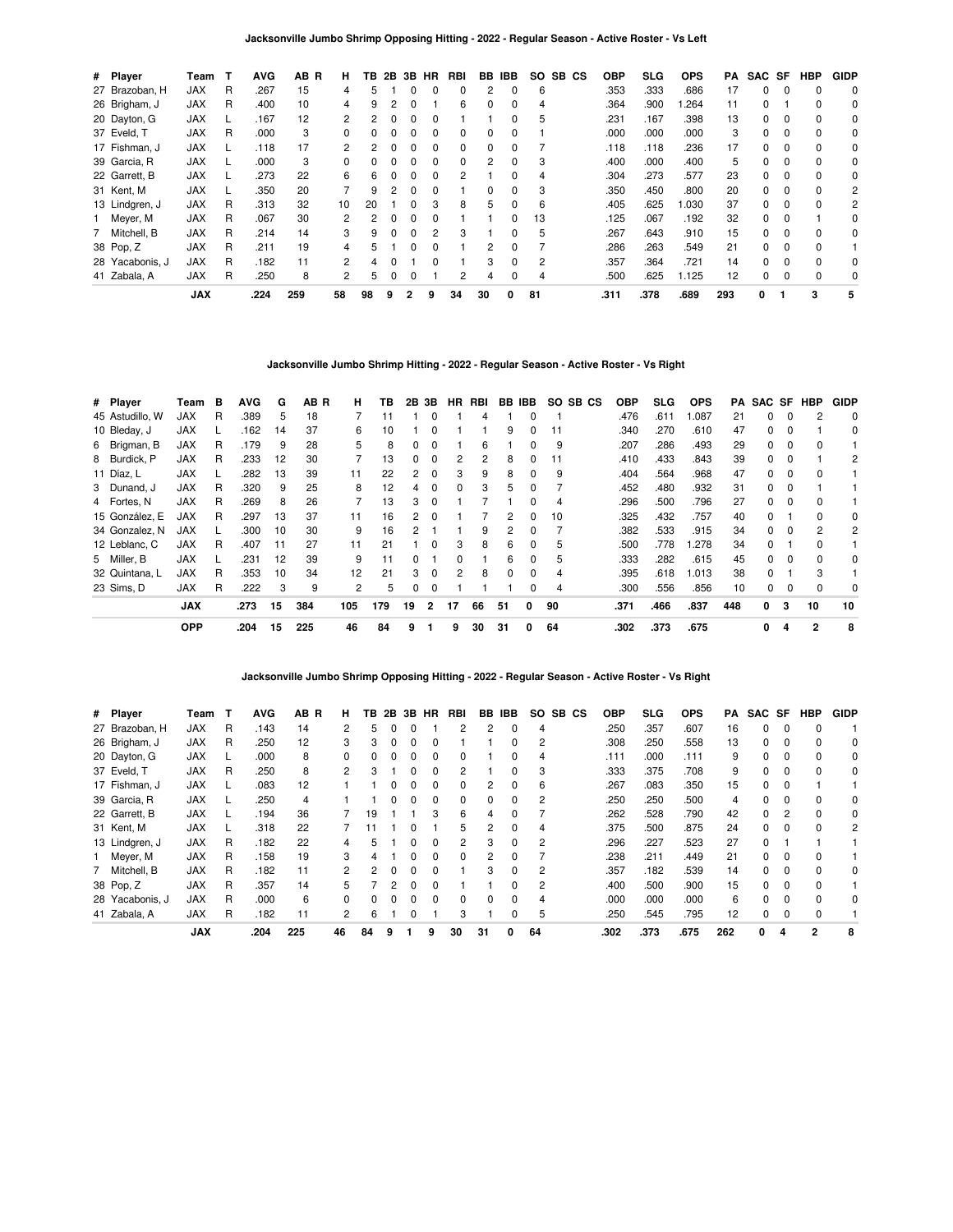| # Player        | Team       | т | <b>AVG</b> | AB R | н              | TB | 2B           | 3B           | HR | RBI | BB       | <b>IBB</b>   | SO. | SB CS | <b>OBP</b> | <b>SLG</b> | <b>OPS</b> | PA  | SAC SF   |          | <b>HBP</b> | <b>GIDP</b> |
|-----------------|------------|---|------------|------|----------------|----|--------------|--------------|----|-----|----------|--------------|-----|-------|------------|------------|------------|-----|----------|----------|------------|-------------|
| 27 Brazoban, H  | <b>JAX</b> | R | .267       | 15   | 4              | 5  |              |              |    | 0   | 2        | 0            | 6   |       | .353       | .333       | .686       | 17  | 0        |          | $\Omega$   | 0           |
| 26 Brigham, J   | <b>JAX</b> | R | .400       | 10   | 4              | 9  |              |              |    | 6   | $\Omega$ | 0            | 4   |       | .364       | .900       | .264       | 11  | 0        |          | 0          | 0           |
| 20 Dayton, G    | <b>JAX</b> |   | .167       | 12   | $\mathbf{2}$   | 2  |              | $\Omega$     |    |     |          | <sup>0</sup> | 5   |       | .231       | .167       | .398       | 13  | $\Omega$ | $\Omega$ | $\Omega$   | 0           |
| 37 Eveld, T     | <b>JAX</b> | R | .000       | 3    | $\Omega$       |    |              |              |    | 0   | $\Omega$ | <sup>0</sup> |     |       | .000       | .000       | .000       | 3   | $\Omega$ | $\Omega$ | $\Omega$   | 0           |
| 17 Fishman, J   | <b>JAX</b> |   | .118       | 17   | 2              | 2  |              |              |    | 0   | 0        | 0            |     |       | .118       | .118       | .236       | 17  | 0        |          | 0          | 0           |
| 39 Garcia, R    | <b>JAX</b> |   | .000       | 3    | $\Omega$       | 0  | <sup>0</sup> | $\Omega$     | 0  | 0   | 2        | 0            | 3   |       | .400       | .000       | .400       | 5   | $\Omega$ | $\Omega$ | $\Omega$   | 0           |
| 22 Garrett, B   | <b>JAX</b> |   | .273       | 22   | 6              | 6  |              | <sup>0</sup> |    | 2   |          | <sup>0</sup> | 4   |       | .304       | .273       | .577       | 23  | 0        | $\Omega$ | $\Omega$   | 0           |
| 31 Kent, M      | <b>JAX</b> |   | .350       | 20   |                | 9  |              |              |    |     | 0        |              | 3   |       | .350       | .450       | .800       | 20  | $\Omega$ |          | $\Omega$   | 2           |
| 13 Lindgren, J  | <b>JAX</b> | R | .313       | 32   | 10             | 20 |              | 0            | з  | 8   | 5        | 0            | 6   |       | .405       | .625       | .030       | 37  | $\Omega$ | $\Omega$ | $\Omega$   | 2           |
| 1 Meyer, M      | <b>JAX</b> | R | .067       | 30   | $\overline{2}$ | 2  |              | $\Omega$     |    |     |          | <sup>0</sup> | 13  |       | .125       | .067       | .192       | 32  | $\Omega$ | $\Omega$ |            | $\Omega$    |
| 7 Mitchell, B   | <b>JAX</b> | R | .214       | 14   | 3              | 9  |              |              |    | 3   |          |              | 5   |       | .267       | .643       | .910       | 15  | $\Omega$ | $\Omega$ | $\Omega$   | 0           |
| 38 Pop, Z       | <b>JAX</b> | R | .211       | 19   | 4              | 5  |              |              |    |     | 2        | 0            |     |       | .286       | .263       | .549       | 21  | 0        | $\Omega$ | 0          |             |
| 28 Yacabonis, J | <b>JAX</b> | R | .182       | 11   | $\overline{2}$ | 4  |              |              |    |     | 3        | $\Omega$     | 2   |       | .357       | .364       | .721       | 14  | 0        | $\Omega$ | $\Omega$   | 0           |
| 41 Zabala, A    | <b>JAX</b> | R | .250       | 8    | 2              | 5  |              |              |    | 2   | 4        | 0            | 4   |       | .500       | .625       | 1.125      | 12  | 0        | $\Omega$ | 0          | 0           |
|                 | <b>JAX</b> |   | .224       | 259  | 58             | 98 | 9            | $\mathbf{2}$ | 9  | 34  | 30       | 0            | 81  |       | .311       | .378       | .689       | 293 | 0        |          | 3          | 5           |

### **Jacksonville Jumbo Shrimp Hitting - 2022 - Regular Season - Active Roster - Vs Right**

| # Player        | Team       | в | <b>AVG</b> | G  | AB R | н.  | TB  |    | 2B 3B          | <b>HR</b>    | RBI |              | BB IBB       |    | SO SB CS | <b>OBP</b> | SLG. | <b>OPS</b> | PA  |    |          | SAC SF HBP   | <b>GIDP</b> |
|-----------------|------------|---|------------|----|------|-----|-----|----|----------------|--------------|-----|--------------|--------------|----|----------|------------|------|------------|-----|----|----------|--------------|-------------|
| 45 Astudillo. W | <b>JAX</b> | R | .389       | 5  | 18   |     | 11  |    |                |              | 4   |              |              |    |          | .476       | .611 | 1.087      | 21  | 0  | $\Omega$ | 2            | $\Omega$    |
| 10 Bleday, J    | <b>JAX</b> |   | .162       | 14 | 37   | 6   | 10  |    | $\Omega$       |              |     | 9            | 0            | 11 |          | .340       | .270 | .610       | 47  | 0  | $\Omega$ |              | 0           |
| 6 Brigman, B    | <b>JAX</b> | R | .179       | 9  | 28   | 5.  | 8   | 0  |                |              | 6   |              |              | 9  |          | .207       | .286 | .493       | 29  | 0  |          | $\Omega$     |             |
| 8 Burdick, P    | <b>JAX</b> | R | .233       | 12 | 30   |     | 13  | 0  |                |              | 2   | 8            | 0            | 11 |          | .410       | .433 | .843       | 39  | 0  |          |              | 2           |
| 11 Díaz, L      | <b>JAX</b> |   | .282       | 13 | 39   | 11  | 22  | 2  | $\Omega$       | 3            | 9   | 8            | 0            | 9  |          | .404       | .564 | .968       | 47  | 0  | 0        | 0            |             |
| 3 Dunand, J     | <b>JAX</b> | R | .320       | 9  | 25   | 8   | 12  | 4  | $\Omega$       | $\Omega$     | 3   | 5            | <sup>0</sup> |    |          | .452       | .480 | .932       | 31  | 0  | $\Omega$ |              |             |
| 4 Fortes, N     | <b>JAX</b> | R | .269       | 8  | 26   |     | 13  | 3  |                |              |     |              |              | 4  |          | .296       | .500 | .796       | 27  | 0  |          | $\Omega$     |             |
| 15 González, E  | JAX        | R | .297       | 13 | 37   | 11  | 16  | 2  |                |              |     | 2            |              | 10 |          | .325       | .432 | .757       | 40  | O. |          | $\Omega$     | 0           |
| 34 Gonzalez, N  | <b>JAX</b> |   | .300       | 10 | 30   | 9   | 16  | 2  |                |              | 9   | 2            | 0            |    |          | .382       | .533 | .915       | 34  | 0  | 0        | 2            | 2           |
| 12 Leblanc, C   | <b>JAX</b> | R | .407       | 11 | 27   | 11  | 21  |    | $\Omega$       | 3            | 8   | 6            | <sup>0</sup> | 5  |          | .500       | .778 | 1.278      | 34  | 0  |          | $\Omega$     |             |
| 5 Miller, B     | <b>JAX</b> |   | .231       | 12 | 39   | 9   | 11  | O. |                | <sup>n</sup> |     | 6            | 0            | 5  |          | .333       | .282 | .615       | 45  | 0  | $\Omega$ | <sup>0</sup> | 0           |
| 32 Quintana, L  | <b>JAX</b> | R | .353       | 10 | 34   | 12  | 21  | 3  | $\Omega$       |              | 8   | <sup>0</sup> |              | 4  |          | .395       | .618 | 1.013      | 38  | 0  |          | 3            |             |
| 23 Sims. D      | <b>JAX</b> | R | .222       | 3  | 9    | 2   | 5   | 0  | $\Omega$       |              |     |              |              | 4  |          | .300       | .556 | .856       | 10  | 0  | 0        | $\Omega$     | 0           |
|                 | <b>JAX</b> |   | .273       | 15 | 384  | 105 | 179 | 19 | $\overline{2}$ | 17           | 66  | 51           | 0            | 90 |          | .371       | .466 | .837       | 448 | 0  | 3        | 10           | 10          |
|                 | <b>OPP</b> |   | .204       | 15 | 225  | 46  | 84  | 9  |                | 9            | 30  | 31           | 0            | 64 |          | .302       | .373 | .675       |     | 0  | 4        | 2            | 8           |

**Jacksonville Jumbo Shrimp Opposing Hitting - 2022 - Regular Season - Active Roster - Vs Right**

| # Player        | Team       | т | AVG  | AB R | н.             | ΤВ | 2В | 3В | HR           | RBI            | BB.          | IBB          | SO. | SB CS | OBP  | <b>SLG</b> | <b>OPS</b> | PA  | SAC SF   |               | <b>HBP</b>     | <b>GIDP</b> |
|-----------------|------------|---|------|------|----------------|----|----|----|--------------|----------------|--------------|--------------|-----|-------|------|------------|------------|-----|----------|---------------|----------------|-------------|
| 27 Brazoban, H  | <b>JAX</b> | R | .143 | 14   |                | 5  |    |    |              | 2              |              | 0            | 4   |       | .250 | .357       | .607       | 16  | 0        | $\Omega$      | $\Omega$       |             |
| 26 Brigham, J   | <b>JAX</b> | R | .250 | 12   | 3              | 3  |    | 0  | 0            |                |              | 0            | 2   |       | .308 | .250       | .558       | 13  | 0        | 0             | $\Omega$       | 0           |
| 20 Dayton, G    | <b>JAX</b> |   | .000 | 8    | 0              | 0  |    |    | $\Omega$     | 0              |              | 0            | 4   |       | .111 | .000       | .111       | 9   | 0        | $\Omega$      | $\Omega$       | 0           |
| 37 Eveld, T     | <b>JAX</b> | R | .250 | 8    | 2              | 3  |    |    |              | 2              |              | 0            | 3   |       | .333 | .375       | .708       | 9   | 0        | $\Omega$      | $\Omega$       | 0           |
| 17 Fishman, J   | <b>JAX</b> |   | .083 | 12   |                |    |    |    | 0            | 0              | 2            | 0            | 6   |       | .267 | .083       | .350       | 15  | 0        | 0             |                |             |
| 39 Garcia, R    | <b>JAX</b> |   | .250 | 4    |                |    |    |    | 0            | 0              | <sup>0</sup> | 0            | 2   |       | .250 | .250       | .500       | 4   | $\Omega$ | $\Omega$      | $\Omega$       | 0           |
| 22 Garrett, B   | <b>JAX</b> |   | .194 | 36   |                | 19 |    |    | 3            | 6              | 4            | O            |     |       | .262 | .528       | .790       | 42  | 0        | $\mathcal{P}$ | $\Omega$       | 0           |
| 31 Kent, M      | <b>JAX</b> |   | .318 | 22   |                |    |    |    |              | 5              |              | 0            | 4   |       | .375 | .500       | .875       | 24  | 0        | $\Omega$      | $\Omega$       | 2           |
| 13 Lindgren, J  | <b>JAX</b> | R | .182 | 22   | 4              | 5. |    |    | 0            | $\overline{2}$ | 3            | 0            | 2   |       | .296 | .227       | .523       | 27  | 0        |               |                |             |
| 1 Meyer, M      | <b>JAX</b> | R | .158 | 19   | 3              | 4  |    |    | <sup>0</sup> | 0              |              | <sup>0</sup> |     |       | .238 | .211       | .449       | 21  | 0        | $\Omega$      | $\Omega$       |             |
| 7 Mitchell, B   | <b>JAX</b> | R | .182 | 11   | 2              | 2  |    |    |              |                | 3            | 0            | 2   |       | .357 | .182       | .539       | 14  | 0        | $\Omega$      | $\Omega$       | 0           |
| 38 Pop, Z       | <b>JAX</b> | R | .357 | 14   | 5.             |    | 2  | n  | <sup>0</sup> |                |              | 0            | 2   |       | .400 | .500       | .900       | 15  | 0        | $\Omega$      | $\Omega$       |             |
| 28 Yacabonis, J | <b>JAX</b> | R | .000 | 6    | <sup>0</sup>   | 0  |    |    | <sup>0</sup> | 0              | $\Omega$     | 0            | 4   |       | .000 | .000       | .000       | 6   | 0        | $\Omega$      | $\Omega$       | 0           |
| 41 Zabala, A    | <b>JAX</b> | R | .182 | 11   | $\overline{c}$ | 6  |    |    |              | 3              |              | 0            | 5   |       | .250 | .545       | .795       | 12  | 0        | $\Omega$      | $\Omega$       |             |
|                 | <b>JAX</b> |   | .204 | 225  | 46             | 84 | 9  |    | 9            | 30             | 31           | 0            | 64  |       | .302 | .373       | .675       | 262 | 0        | Δ             | $\overline{2}$ | 8           |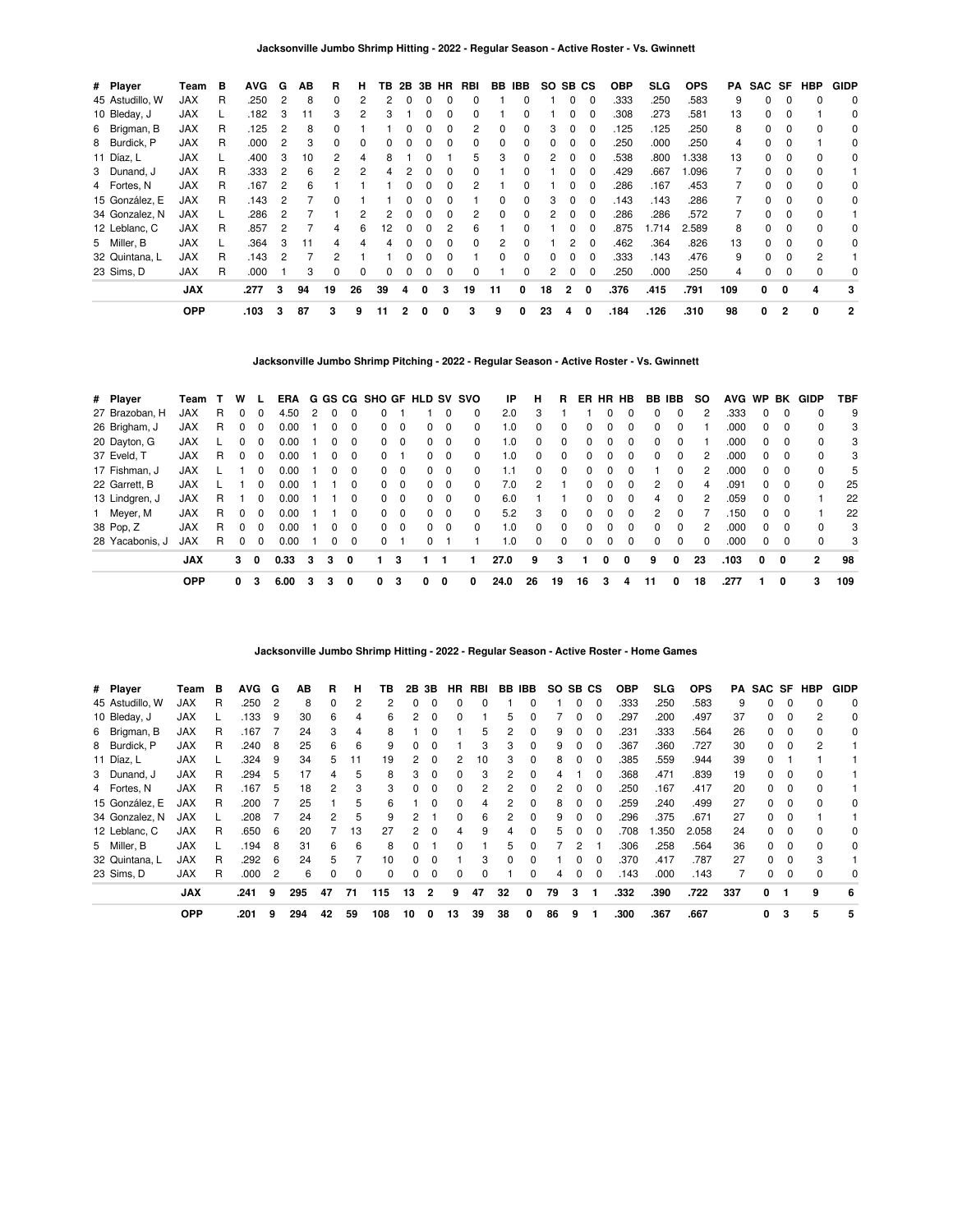| # Player        | Team       | В | <b>AVG</b> | G | AB | R        | н  | ΤВ |              |              | 2B 3B HR     | RBI | BB | IBB.         |    | SO SB CS |          | <b>OBP</b> | <b>SLG</b> | <b>OPS</b> | PA  | SAC SF   |              | HBP          | <b>GIDP</b>  |
|-----------------|------------|---|------------|---|----|----------|----|----|--------------|--------------|--------------|-----|----|--------------|----|----------|----------|------------|------------|------------|-----|----------|--------------|--------------|--------------|
| 45 Astudillo, W | JAX        | R | .250       |   | 8  |          |    |    |              |              |              |     |    |              |    |          | 0        | .333       | .250       | .583       | 9   | 0        | $\Omega$     |              | 0            |
| 10 Bleday, J    | JAX        |   | .182       |   | 11 |          |    |    |              |              |              |     |    |              |    |          | 0        | .308       | .273       | .581       | 13  | 0        |              |              | 0            |
| 6 Brigman, B    | JAX        | R | .125       | 2 | 8  |          |    |    |              |              |              |     |    |              | З  | 0        | 0        | .125       | .125       | .250       | 8   | 0        |              |              | 0            |
| 8 Burdick, P    | JAX        | R | .000       | 2 | 3  | $\Omega$ | 0  |    |              |              | $\Omega$     | 0   | 0  | <sup>0</sup> | 0  | $\Omega$ | $\Omega$ | .250       | .000       | .250       | 4   | $\Omega$ | 0            |              | 0            |
| 11 Díaz, L      | <b>JAX</b> | L | .400       | 3 | 10 | 2        | 4  | 8  |              |              |              | 'n. | 3  | $\Omega$     | 2  | $\Omega$ | $\Omega$ | .538       | .800       | 1.338      | 13  | $\Omega$ | 0            | $\Omega$     | 0            |
| 3 Dunand, J     | JAX        | R | .333       |   | 6  | 2        | 2  |    |              |              |              |     |    |              |    |          | 0        | .429       | .667       | 1.096      |     | 0        | <sup>0</sup> | $\Omega$     |              |
| 4 Fortes, N     | JAX        | R | .167       |   | 6  |          |    |    |              |              |              |     |    |              |    |          |          | .286       | .167       | .453       |     | 0        |              | <sup>0</sup> | 0            |
| 15 González, E  | <b>JAX</b> | R | .143       |   |    |          |    |    |              |              |              |     |    |              | З  | 0        | 0        | .143       | .143       | .286       |     | 0        |              |              | 0            |
| 34 Gonzalez, N  | JAX        |   | .286       | 2 |    |          |    |    |              | n            | <sup>0</sup> |     | 0  | $\Omega$     | 2  | $\Omega$ | $\Omega$ | .286       | .286       | .572       |     | $\Omega$ | 0            | 0            |              |
| 12 Leblanc, C   | <b>JAX</b> | R | .857       | 2 |    | 4        | 6  | 12 | <sup>0</sup> | <sup>0</sup> | 2            | 6   |    | 0            |    | $\Omega$ | $\Omega$ | .875       | .714       | 2.589      | 8   | $\Omega$ | 0            | $\Omega$     | $\Omega$     |
| 5 Miller, B     | <b>JAX</b> |   | .364       | з | 11 |          |    |    |              |              |              |     | 2  | <sup>0</sup> |    | 2        | -0       | .462       | .364       | .826       | 13  | $\Omega$ | $\Omega$     | $\Omega$     | 0            |
| 32 Quintana, L  | JAX        | R | .143       |   |    |          |    |    |              |              |              |     |    | <sup>0</sup> |    |          | $\Omega$ | .333       | .143       | .476       | 9   | O.       |              | 2            |              |
| 23 Sims, D      | <b>JAX</b> | R | .000       |   | 3  | 0        | 0  |    |              |              | 0            |     |    | 0            | 2  | 0        | 0        | .250       | .000       | .250       | 4   | 0        |              |              | 0            |
|                 | <b>JAX</b> |   | .277       | 3 | 94 | 19       | 26 | 39 | 4            | <sup>0</sup> | з            | 19  | 11 | 0            | 18 | 2        | 0        | .376       | .415       | .791       | 109 | 0        | 0            | 4            | 3            |
|                 | <b>OPP</b> |   | .103       | 3 | 87 | 3        | 9  | 11 |              |              |              | 3   | 9  |              | 23 | 4        | 0        | .184       | .126       | .310       | 98  | 0        | 2            | 0            | $\mathbf{2}$ |

**Jacksonville Jumbo Shrimp Pitching - 2022 - Regular Season - Active Roster - Vs. Gwinnett**

| # Player        | Team       |   | w            |          | ERA  |   |          |   |   |          | G GS CG SHO GF HLD SV SVO |          |          | ΙP   | н        | R  | ER           | <b>HR</b> | HB       | BB IBB       |              | <b>SO</b> | <b>AVG</b> | WP BK    |          | GIDP         | TBF |
|-----------------|------------|---|--------------|----------|------|---|----------|---|---|----------|---------------------------|----------|----------|------|----------|----|--------------|-----------|----------|--------------|--------------|-----------|------------|----------|----------|--------------|-----|
| 27 Brazoban, H  | JAX        | R | <sup>0</sup> | 0        | 4.50 | 2 |          | 0 |   |          |                           | $\Omega$ | 0        | 2.0  | 3        |    |              |           | 0        | 0            | 0            |           | .333       | $\Omega$ | $\Omega$ | 0            | 9   |
| 26 Brigham, J   | <b>JAX</b> | R |              | $\Omega$ | 0.00 |   |          | 0 | 0 | 0        | 0                         | 0        | $\Omega$ | 1.0  | 0        | 0  |              |           | $\Omega$ | 0            | $\Omega$     |           | .000       | 0        | $\Omega$ | 0            | 3   |
| 20 Dayton, G    | <b>JAX</b> |   |              |          | 0.00 |   |          | 0 | 0 | $\Omega$ | 0                         | 0        | $\Omega$ | 1.0  | 0        | 0  |              |           |          | 0            | 0            |           | .000       | 0        |          | 0            | 3   |
| 37 Eveld. T     | <b>JAX</b> | R | $\Omega$     | $\Omega$ | 0.00 |   | $\Omega$ | 0 | 0 |          | 0                         | $\Omega$ | $\Omega$ | 1.0  | $\Omega$ | 0  | <sup>0</sup> | ŋ         | $\Omega$ | 0            | $\Omega$     | 2         | .000       | $\Omega$ | $\Omega$ | $\Omega$     | 3   |
| 17 Fishman, J   | <b>JAX</b> |   |              | 0        | 0.00 |   |          | 0 | 0 | 0        | 0                         | - 0      | $\Omega$ | 1.1  | 0        | 0  | <sup>0</sup> | 0         | $\Omega$ |              | $\Omega$     |           | .000       | 0        | $\Omega$ | 0            | 5   |
| 22 Garrett, B   | <b>JAX</b> |   |              |          | 0.00 |   |          | 0 | 0 | $\Omega$ | 0                         | - 0      | $\Omega$ | 7.0  | 2        |    |              |           |          | 2            | <sup>0</sup> | 4         | .091       | 0        |          | 0            | 25  |
| 13 Lindgren, J  | <b>JAX</b> | R |              | 0        | 0.00 |   |          | 0 | 0 | $\Omega$ | 0                         | $\Omega$ | $\Omega$ | 6.0  |          |    | <sup>0</sup> | n         | $\Omega$ | 4            | $\Omega$     | 2         | .059       | $\Omega$ | $\Omega$ |              | 22  |
| 1 Meyer, M      | <b>JAX</b> | R | <sup>0</sup> | $\Omega$ | 0.00 |   |          | 0 | 0 | $\Omega$ | 0                         | $\Omega$ | $\Omega$ | 5.2  | 3        | 0  | 0            | n         | $\Omega$ | 2            | <sup>0</sup> |           | .150       | $\Omega$ | $\Omega$ |              | 22  |
| 38 Pop, Z       | <b>JAX</b> | R |              | 0        | 0.00 |   |          | 0 | 0 | 0        | 0                         | - 0      | $\Omega$ | 1.0  | 0        | 0  | 0            | 0         | $\Omega$ | <sup>0</sup> | <sup>0</sup> |           | .000       | 0        | $\Omega$ | 0            | 3   |
| 28 Yacabonis, J | <b>JAX</b> | R |              | $\Omega$ | 0.00 |   |          | 0 | 0 |          |                           |          |          | 1.0  | $\Omega$ | 0  |              |           | $\Omega$ | 0            | $\Omega$     |           | .000       | 0        | $\Omega$ | 0            | 3   |
|                 | <b>JAX</b> |   | 3            | 0        | 0.33 | 3 | 3        | 0 |   | з        |                           |          |          | 27.0 | 9        | 3  |              | 0         | 0        | 9            | 0            | 23        | .103       | 0        | 0        | $\mathbf{2}$ | 98  |
|                 | <b>OPP</b> |   | 0            | 3        | 6.00 | 3 | 3        | 0 | 0 | 3        | 0                         | 0        | 0        | 24.0 | 26       | 19 | 16           | 3         | 4        | 11           | 0            | 18        | .277       |          | 0        | 3            | 109 |

**Jacksonville Jumbo Shrimp Hitting - 2022 - Regular Season - Active Roster - Home Games**

| # Player        | Team       | в | <b>AVG</b> | G              | AB  | R  | н  | ΤВ       | 2B | 3В       | <b>HR</b>    | RBI          |          | BB IBB   | SO. | SB CS |          | <b>OBP</b> | SLG. | <b>OPS</b> | PA  |    |              | SAC SF HBP | <b>GIDP</b> |
|-----------------|------------|---|------------|----------------|-----|----|----|----------|----|----------|--------------|--------------|----------|----------|-----|-------|----------|------------|------|------------|-----|----|--------------|------------|-------------|
| 45 Astudillo, W | <b>JAX</b> | R | .250       | 2              | 8   | 0  | 2  |          | ŋ  |          |              |              |          |          |     | 0     | $\Omega$ | .333       | .250 | .583       | 9   | 0  | 0            |            | $\Omega$    |
| 10 Bleday, J    | <b>JAX</b> |   | .133       | 9              | 30  | 6  | 4  | 6        |    |          |              |              | 5        |          |     |       |          | 297        | .200 | .497       | 37  | 0  |              |            | 0           |
| 6 Brigman, B    | <b>JAX</b> | R | .167       |                | 24  | 3  | 4  | 8        |    |          |              | 5            |          | 0        | 9   | 0     | $\Omega$ | .231       | .333 | .564       | 26  | 0  | 0            |            | 0           |
| 8 Burdick, P    | <b>JAX</b> | R | .240       | 8              | 25  | 6  | 6  | 9        | 0  | $\Omega$ |              | 3            | 3        | 0        | 9   | 0     | $\Omega$ | .367       | .360 | .727       | 30  | 0  | $\Omega$     |            |             |
| 11 Díaz, L      | <b>JAX</b> |   | .324       | 9              | 34  | 5  | 11 | 19       | 2  |          |              | 10           | з        | 0        | 8   | 0     | $\Omega$ | .385       | .559 | .944       | 39  | 0  |              |            |             |
| 3 Dunand, J     | <b>JAX</b> | R | .294       | 5              | 17  | 4  | 5  | 8        | 3  |          |              | 3            | 2        | 0        | 4   |       |          | .368       | .471 | .839       | 19  | 0  |              |            |             |
| 4 Fortes, N     | JAX        | R | .167       | 5              | 18  | 2  | 3  | 3        | 0  |          |              | 2            | 2        | 0        | 2   | 0     | 0        | .250       | .167 | .417       | 20  | 0  |              |            |             |
| 15 González. E  | <b>JAX</b> | R | .200       |                | 25  |    | 5  | 6        |    | $\Omega$ | 0            | 4            | 2        | 0        | 8   | 0     | $\Omega$ | .259       | .240 | .499       | 27  | 0  | <sup>0</sup> |            | $\Omega$    |
| 34 Gonzalez, N  | <b>JAX</b> |   | .208       |                | 24  | 2  | 5  | 9        | 2  |          | <sup>n</sup> | 6            |          | 0        | 9   | 0     | $\Omega$ | 296        | .375 | .671       | 27  | 0  | <sup>0</sup> |            |             |
| 12 Leblanc, C   | <b>JAX</b> | R | .650       | 6              | 20  |    | 13 | 27       | 2  |          |              | 9            |          | $\Omega$ | 5   |       |          | .708       | .350 | 2.058      | 24  | O. |              |            | 0           |
| 5 Miller, B     | <b>JAX</b> |   | .194       | 8              | 31  | 6  | 6  | 8        | 0  |          |              |              | 5        | 0        |     | 2     |          | .306       | .258 | .564       | 36  | 0  |              |            | 0           |
| 32 Quintana, L  | <b>JAX</b> | R | .292       | -6             | 24  | 5  |    | 10       | 0  | $\Omega$ |              | 3            | $\Omega$ | $\Omega$ |     | 0     | $\Omega$ | .370       | .417 | .787       | 27  | 0  | 0            |            |             |
| 23 Sims, D      | <b>JAX</b> | R | .000       | $\overline{2}$ | 6   | 0  | 0  | $\Omega$ | 0  | $\Omega$ | <sup>0</sup> | <sup>0</sup> |          | 0        | 4   | 0     | $\Omega$ | .143       | .000 | .143       |     | 0  | $\Omega$     |            | $\Omega$    |
|                 | <b>JAX</b> |   | .241       | 9              | 295 | 47 | 71 | 115      | 13 | 2        | 9            | 47           | 32       | 0        | 79  | 3     |          | .332       | .390 | .722       | 337 | 0  | -1           | 9          | 6           |
|                 | <b>OPP</b> |   | .201       | 9              | 294 | 42 | 59 | 108      | 10 | 0        | 13           | 39           | 38       | 0        | 86  | 9     |          | .300       | .367 | .667       |     | 0  | 3            | 5          | 5           |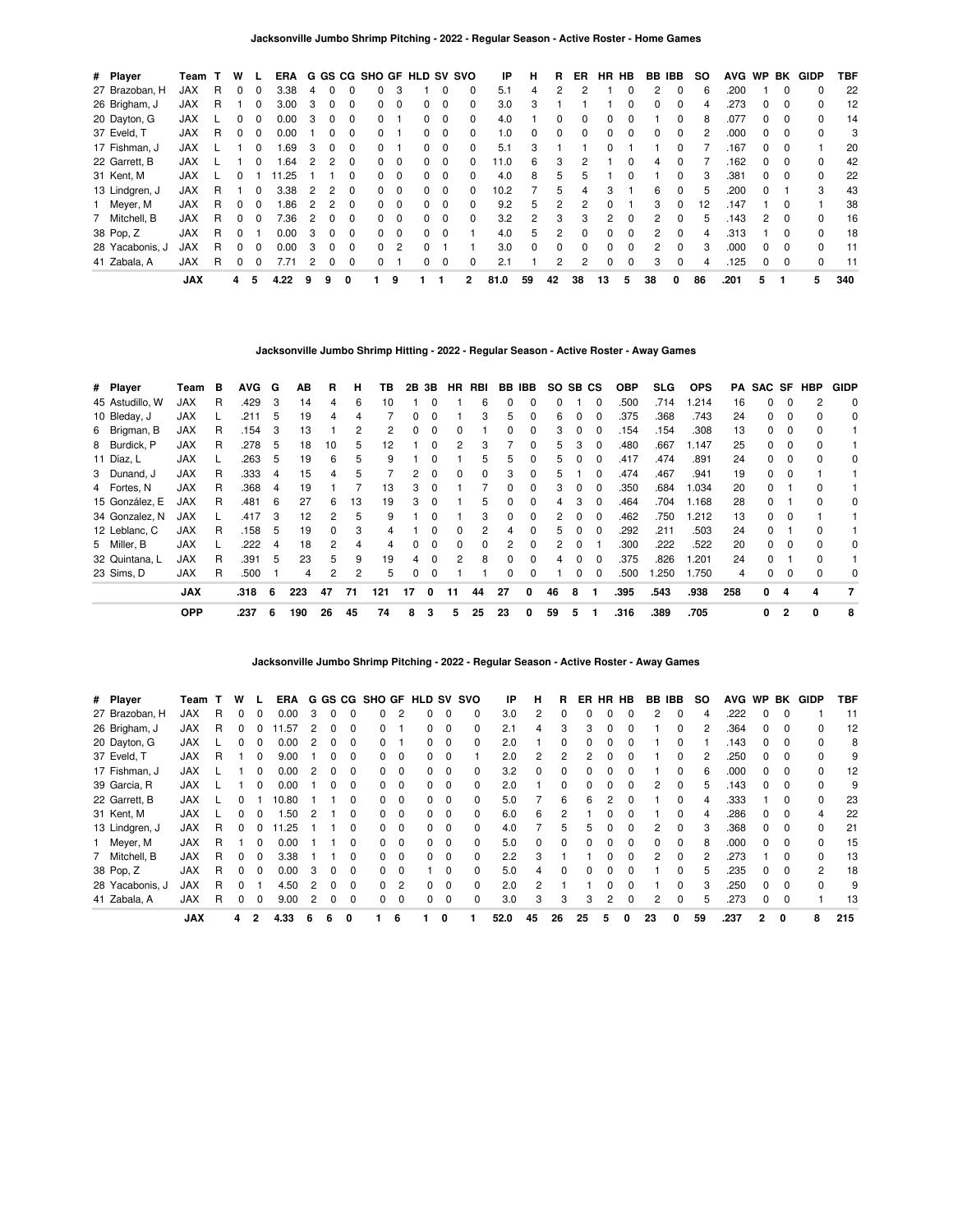| # Player        | Team       |   | w |          | ERA  |   |              |              | G GS CG SHO GF HLD SV SVO |          |   |          |    | IP   | н  | R        | ER | <b>HR</b> | HB       | BB IBB |          | <b>SO</b> | <b>AVG</b> | WP BK        |          | GIDP         | <b>TBF</b> |
|-----------------|------------|---|---|----------|------|---|--------------|--------------|---------------------------|----------|---|----------|----|------|----|----------|----|-----------|----------|--------|----------|-----------|------------|--------------|----------|--------------|------------|
| 27 Brazoban, H  | <b>JAX</b> | R |   |          | 3.38 |   | $\Omega$     |              | 0                         |          |   |          | 0  | 5.1  |    | 2        |    |           |          | 2      | 0        | 6         | .200       |              |          |              | 22         |
| 26 Brigham, J   | <b>JAX</b> | R |   | $\Omega$ | 3.00 | 3 | 0            | 0            | 0                         | $\Omega$ | 0 | $\Omega$ | 0  | 3.0  | 3  |          |    |           | 0        | 0      | $\Omega$ | 4         | .273       | $\Omega$     | $\Omega$ | 0            | 12         |
| 20 Dayton, G    | <b>JAX</b> |   |   |          | 0.00 |   |              | <sup>0</sup> | <sup>o</sup>              |          | 0 | $\Omega$ | 0  | 4.0  |    |          | 0  |           |          |        | $\Omega$ | 8         | .077       |              |          | 0            | 14         |
| 37 Eveld, T     | <b>JAX</b> | R | 0 | $\Omega$ | 0.00 |   | 0            | $\Omega$     | 0                         |          | 0 | $\Omega$ | 0  | 1.0  | 0  | 0        | 0  | 0         | 0        | 0      | $\Omega$ |           | .000       | $\Omega$     | $\Omega$ | 0            | 3          |
| 17 Fishman, J   | <b>JAX</b> |   |   |          | .69  | 3 | $\Omega$     | $\Omega$     | 0                         |          | 0 | $\Omega$ | 0  | 5.1  | 3  |          |    | 0         |          |        | $\Omega$ |           | .167       | <sup>0</sup> | $\Omega$ |              | 20         |
| 22 Garrett, B   | <b>JAX</b> |   |   | 0        | .64  |   |              | $\Omega$     | 0                         | $\Omega$ | 0 | $\Omega$ | 0  | 11.0 | 6  | 3        |    |           | 0        | 4      | $\Omega$ |           | .162       | 0            | $\Omega$ | $\Omega$     | 42         |
| 31 Kent, M      | <b>JAX</b> |   |   |          | 1.25 |   |              | 0            | 0                         | $\Omega$ | 0 | $\Omega$ | 0  | 4.0  | 8  | 5        | 5  |           | 0        |        | 0        |           | .381       | <sup>0</sup> | $\Omega$ | $\Omega$     | 22         |
| 13 Lindgren, J  | <b>JAX</b> | R |   | $\Omega$ | 3.38 | 2 | 2            | $\Omega$     | 0                         | $\Omega$ | 0 | $\Omega$ | 0  | 10.2 |    | 5        | 4  | 3         |          | 6      | $\Omega$ | 5         | .200       | $\Omega$     |          | 3            | 43         |
| 1 Meyer, M      | <b>JAX</b> | R | 0 | $\Omega$ | 1.86 | 2 |              | $\Omega$     | 0                         | $\Omega$ | 0 | $\Omega$ | 0  | 9.2  | 5  | 2        | 2  | $\Omega$  |          | 3      | $\Omega$ | 12        | .147       |              | $\Omega$ |              | 38         |
| 7 Mitchell, B   | <b>JAX</b> | R |   |          | 7.36 | 2 | 0            | $\Omega$     | 0                         | $\Omega$ | 0 | $\Omega$ | O. | 3.2  | 2  | 3        | 3  | 2         |          | 2      | $\Omega$ | h.        | .143       | 2            |          |              | 16         |
| 38 Pop, Z       | <b>JAX</b> | R |   |          | 0.00 | 3 | <sup>0</sup> | $\Omega$     | 0                         | - 0      | 0 | $\Omega$ |    | 4.0  | 5  | 2        | 0  | 0         | 0        | 2      | $\Omega$ | 4         | .313       |              | $\Omega$ | <sup>0</sup> | 18         |
| 28 Yacabonis, J | <b>JAX</b> | R |   |          | 0.00 | 3 | 0            | 0            | 0                         | 2        | 0 |          |    | 3.0  | 0  | $\Omega$ | O. | 0         | $\Omega$ | 2      | $\Omega$ | 3         | .000       | 0            | $\Omega$ | $\Omega$     | 11         |
| 41 Zabala, A    | <b>JAX</b> | R | 0 | 0        | 7.71 | 2 | 0            | $\Omega$     | 0                         |          | 0 | $\Omega$ | 0  | 2.1  |    | 2        | 2  | 0         | 0        | 3      | 0        | 4         | .125       | $\Omega$     | $\Omega$ | 0            | 11         |
|                 | <b>JAX</b> |   | 4 | 5        | 4.22 | 9 | 9            | 0            |                           | 9        |   |          | 2  | 81.0 | 59 | 42       | 38 | 13        | 5        | 38     | 0        | 86        | .201       | 5            |          | 5            | 340        |

**Jacksonville Jumbo Shrimp Hitting - 2022 - Regular Season - Active Roster - Away Games**

| # Player        | Team       | в | <b>AVG</b> | G | AВ  | R  | н  | ΤВ  |    | 2B 3B        | <b>HR</b>    | RBI |              | BB IBB       | SO. | SB CS |              | <b>OBP</b> | SLG. | <b>OPS</b> | PA  |    |                | SAC SF HBP   | <b>GIDP</b> |
|-----------------|------------|---|------------|---|-----|----|----|-----|----|--------------|--------------|-----|--------------|--------------|-----|-------|--------------|------------|------|------------|-----|----|----------------|--------------|-------------|
| 45 Astudillo, W | JAX        | R | .429       | 3 | 14  | 4  | 6  | 10  |    |              |              | 6   |              |              |     |       | <sup>0</sup> | .500       | .714 | 1.214      | 16  | 0  |                |              | $\Omega$    |
| 10 Bleday, J    | <b>JAX</b> |   | .211       | 5 | 19  | 4  |    |     |    |              |              | 3   | 5            |              | 6   |       |              | .375       | .368 | .743       | 24  | 0  |                |              | 0           |
| 6 Brigman, B    | <b>JAX</b> | R | .154       | 3 | 13  |    |    | 2   | 0  | $\Omega$     | 0            |     | 0            | 0            | 3   | 0     | 0            | .154       | .154 | .308       | 13  | 0  | 0              | <sup>0</sup> |             |
| 8 Burdick, P    | <b>JAX</b> | R | .278       | 5 | 18  | 10 | 5  | 12  |    | <sup>0</sup> | 2            | 3   |              | $\Omega$     | 5   | 3     | $\Omega$     | .480       | .667 | 1.147      | 25  | 0  | $\Omega$       |              |             |
| 11 Díaz, L      | <b>JAX</b> |   | .263       | 5 | 19  | 6  | 5  | 9   |    |              |              | 5   | 5            | 0            | 5   |       |              | .417       | .474 | .891       | 24  | 0  | $\Omega$       | $\Omega$     | 0           |
| 3 Dunand, J     | <b>JAX</b> | R | .333       | 4 | 15  | 4  | 5  |     | 2  |              |              | 0   | 3            | 0            | 5.  |       |              | .474       | .467 | .941       | 19  | 0  |                |              |             |
| 4 Fortes, N     | <b>JAX</b> | R | .368       | 4 | 19  |    |    | 13  | 3  | <sup>0</sup> |              |     | 0            | $\Omega$     | 3   | 0     | $\Omega$     | .350       | .684 | 1.034      | 20  | 0  |                | 0            |             |
| 15 González. E  | <b>JAX</b> | R | .481       | 6 | 27  | 6  | 13 | 19  | 3  | $\Omega$     |              | 5   | <sup>0</sup> | <sup>0</sup> | 4   | з     | $\Omega$     | .464       | .704 | 1.168      | 28  | 0  |                | $\Omega$     | $\Omega$    |
| 34 Gonzalez, N  | <b>JAX</b> |   | .417       | 3 | 12  | 2  | 5  | 9   |    | 0            |              | 3   | 0            | <sup>0</sup> | 2   |       |              | .462       | .750 | 1.212      | 13  | O. |                |              |             |
| 12 Leblanc, C   | <b>JAX</b> | R | .158       | 5 | 19  | 0  | 3  |     |    |              |              | 2   |              | <sup>0</sup> | 5   |       | $\Omega$     | .292       | .211 | .503       | 24  | O. |                |              |             |
| 5 Miller, B     | <b>JAX</b> |   | .222       | 4 | 18  | 2  | 4  |     | 0  | $\Omega$     | <sup>0</sup> | 0   | 2            | $\Omega$     | 2   | 0     |              | .300       | .222 | .522       | 20  | 0  | - 0            |              | 0           |
| 32 Quintana, L  | <b>JAX</b> | R | .391       | 5 | 23  | 5  | 9  | 19  | 4  | $\Omega$     | 2            | 8   | $\Omega$     | <sup>0</sup> | 4   | 0     | $\Omega$     | .375       | .826 | 1.201      | 24  | 0  |                | $\Omega$     |             |
| 23 Sims, D      | <b>JAX</b> | R | .500       |   | 4   | 2  | 2  | 5   | 0  | $\Omega$     |              |     | 0            | 0            |     |       | $\Omega$     | .500       | .250 | 1.750      | 4   | 0  |                |              | 0           |
|                 | <b>JAX</b> |   | .318       | 6 | 223 | 47 | 71 | 121 | 17 | 0            | 11           | 44  | 27           | 0            | 46  | 8     |              | .395       | .543 | .938       | 258 | 0  | 4              | 4            | 7           |
|                 | <b>OPP</b> |   | .237       | 6 | 190 | 26 | 45 | 74  | 8  | 3            | 5            | 25  | 23           | 0            | 59  | 5     |              | .316       | .389 | .705       |     | 0  | $\overline{2}$ | 0            | 8           |

**Jacksonville Jumbo Shrimp Pitching - 2022 - Regular Season - Active Roster - Away Games**

| # Player        | Team       |   | w |              | ERA   |   |   |          |              |             | G GS CG SHO GF HLD SV SVO |                         |          | IP   | н        | R        | ER | <b>HR</b> | HB           | BB           | IBB          | <b>SO</b> | <b>AVG</b> | <b>WP</b>    | BK           | <b>GIDP</b>  | TBF |
|-----------------|------------|---|---|--------------|-------|---|---|----------|--------------|-------------|---------------------------|-------------------------|----------|------|----------|----------|----|-----------|--------------|--------------|--------------|-----------|------------|--------------|--------------|--------------|-----|
| 27 Brazoban, H  | JAX        | R |   |              | 0.00  | 3 |   |          |              | 2           |                           | $\Omega$                | 0        | 3.0  | 2        |          |    |           |              |              |              |           | .222       |              |              |              | 11  |
| 26 Brigham, J   | <b>JAX</b> | R | 0 |              | 11.57 |   |   | 0        |              |             | 0                         | $\mathbf 0$             | 0        | 2.1  | 4        | 3        | 3  |           |              |              | 0            |           | .364       | 0            | $\Omega$     | 0            | 12  |
| 20 Dayton, G    | <b>JAX</b> |   | ŋ |              | 0.00  | 2 | 0 | $\Omega$ | <sup>0</sup> |             | 0                         | $\Omega$                | 0        | 2.0  |          | $\Omega$ | 0  | n         | <sup>0</sup> |              | <sup>0</sup> |           | .143       | <sup>0</sup> | $\Omega$     | <sup>0</sup> | 8   |
| 37 Eveld, T     | <b>JAX</b> | R |   |              | 9.00  |   |   |          |              | 0           | 0                         | $\Omega$                |          | 2.0  | 2        | 2        |    |           |              |              | <sup>0</sup> |           | .250       | <sup>0</sup> |              |              | 9   |
| 17 Fishman, J   | <b>JAX</b> |   |   |              | 0.00  |   |   |          |              | 0           | 0                         | $\mathbf 0$             | 0        | 3.2  | 0        |          |    |           |              |              | 0            | 6         | .000       | 0            |              | 0            | 12  |
| 39 Garcia, R    | <b>JAX</b> |   |   | $\Omega$     | 0.00  |   | 0 | 0        | 0            | $\mathbf 0$ | 0                         | $\mathbf 0$             | $\Omega$ | 2.0  |          | 0        |    |           | 0            | 2            | $\Omega$     | 5.        | .143       | $\Omega$     | $\Omega$     | <sup>0</sup> | 9   |
| 22 Garrett, B   | <b>JAX</b> |   |   |              | 10.80 |   |   | $\Omega$ |              | $\Omega$    | 0                         | $\Omega$                | 0        | 5.0  |          | 6        | ี  | 2         | <sup>0</sup> |              | <sup>0</sup> |           | .333       |              | $\Omega$     | <sup>0</sup> | 23  |
| 31 Kent, M      | <b>JAX</b> |   |   |              | .50   |   |   |          | <sup>0</sup> | $\Omega$    | 0                         | $\Omega$                | 0        | 6.0  | 6        | 2        |    |           |              |              | <sup>0</sup> |           | .286       | <sup>0</sup> |              |              | 22  |
| 13 Lindgren, J  | <b>JAX</b> | R | 0 |              | 11.25 |   |   | 0        | 0            | $\mathbf 0$ | 0                         | $\overline{\mathbf{0}}$ | 0        | 4.0  |          | 5        | 5  |           |              | 2            | $\Omega$     |           | .368       | 0            | $\Omega$     | 0            | 21  |
| 1 Meyer, M      | <b>JAX</b> | R |   | $\Omega$     | 0.00  |   |   | $\Omega$ | <sup>0</sup> | $\Omega$    | <sup>o</sup>              | $\Omega$                | $\Omega$ | 5.0  | $\Omega$ | $\Omega$ |    |           | $\Omega$     | <sup>0</sup> | $\Omega$     | 8         | .000       | $\Omega$     | $\Omega$     | <sup>0</sup> | 15  |
| 7 Mitchell, B   | <b>JAX</b> | R |   |              | 3.38  |   |   |          |              | $\Omega$    | n                         | $\Omega$                | O        | 2.2  | 3        |          |    |           | U            | 2            | <sup>0</sup> |           | 273        |              |              |              | 13  |
| 38 Pop, Z       | <b>JAX</b> | R |   |              | 0.00  | 3 | 0 | 0        | 0            | $\Omega$    |                           | $\Omega$                | 0        | 5.0  | 4        |          |    |           |              |              | <sup>0</sup> |           | .235       | <sup>0</sup> |              | 2            | 18  |
| 28 Yacabonis, J | <b>JAX</b> | R | O |              | 4.50  |   | 0 | $\Omega$ | 0            | 2           | 0                         | $\Omega$                | 0        | 2.0  | 2        |          |    |           | 0            |              | $\Omega$     |           | .250       | 0            | $\Omega$     | $\Omega$     | 9   |
| 41 Zabala, A    | <b>JAX</b> | R | O | <sup>0</sup> | 9.00  | 2 | 0 | 0        | 0            | $\Omega$    | 0                         | 0                       | $\Omega$ | 3.0  | 3        | 3        | 3  | 2         | 0            | 2            | $\Omega$     |           | .273       | 0            | $\Omega$     |              | 13  |
|                 | <b>JAX</b> |   | 4 | 2            | 4.33  | 6 | 6 | 0        |              | 6           |                           | $\Omega$                |          | 52.0 | 45       | 26       | 25 | 5         | 0            | 23           | 0            | 59        | .237       | 2            | $\mathbf{0}$ | 8            | 215 |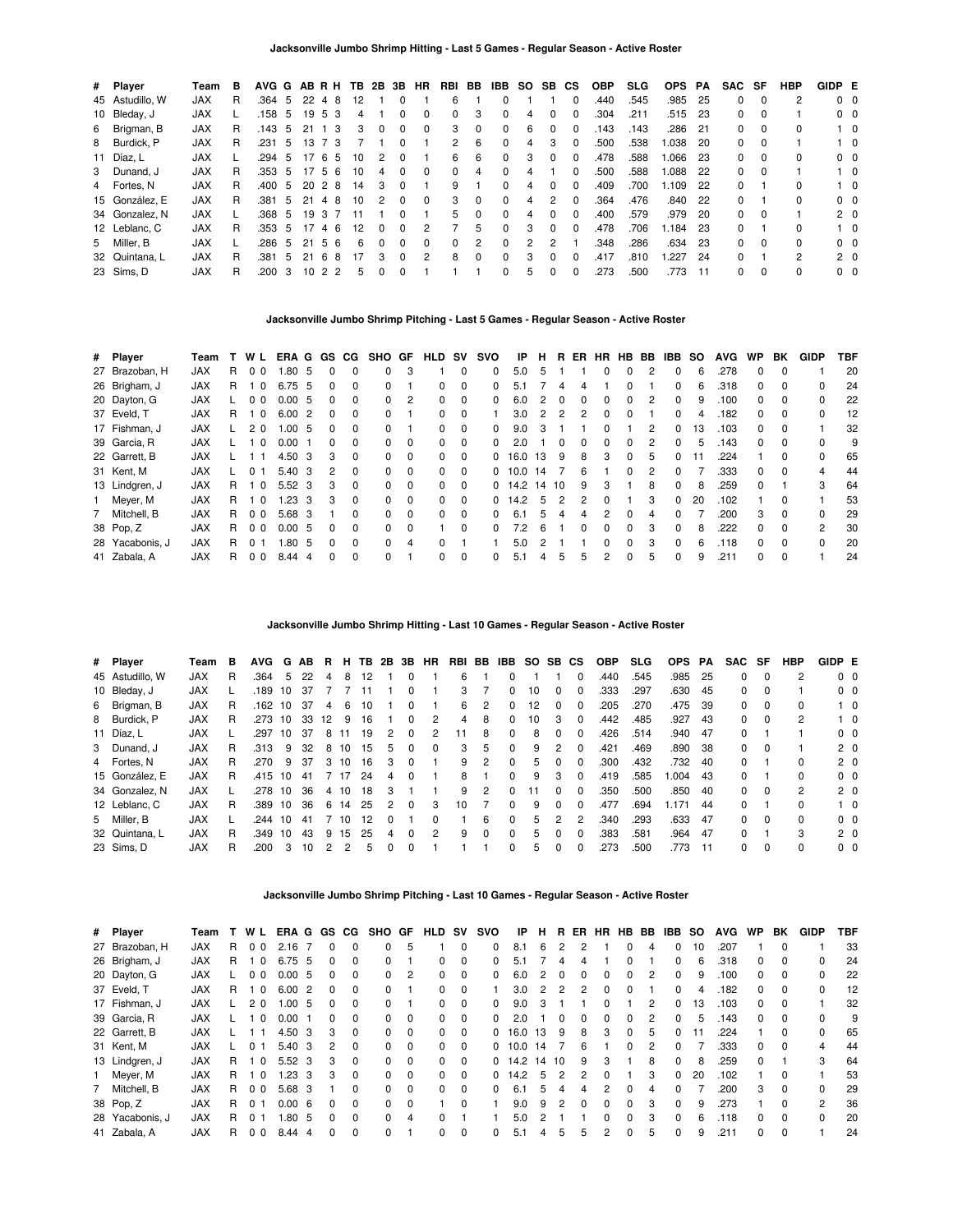| # Player        | Team       | в  |      |    |    |                | AVG G AB R H TB 2B 3B HR |          |              |               | RBI | BB       | IBB          | SO.           | SB.           | СS           | <b>OBP</b> | <b>SLG</b> | <b>OPS</b> | PA   | SAC SF       |          | <b>HBP</b> | GIDP E         |            |
|-----------------|------------|----|------|----|----|----------------|--------------------------|----------|--------------|---------------|-----|----------|--------------|---------------|---------------|--------------|------------|------------|------------|------|--------------|----------|------------|----------------|------------|
| 45 Astudillo, W | <b>JAX</b> | R  | .364 | -5 | 22 | 4              | 8<br>12                  |          | <sup>0</sup> |               | 6   |          |              |               |               | 0            | .440       | .545       | .985       | -25  | 0            | $\Omega$ |            | $0\quad 0$     |            |
| 10 Bleday, J    | <b>JAX</b> |    | .158 | -5 | 19 | 5              | 3<br>4                   |          | 0            |               | 0   | 3        | 0            |               |               | 0            | .304       | .211       | .515       | - 23 | 0            | $\Omega$ |            | $0\quad 0$     |            |
| 6 Brigman, B    | <b>JAX</b> | R. | .143 | -5 | 21 | 1 <sub>3</sub> | 3                        | $\Omega$ | $\Omega$     | $\Omega$      | 3   | $\Omega$ | $\Omega$     | 6             | 0             | 0            | .143       | .143       | .286       | 21   | 0            | $\Omega$ | $\Omega$   |                | $1\quad 0$ |
| 8 Burdick, P    | <b>JAX</b> | R  | .231 | 5  | 13 | 73             |                          |          | $\Omega$     |               | 2   | -6       | $\Omega$     | 4             | 3             | $\Omega$     | .500       | .538       | 1.038      | -20  | 0            | $\Omega$ |            |                | $1\quad$ 0 |
| 11 Díaz, L      | <b>JAX</b> |    | .294 | 5  | 17 | -6             | 10<br>5                  | 2        | 0            |               | 6   | 6        | 0            | 3             | 0             | 0            | .478       | .588       | 1.066      | -23  | 0            | $\Omega$ | $\Omega$   | $0\quad 0$     |            |
| 3 Dunand, J     | <b>JAX</b> | R  | .353 | -5 | 17 | -5             | 6<br>10                  | 4        | $\Omega$     | $\Omega$      | 0   | 4        | 0            |               |               | 0            | .500       | .588       | .088       | 22   | 0            | $\Omega$ |            |                | $1\quad 0$ |
| 4 Fortes, N     | <b>JAX</b> | R. | .400 | -5 | 20 | 2              | 8<br>14                  | 3        | $\Omega$     |               | 9   |          | <sup>0</sup> | 4             | 0             | 0            | .409       | .700       | 1.109      | -22  | 0            |          | $\Omega$   |                | $1\quad$ 0 |
| 15 González. E  | <b>JAX</b> | R  | .381 | 5  | 21 | 4              | 8<br>10                  | 2        | <sup>0</sup> | $\Omega$      | 3   | $\Omega$ | $\Omega$     | 4             | $\mathcal{P}$ | $\Omega$     | .364       | .476       | .840       | 22   | $\Omega$     |          |            | $0\quad 0$     |            |
| 34 Gonzalez, N  | <b>JAX</b> |    | .368 | -5 | 19 | 3              | 11                       |          | $\Omega$     |               | 5   | $\Omega$ | $\Omega$     |               | O.            | 0            | .400       | .579       | .979       | -20  | 0            | $\Omega$ |            | 2 <sub>0</sub> |            |
| 12 Leblanc, C   | <b>JAX</b> | R  | .353 | -5 | 17 | 46             | 12                       | 0        | $\Omega$     | $\mathcal{P}$ |     | 5        | <sup>0</sup> | 3             | 0             | 0            | .478       | .706       | 1.184      | -23  | <sup>0</sup> |          | $\Omega$   |                | $1\quad$ 0 |
| 5 Miller, B     | <b>JAX</b> |    | .286 | -5 | 21 | -5             | 6<br>6                   | $\Omega$ | $\Omega$     | $\Omega$      | 0   | 2        | $\Omega$     | $\mathcal{P}$ | 2             |              | .348       | .286       | .634       | -23  | $\Omega$     | $\Omega$ | $\Omega$   | $0\quad 0$     |            |
| 32 Quintana, L  | <b>JAX</b> | R  | .381 | -5 | 21 | -6             | 17<br>8                  | 3        | $\Omega$     | $\mathcal{P}$ | 8   | $\Omega$ | <sup>0</sup> | 3             | 0             | <sup>0</sup> | .417       | .810       | .227       | 24   | <sup>0</sup> |          | 2          | $2\quad 0$     |            |
| 23 Sims, D      | <b>JAX</b> | R  | .200 | 3  | 10 | 2              | 2<br>5                   |          | 0            |               |     |          | 0            | 5             | 0             | 0            | .273       | .500       | .773       | 11   | 0            | $\Omega$ | $\Omega$   | 0 <sub>0</sub> |            |

### **Jacksonville Jumbo Shrimp Pitching - Last 5 Games - Regular Season - Active Roster**

| # Player        | Team       |    | WL             | ERA G |    | GS.          | CG.          | <b>SHO</b>   | GF       | <b>HLD</b>   | sv       | svo          | ΙP   | н     | R.           | ER. | HR HB        |              | BB. | IBB.         | <b>SO</b> | <b>AVG</b> | <b>WP</b>    | ВK           | <b>GIDP</b>   | TBF |
|-----------------|------------|----|----------------|-------|----|--------------|--------------|--------------|----------|--------------|----------|--------------|------|-------|--------------|-----|--------------|--------------|-----|--------------|-----------|------------|--------------|--------------|---------------|-----|
| 27 Brazoban, H  | <b>JAX</b> | R. | 0 <sub>0</sub> | .80   | 5  |              | <sup>0</sup> | <sup>0</sup> | 3        |              | $\Omega$ | 0            | 5.0  | 5     |              |     | 0            | 0            | 2   | 0            | 6         | .278       | 0            |              |               | 20  |
| 26 Brigham, J   | <b>JAX</b> | R. | $\Omega$       | 6.75  | 5  |              |              | 0            |          | <sup>0</sup> | $\Omega$ | <sup>0</sup> | 51   |       |              |     |              |              |     | 0            | 6         | .318       | O.           |              | 0             | 24  |
| 20 Dayton, G    | <b>JAX</b> |    | 0 <sub>0</sub> | 0.00  | -5 | 0            | $\Omega$     | $\Omega$     | 2        | 0            | $\Omega$ | <sup>0</sup> | 6.0  | 2     | $\Omega$     |     | <sup>0</sup> | 0            | 2   | 0            | 9         | .100       | 0            | <sup>0</sup> | 0             | 22  |
| 37 Eveld, T     | <b>JAX</b> | R. | $\Omega$       | 6.00  | 2  |              | $\Omega$     | 0            |          | 0            | $\Omega$ |              | 3.0  |       | 2            |     | <sup>0</sup> |              |     | 0            | 4         | .182       | <sup>0</sup> | $\Omega$     | $\Omega$      | 12  |
| 17 Fishman, J   | <b>JAX</b> |    | 2 <sub>0</sub> | 1.00  | 5  |              | $\Omega$     | 0            |          | 0            | $\Omega$ | 0            | 9.0  | 3     |              |     | 0            |              | 2   | 0            | 13        | .103       | 0            | 0            |               | 32  |
| 39 Garcia, R    | <b>JAX</b> |    | $\Omega$       | 0.00  |    | <sup>n</sup> | $\Omega$     | 0            | $\Omega$ | 0            | $\Omega$ | <sup>0</sup> | 2.0  |       | <sup>0</sup> |     | 0            | $\Omega$     | 2   | 0            | 5         | .143       | <sup>0</sup> | $\Omega$     | <sup>0</sup>  | 9   |
| 22 Garrett, B   | <b>JAX</b> |    |                | 4.50  | 3  | з            | $\Omega$     | 0            | $\Omega$ | 0            | $\Omega$ | 0            | 16.0 | 13    | 9            | 8   | 3            | 0            | 5   | 0            | 11        | .224       |              |              | 0             | 65  |
| 31 Kent, M      | <b>JAX</b> |    | 0              | 5.40  | 3  | 2            | $\Omega$     | 0            | $\Omega$ | 0            | $\Omega$ | 0            | 10.0 | 14    |              | 6   |              | $\Omega$     | 2   | 0            |           | .333       | <sup>0</sup> | $\Omega$     | 4             | 44  |
| 13 Lindgren, J  | <b>JAX</b> | R. | - 0            | 5.52  | -3 | з            | $\Omega$     | 0            | $\Omega$ | 0            | $\Omega$ | 0            | 14.2 | 14 10 |              | 9   | 3            |              | 8   | 0            | 8         | .259       | <sup>o</sup> |              | 3             | 64  |
| 1 Meyer, M      | <b>JAX</b> | R. | - 0            | 1.23  | 3  | з            | $\Omega$     | $\Omega$     | $\Omega$ | 0            | $\Omega$ | 0            | 14.2 | 5     | 2            |     | <sup>0</sup> |              | 3   | 0            | 20        | .102       |              | 0            |               | 53  |
| 7 Mitchell, B   | <b>JAX</b> | R. | 0 <sub>0</sub> | 5.68  | 3  |              | <sup>0</sup> | 0            | $\Omega$ | 0            | $\Omega$ | <sup>0</sup> | 6.1  | 'n.   |              |     |              |              |     | 0            |           | .200       | 3            |              | 0             | 29  |
| 38 Pop, Z       | <b>JAX</b> | R. | 0 <sub>0</sub> | 0.00  | 5  | <sup>n</sup> | $\Omega$     | $\Omega$     | $\Omega$ |              | $\Omega$ | $\Omega$     | 7.2  | 6     |              |     | <sup>0</sup> | $\Omega$     | 3   | 0            | 8         | .222       | <sup>o</sup> | $\Omega$     | $\mathcal{P}$ | 30  |
| 28 Yacabonis, J | <b>JAX</b> | R. | $\Omega$       | .80   | 5  |              | $\Omega$     | 0            | 4        | <sup>0</sup> |          |              | 5.0  |       |              |     |              |              | 3   | 0            | 6         | .118       | O.           | <sup>0</sup> | $\Omega$      | 20  |
| 41 Zabala, A    | <b>JAX</b> | R. | 0 <sub>0</sub> | 8.44  | 4  |              | $\Omega$     | <sup>0</sup> |          | <sup>0</sup> | $\Omega$ | 0            | 5.1  |       | 5            | 'n. | 2            | <sup>0</sup> | 5   | <sup>0</sup> | 9         | .211       | O.           | <sup>0</sup> |               | 24  |

**Jacksonville Jumbo Shrimp Hitting - Last 10 Games - Regular Season - Active Roster**

| # Player        | Team       | в | <b>AVG</b> | G  | AB. | В. | н.   | TB. | 2B 3B |              | HR | RBI | BB       | IBB          |    | SO SB CS     |              | <b>OBP</b> | <b>SLG</b> | <b>OPS</b> | PA   | <b>SAC</b> | SF       | HBP | GIDP E |                |
|-----------------|------------|---|------------|----|-----|----|------|-----|-------|--------------|----|-----|----------|--------------|----|--------------|--------------|------------|------------|------------|------|------------|----------|-----|--------|----------------|
| 45 Astudillo, W | <b>JAX</b> | R | .364       | 5  | 22  | 4  | 8    | 12  |       | 0            |    | 6   |          |              |    |              | $\Omega$     | .440       | .545       | .985       | - 25 | 0          | $\Omega$ |     |        | 0 <sub>0</sub> |
| 10 Bleday, J    | <b>JAX</b> |   | .189       | 10 | -37 |    |      |     |       |              |    | 3   |          | 0            | 10 |              | 0            | .333       | .297       | .630       | -45  | 0          | $\Omega$ |     |        | $0\quad 0$     |
| 6 Brigman, B    | <b>JAX</b> | R | .162       | 10 | 37  | 4  | 6    | 10  |       | 0            |    | 6   | 2        | 0            | 12 | 0            | $\Omega$     | .205       | .270       | .475       | -39  | 0          | 0        | 0   |        | $1\quad 0$     |
| 8 Burdick, P    | <b>JAX</b> | R | .273       | 10 | 33  | 12 | -9   | 16  |       | 0            | 2  | 4   | 8        | 0            | 10 | 3            | $\Omega$     | .442       | .485       | .927       | -43  | 0          | $\Omega$ | 2   |        | $1\quad 0$     |
| 11 Díaz, L      | <b>JAX</b> |   | .297       | 10 | 37  | 8  | 11   | 19  | 2     | 0            | 2  | 11  | 8        | 0            | 8  | <sup>0</sup> | $\Omega$     | .426       | .514       | .940       | -47  | 0          |          |     |        | 0 <sub>0</sub> |
| 3 Dunand, J     | <b>JAX</b> | R | .313       | 9  | 32  |    | 8 10 | 15  | 5     | <sup>0</sup> | 0  | 3   | 5        | 0            | 9  | 2            | $\Omega$     | .421       | .469       | .890       | -38  | 0          | - 0      |     |        | 2 <sub>0</sub> |
| 4 Fortes, N     | <b>JAX</b> | R | .270       | -9 | 37  | 3  | 10   | 16  | 3     | <sup>0</sup> |    | 9   | 2        | 0            | 5. |              | 0            | .300       | .432       | .732 40    |      | 0          |          | 0   |        | 2 <sub>0</sub> |
| 15 González, E  | <b>JAX</b> | R | .415 10    |    | -41 |    | 7 17 | 24  | 4     | <sup>0</sup> |    | 8   |          | 0            | 9  | 3            | $\Omega$     | .419       | .585       | .004       | -43  | 0          |          | 0   |        | 0 <sub>0</sub> |
| 34 Gonzalez, N  | <b>JAX</b> |   | .278 10    |    | 36  |    | 4 10 | 18  | 3     |              |    | 9   |          | <sup>0</sup> | 11 | <sup>0</sup> | $\Omega$     | .350       | .500       | .850       | - 40 | 0          | $\Omega$ | 2   |        | 2 <sub>0</sub> |
| 12 Leblanc, C   | <b>JAX</b> | R | .389 10    |    | 36  | 6  | 14   | 25  | 2     | 0            | 3  | 10  |          | 0            | 9  |              | <sup>0</sup> | .477       | .694       | .171       | -44  | 0          |          | 0   |        | $1\quad$ 0     |
| 5 Miller, B     | <b>JAX</b> |   | .244       | 10 | -41 |    | 10   | 12  | U     |              | 0  |     | 6        | 0            | 5  | 2            |              | .340       | .293       | .633       | 47   | 0          | $\Omega$ | 0   |        | 0 <sub>0</sub> |
| 32 Quintana, L  | <b>JAX</b> | R | .349       | 10 | 43  | 9  | 15   | 25  | 4     | <sup>0</sup> | 2  | 9   | $\Omega$ | <sup>0</sup> | 5. | <sup>0</sup> | $\Omega$     | .383       | .581       | .964       | - 47 | 0          |          | 3   |        | 2 <sub>0</sub> |
| 23 Sims, D      | <b>JAX</b> | R | .200       | 3  | 10  | 2  | 2    | 5   | 0     |              |    |     |          | O.           | 5. |              |              | .273       | .500       | .773       | - 11 | O.         | $\Omega$ | 0   |        | 0 <sub>0</sub> |

**Jacksonville Jumbo Shrimp Pitching - Last 10 Games - Regular Season - Active Roster**

| # Player        | Team       |    | W L            | ERA G  |    | GS. | CG.          | SHO GF       |          | HLD          | <b>SV</b>   | svo          | IP   | н  | R.       | ER       | HR           | HB.          | BB             | IBB          | <b>SO</b> | <b>AVG</b> | <b>WP</b>    | BK           | GIDP     | TBF |
|-----------------|------------|----|----------------|--------|----|-----|--------------|--------------|----------|--------------|-------------|--------------|------|----|----------|----------|--------------|--------------|----------------|--------------|-----------|------------|--------------|--------------|----------|-----|
| 27 Brazoban, H  | <b>JAX</b> | R. | 0 <sub>0</sub> | 2.16   |    | U   | 0            |              | 5        |              | 0           | <sup>0</sup> | 8.1  | 6  | 2        |          |              |              | 4              | 0            | 10        | .207       |              | 0            |          | 33  |
| 26 Brigham, J   | <b>JAX</b> | R. | $\Omega$       | 6.75   | 5  |     | $\Omega$     | 0            |          |              | $\Omega$    |              | 5.1  |    |          |          |              |              |                | 0            | 6         | .318       | 0            | 0            | 0        | 24  |
| 20 Dayton, G    | JAX        |    | 0 <sub>0</sub> | 0.00   | -5 | 0   | $\Omega$     | $\Omega$     | 2        | 0            | 0           | <sup>o</sup> | 6.0  | 2  | $\Omega$ | $\Omega$ | 0            | $\Omega$     | $\overline{c}$ | 0            | 9         | .100       | 0            | 0            | 0        | 22  |
| 37 Eveld, T     | <b>JAX</b> | R. | - 0            | 6.00   | 2  |     | $\Omega$     |              |          | 0            | $\mathbf 0$ |              | 3.0  | 2  |          |          | 0            |              |                | 0            | 4         | .182       | 0            | 0            | 0        | 12  |
| 17 Fishman, J   | <b>JAX</b> |    | 20             | 00.1   | 5  | U   | $\Omega$     | <sup>0</sup> |          | 0            | $\Omega$    | <sup>o</sup> | 9.0  | 3  |          |          | 0            |              | 2              | 0            | 13        | .103       | 0            | 0            |          | 32  |
| 39 Garcia, R    | <b>JAX</b> |    | - 0            | 0.00   |    |     | <sup>0</sup> | <sup>0</sup> | $\Omega$ | 0            | $\Omega$    |              | 2.0  |    |          |          |              |              |                | 0            | 5         | .143       | <sup>o</sup> | 0            | O        | 9   |
| 22 Garrett, B   | JAX        |    |                | 4.50   | 3  | 3   | $\Omega$     | <sup>0</sup> | $\Omega$ | $\Omega$     | $\Omega$    | $\Omega$     | 16.0 | 13 | 9        | 8        | 3            | $\Omega$     | 5              | 0            | 11        | .224       |              | 0            | 0        | 65  |
| 31 Kent, M      | <b>JAX</b> |    | $\Omega$       | 5.40   | 3  | 2   | $\Omega$     | $\Omega$     | $\Omega$ | 0            | $\Omega$    | <sup>0</sup> | 10.0 | 14 |          | 6        |              |              | 2              | 0            |           | .333       | <sup>o</sup> | 0            |          | 44  |
| 13 Lindgren, J  | <b>JAX</b> | R. | $\Omega$       | 5.52   | 3  | з   | $\Omega$     | 0            | $\Omega$ | $\Omega$     | $\Omega$    | <sup>0</sup> | 14.2 | 14 | 10       | 9        | 3            |              | 8              | <sup>0</sup> | 8         | .259       | <sup>0</sup> |              | 3        | 64  |
| 1 Meyer, M      | <b>JAX</b> | R. | - 0            | 1.23   | 3  | 3   | $\Omega$     | $\Omega$     | $\Omega$ | $\Omega$     | $\Omega$    | <sup>0</sup> | 14.2 | 5  |          | 2        | $\Omega$     |              | 3              | 0            | 20        | .102       |              | <sup>0</sup> |          | 53  |
| 7 Mitchell, B   | <b>JAX</b> | R. | 0 <sub>0</sub> | 5.68 3 |    |     | $\Omega$     | $\Omega$     | $\Omega$ | $\Omega$     | $\Omega$    | <sup>n</sup> | 6.1  | 5  | 4        | Δ        | 2            | <sup>n</sup> | 4              | <sup>0</sup> |           | .200       | 3            | 0            | $\Omega$ | 29  |
| 38 Pop, Z       | <b>JAX</b> | R. | $\Omega$       | 0.00   | -6 |     | $\Omega$     | 0            | $\Omega$ |              | $\Omega$    |              | 9.0  | 9  | 2        | $\Omega$ | <sup>0</sup> |              | 3              | 0            | 9         | .273       |              | <sup>0</sup> | 2        | 36  |
| 28 Yacabonis, J | <b>JAX</b> | R. | $\Omega$       | .80    | 5  | n   | $\Omega$     | $\Omega$     | 4        | <sup>0</sup> |             |              | 5.0  |    |          |          | <sup>0</sup> | <sup>n</sup> | 3              | <sup>0</sup> | 6         | .118       | 0            | $\Omega$     | $\Omega$ | 20  |
| 41 Zabala, A    | <b>JAX</b> | R  | 0 <sub>0</sub> | 8.44   | 4  |     | $\Omega$     |              |          | 0            | $\Omega$    | 0            | 5.1  | 4  | 5        | 5.       | 2            | $\Omega$     | 5              | 0            | 9         | .211       |              | $\Omega$     |          | 24  |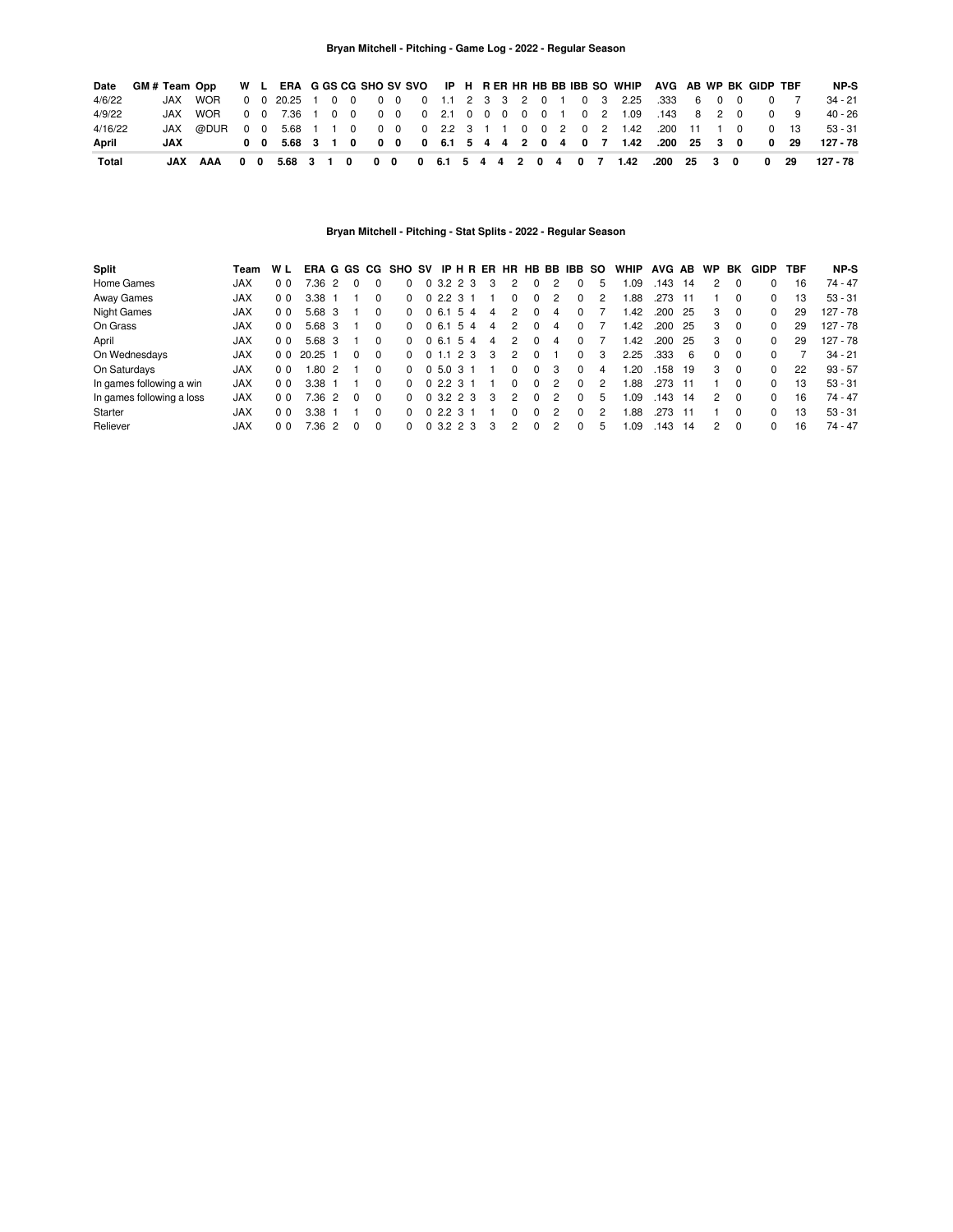#### **Bryan Mitchell - Pitching - Game Log - 2022 - Regular Season**

| Date    |     | GM# Team Opp W L ERA G GS CG SHO SV SVO IP H R ER HR HB BB IBB SO WHIP AVG AB WP BK GIDP TBF |  |  |  |  |  |  |  |  |  |                                                              |  |  |      | NP-S      |
|---------|-----|----------------------------------------------------------------------------------------------|--|--|--|--|--|--|--|--|--|--------------------------------------------------------------|--|--|------|-----------|
| 4/6/22  |     | JAX WOR                                                                                      |  |  |  |  |  |  |  |  |  | 0 0 20.25 1 0 0 0 0 0 1.1 2 3 3 2 0 1 0 3 2.25 .333 6 0 0    |  |  |      | 34 - 21   |
| 4/9/22  |     | JAX WOR                                                                                      |  |  |  |  |  |  |  |  |  | 0 0 7.36 1 0 0 0 0 0 2.1 0 0 0 0 0 1 0 2 1.09 .143 8 2 0 0 9 |  |  |      | $40 - 26$ |
| 4/16/22 |     |                                                                                              |  |  |  |  |  |  |  |  |  |                                                              |  |  | 0 13 | $53 - 31$ |
| April   | JAX |                                                                                              |  |  |  |  |  |  |  |  |  | 0 0 5.68 3 1 0 0 0 0 0 6.1 5 4 4 2 0 4 0 7 1.42 .200 25 3 0  |  |  | 0 29 | 127 - 78  |
| Total   |     | JAX AAA 0 0 5.68 3 1 0 0 0 0 6.1 5 4 4 2 0 4 0 7 1.42 .200 25 3 0 0 29                       |  |  |  |  |  |  |  |  |  |                                                              |  |  |      | 127 - 78  |

# **Bryan Mitchell - Pitching - Stat Splits - 2022 - Regular Season**

| Split                     | Team       | W L            |        |                |              |              | ERAGGS CG SHO SV IP H R ER HR HB BB IBB SO |               |  |   |   |              |               |              |               | <b>WHIP</b> | AVG AB |     | <b>WP</b>     | BK             | <b>GIDP</b>  | TBF | NP-S       |
|---------------------------|------------|----------------|--------|----------------|--------------|--------------|--------------------------------------------|---------------|--|---|---|--------------|---------------|--------------|---------------|-------------|--------|-----|---------------|----------------|--------------|-----|------------|
| Home Games                | <b>JAX</b> | 0 <sub>0</sub> | 7.36   |                |              |              |                                            | 0, 3.2, 2, 3  |  | 3 | 2 | 0            | 2             |              | 5             | .09         | .143   | 14  |               |                |              | 16  | $74 - 47$  |
| Away Games                | <b>JAX</b> | 0 <sub>0</sub> | 3.38   |                |              |              | n.                                         | 0, 2.2, 3, 1  |  |   |   | $\Omega$     | 2             | 0            | 2             | .88         | .273   |     |               |                | 0            | 13  | $53 - 31$  |
| <b>Night Games</b>        | <b>JAX</b> | 0 <sub>0</sub> | 5.68 3 |                |              |              | 0                                          | 0,6.1,5,4     |  | 4 | 2 | $\Omega$     | 4             | 0            |               | .42         | .200   | -25 | з             | $\overline{0}$ | 0            | 29  | 127 - 78   |
| On Grass                  | <b>JAX</b> | 0 <sub>0</sub> | 5.68 3 |                |              | <sup>0</sup> | <sup>n</sup>                               | 0,6.1,5,4     |  | 4 | 2 | $\Omega$     | 4             | 0            |               | .42         | .200   | -25 | 3             | $\overline{0}$ | 0            | 29  | $127 - 78$ |
| April                     | <b>JAX</b> | 0 <sub>0</sub> | 5.68 3 |                |              | 0            | <sup>n</sup>                               | 0 6.1 5 4     |  | 4 | 2 | $\Omega$     | 4             | 0            |               | 1.42        | .200   | 25  | 3             | $\overline{0}$ | 0            | 29  | $127 - 78$ |
| On Wednesdays             | <b>JAX</b> | 0 <sub>0</sub> | 20.25  |                | <sup>0</sup> | $\Omega$     | 0                                          | 0, 1, 1, 2, 3 |  | 3 | 2 |              |               | 0            | 3             | 2.25        | .333   | 6   | $\Omega$      | - 0            | <sup>0</sup> |     | $34 - 21$  |
| On Saturdays              | <b>JAX</b> | 0 <sub>0</sub> | 1.802  |                |              | 0            | 0                                          | 0, 5.0, 3, 1  |  |   | 0 | $\Omega$     | 3             | 0            | 4             | .20         | 158    | 19  | 3             | - 0            | $\Omega$     | 22  | $93 - 57$  |
| In games following a win  | <b>JAX</b> | 0 <sub>0</sub> | 3.38   |                |              |              |                                            | 0, 2, 2, 3, 1 |  |   | 0 | $\Omega$     | $\mathcal{P}$ | 0            | 2             | 1.88        | .273   |     |               | <sup>0</sup>   | 0            | 13  | $53 - 31$  |
| In games following a loss | <b>JAX</b> | 0 <sub>0</sub> | 7.36   | $\overline{2}$ | $\Omega$     | $\Omega$     | 0                                          | 0, 3.2, 2, 3  |  | 3 | 2 | $\Omega$     | $\mathcal{P}$ | 0            | 5             | 1.09        | .143   | 14  | $\mathcal{P}$ | $\Omega$       | 0            | 16  | 74 - 47    |
| Starter                   | <b>JAX</b> | 0 <sub>0</sub> | 3.38   |                |              |              | <sup>o</sup>                               | 0, 2, 2, 3, 1 |  |   | 0 | $\Omega$     | $\mathcal{P}$ | <sup>0</sup> | $\mathcal{P}$ | .88         | .273   | 11  |               | <sup>0</sup>   | 0            | 13  | $53 - 31$  |
| Reliever                  | <b>JAX</b> | 0 <sub>0</sub> | 7.36   |                |              |              |                                            | 0, 3.2, 2, 3  |  |   | 2 | <sup>n</sup> | 2             | O            | 5             | .09         | .143   | 14  | 2             | $\Omega$       | 0            | 16  | 74 - 47    |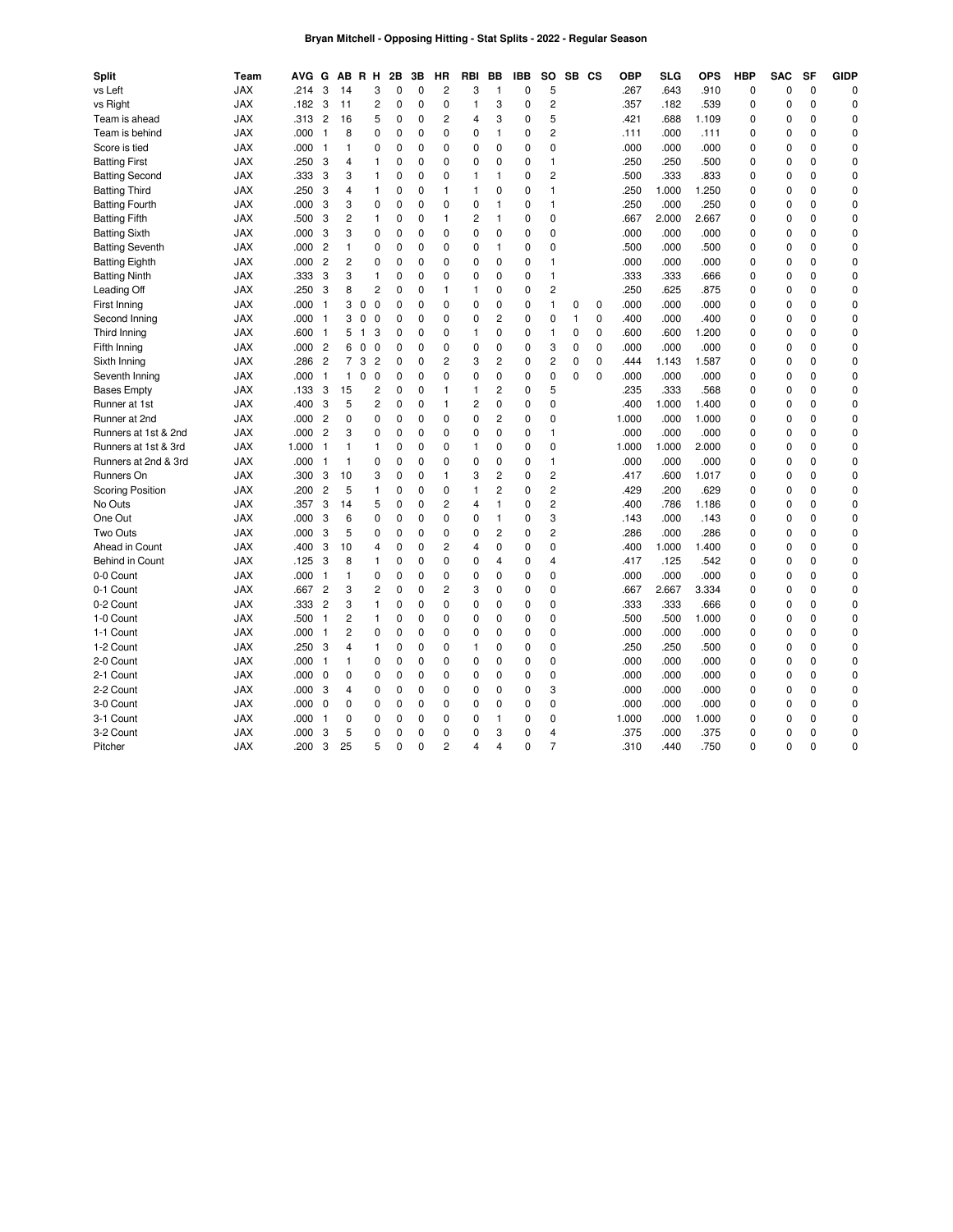# **Bryan Mitchell - Opposing Hitting - Stat Splits - 2022 - Regular Season**

| <b>Split</b>            | Team       | <b>AVG</b> | G              |                | AB R H                  | 2Β          | 3B          | НR             | RBI            | BВ             | <b>IBB</b>  | <b>SO</b>      |   | SB CS       | <b>OBP</b> | <b>SLG</b> | <b>OPS</b> | <b>HBP</b>  | <b>SAC</b>  | <b>SF</b>   | <b>GIDP</b> |
|-------------------------|------------|------------|----------------|----------------|-------------------------|-------------|-------------|----------------|----------------|----------------|-------------|----------------|---|-------------|------------|------------|------------|-------------|-------------|-------------|-------------|
| vs Left                 | <b>JAX</b> | .214       | 3              | 14             | 3                       | 0           | 0           | $\overline{c}$ | 3              | 1              | 0           | 5              |   |             | .267       | .643       | .910       | 0           | 0           | $\mathbf 0$ | 0           |
| vs Right                | <b>JAX</b> | .182       | 3              | 11             | $\overline{c}$          | 0           | $\mathbf 0$ | $\mathbf 0$    | $\mathbf{1}$   | 3              | $\mathbf 0$ | $\overline{c}$ |   |             | .357       | .182       | .539       | $\mathbf 0$ | $\mathbf 0$ | $\Omega$    | $\mathbf 0$ |
| Team is ahead           | <b>JAX</b> | .313       | $\overline{c}$ | 16             | 5                       | 0           | 0           | 2              | 4              | 3              | 0           | 5              |   |             | .421       | .688       | 1.109      | 0           | $\mathbf 0$ | $\mathbf 0$ | 0           |
| Team is behind          | <b>JAX</b> | .000       | $\mathbf{1}$   | 8              | 0                       | 0           | $\mathbf 0$ | $\mathbf 0$    | $\mathbf 0$    | 1              | $\mathbf 0$ | $\overline{c}$ |   |             | .111       | .000       | .111       | 0           | $\mathbf 0$ | $\mathbf 0$ | $\mathbf 0$ |
| Score is tied           | <b>JAX</b> | .000       | $\overline{1}$ | 1              | 0                       | 0           | 0           | 0              | 0              | 0              | $\mathbf 0$ | 0              |   |             | .000       | .000       | .000       | $\mathbf 0$ | $\mathbf 0$ | $\mathbf 0$ | 0           |
| <b>Batting First</b>    | <b>JAX</b> | .250       | 3              | 4              | 1                       | 0           | $\mathbf 0$ | 0              | 0              | $\Omega$       | $\mathbf 0$ | $\mathbf{1}$   |   |             | .250       | .250       | .500       | $\Omega$    | $\Omega$    | $\Omega$    | $\mathbf 0$ |
| <b>Batting Second</b>   | <b>JAX</b> | .333       | 3              | 3              | 1                       | $\mathbf 0$ | $\mathbf 0$ | 0              | $\mathbf{1}$   | 1              | $\mathbf 0$ | $\overline{c}$ |   |             | .500       | .333       | .833       | $\mathbf 0$ | $\mathbf 0$ | $\Omega$    | $\mathbf 0$ |
| <b>Batting Third</b>    | <b>JAX</b> | .250       | 3              | 4              | 1                       | 0           | 0           | $\mathbf{1}$   | $\mathbf{1}$   | 0              | $\mathbf 0$ | 1              |   |             | .250       | 1.000      | 1.250      | $\mathbf 0$ | $\mathbf 0$ | $\Omega$    | 0           |
| <b>Batting Fourth</b>   | <b>JAX</b> | .000       | 3              | 3              | 0                       | 0           | 0           | 0              | 0              | 1              | 0           | 1              |   |             | .250       | .000       | .250       | 0           | 0           | $\mathbf 0$ | 0           |
| <b>Batting Fifth</b>    | <b>JAX</b> | .500       | 3              | 2              | 1                       | 0           | 0           | $\mathbf{1}$   | 2              | 1              | $\mathbf 0$ | 0              |   |             | .667       | 2.000      | 2.667      | 0           | $\mathbf 0$ | $\mathbf 0$ | 0           |
| <b>Batting Sixth</b>    | <b>JAX</b> | .000       | 3              | 3              | 0                       | 0           | 0           | $\mathbf 0$    | 0              | 0              | $\mathbf 0$ | 0              |   |             | .000       | .000       | .000       | $\mathbf 0$ | $\mathbf 0$ | $\mathbf 0$ | $\mathbf 0$ |
| <b>Batting Seventh</b>  | <b>JAX</b> | .000       | $\overline{c}$ | 1              | 0                       | 0           | 0           | 0              | 0              | 1              | 0           | 0              |   |             | .500       | .000       | .500       | 0           | $\mathbf 0$ | $\mathbf 0$ | 0           |
| <b>Batting Eighth</b>   | <b>JAX</b> | .000       | $\overline{c}$ | $\overline{c}$ | 0                       | 0           | 0           | 0              | 0              | 0              | 0           | 1              |   |             | .000       | .000       | .000       | $\mathbf 0$ | $\mathbf 0$ | $\mathbf 0$ | 0           |
| <b>Batting Ninth</b>    | <b>JAX</b> | .333       | 3              | 3              | 1                       | 0           | 0           | 0              | 0              | 0              | $\mathbf 0$ | 1              |   |             | .333       | .333       | .666       | $\mathbf 0$ | $\mathbf 0$ | $\Omega$    | 0           |
| Leading Off             | <b>JAX</b> | .250       | 3              | 8              | $\overline{c}$          | $\Omega$    | 0           | 1              | $\mathbf{1}$   | $\Omega$       | $\mathbf 0$ | $\overline{c}$ |   |             | .250       | .625       | .875       | $\mathbf 0$ | $\mathbf 0$ | $\Omega$    | $\mathbf 0$ |
| First Inning            | <b>JAX</b> | .000       | $\overline{1}$ | 3              | $\Omega$<br>$\Omega$    | $\Omega$    | $\Omega$    | $\Omega$       | $\Omega$       | 0              | $\Omega$    | $\mathbf{1}$   | 0 | $\mathbf 0$ | .000       | .000       | .000       | 0           | $\mathbf 0$ | $\Omega$    | $\mathbf 0$ |
| Second Inning           | <b>JAX</b> | .000       | $\overline{1}$ | 3              | $\mathbf 0$<br>0        | $\mathbf 0$ | 0           | $\mathbf 0$    | 0              | $\overline{c}$ | $\mathbf 0$ | 0              | 1 | $\mathbf 0$ | .400       | .000       | .400       | $\mathbf 0$ | $\mathbf 0$ | $\mathbf 0$ | 0           |
| Third Inning            | <b>JAX</b> | .600       | $\overline{1}$ | 5              | 3<br>$\overline{1}$     | 0           | 0           | $\mathbf 0$    | $\mathbf{1}$   | 0              | $\mathbf 0$ | $\mathbf{1}$   | 0 | 0           | .600       | .600       | 1.200      | 0           | $\mathbf 0$ | $\Omega$    | $\mathbf 0$ |
| Fifth Inning            | <b>JAX</b> | .000       | $\overline{c}$ | 6              | $\mathbf 0$<br>0        | 0           | $\mathbf 0$ | $\mathbf 0$    | 0              | $\overline{0}$ | $\mathbf 0$ | 3              | 0 | $\mathbf 0$ | .000       | .000       | .000       | $\mathbf 0$ | $\mathbf 0$ | $\mathbf 0$ | 0           |
| Sixth Inning            | <b>JAX</b> | .286       | $\overline{c}$ | $\overline{7}$ | 3<br>$\overline{c}$     | 0           | 0           | 2              | 3              | $\overline{c}$ | 0           | 2              | 0 | 0           | .444       | 1.143      | 1.587      | $\mathbf 0$ | $\mathbf 0$ | $\Omega$    | 0           |
| Seventh Inning          | <b>JAX</b> | .000       | $\mathbf{1}$   | $\mathbf{1}$   | 0<br>0                  | 0           | $\mathbf 0$ | 0              | 0              | $\mathbf 0$    | $\mathbf 0$ | 0              | 0 | $\mathbf 0$ | .000       | .000       | .000       | $\mathbf 0$ | $\mathbf 0$ | $\mathbf 0$ | 0           |
| <b>Bases Empty</b>      | <b>JAX</b> | .133       | 3              | 15             | 2                       | 0           | 0           | 1              | 1              | 2              | 0           | 5              |   |             | .235       | .333       | .568       | $\mathbf 0$ | $\mathbf 0$ | $\mathbf 0$ | 0           |
| Runner at 1st           | <b>JAX</b> | .400       | 3              | 5              | $\overline{c}$          | $\mathbf 0$ | $\mathbf 0$ | $\mathbf{1}$   | $\overline{c}$ | $\overline{0}$ | $\mathbf 0$ | $\mathbf 0$    |   |             | .400       | 1.000      | 1.400      | $\mathbf 0$ | $\mathbf 0$ | $\Omega$    | $\mathbf 0$ |
| Runner at 2nd           | <b>JAX</b> | .000       | $\overline{c}$ | 0              | 0                       | 0           | 0           | $\mathbf 0$    | 0              | 2              | $\mathbf 0$ | $\mathbf 0$    |   |             | 1.000      | .000       | 1.000      | $\mathbf 0$ | $\mathbf 0$ | $\mathbf 0$ | 0           |
| Runners at 1st & 2nd    | JAX        | .000       | $\overline{c}$ | 3              | 0                       | $\mathbf 0$ | $\mathbf 0$ | $\mathbf 0$    | $\mathbf 0$    | $\mathbf 0$    | $\mathbf 0$ | 1              |   |             | .000       | .000       | .000       | $\mathbf 0$ | $\mathbf 0$ | $\Omega$    | $\mathbf 0$ |
| Runners at 1st & 3rd    | <b>JAX</b> | 1.000      | $\mathbf{1}$   | 1              | 1                       | 0           | 0           | 0              | $\mathbf{1}$   | 0              | $\mathbf 0$ | 0              |   |             | 1.000      | 1.000      | 2.000      | 0           | 0           | $\mathbf 0$ | 0           |
| Runners at 2nd & 3rd    | <b>JAX</b> | .000       | -1             | 1              | 0                       | $\mathbf 0$ | 0           | $\mathbf 0$    | $\mathbf 0$    | $\mathbf 0$    | $\mathbf 0$ | $\mathbf{1}$   |   |             | .000       | .000       | .000       | 0           | $\mathbf 0$ | $\mathbf 0$ | $\mathbf 0$ |
| Runners On              | <b>JAX</b> | .300       | 3              | 10             | 3                       | 0           | 0           | $\mathbf{1}$   | 3              | 2              | $\mathbf 0$ | 2              |   |             | .417       | .600       | 1.017      | 0           | $\mathbf 0$ | $\mathbf 0$ | 0           |
| <b>Scoring Position</b> | <b>JAX</b> | .200       | $\overline{c}$ | 5              | 1                       | 0           | $\mathbf 0$ | $\mathbf 0$    | $\mathbf{1}$   | $\overline{c}$ | $\mathbf 0$ | $\overline{c}$ |   |             | .429       | .200       | .629       | $\mathbf 0$ | $\mathbf 0$ | $\Omega$    | $\mathbf 0$ |
| No Outs                 | <b>JAX</b> | .357       | 3              | 14             | 5                       | 0           | 0           | 2              | 4              | 1              | $\mathbf 0$ | $\overline{c}$ |   |             | .400       | .786       | 1.186      | $\mathbf 0$ | $\mathbf 0$ | $\mathbf 0$ | 0           |
| One Out                 | <b>JAX</b> | .000       | 3              | 6              | 0                       | $\mathbf 0$ | $\mathbf 0$ | 0              | 0              | 1              | $\mathbf 0$ | 3              |   |             | .143       | .000       | .143       | $\mathbf 0$ | $\mathbf 0$ | $\Omega$    | $\mathbf 0$ |
| Two Outs                | <b>JAX</b> | .000       | 3              | 5              | 0                       | $\mathbf 0$ | $\mathbf 0$ | $\mathbf 0$    | 0              | 2              | $\mathbf 0$ | $\overline{c}$ |   |             | .286       | .000       | .286       | $\mathbf 0$ | $\mathbf 0$ | $\mathbf 0$ | 0           |
| Ahead in Count          | <b>JAX</b> | .400       | 3              | 10             | 4                       | 0           | 0           | 2              | 4              | $\Omega$       | 0           | 0              |   |             | .400       | 1.000      | 1.400      | $\Omega$    | $\Omega$    | $\Omega$    | 0           |
| Behind in Count         | <b>JAX</b> | .125       | 3              | 8              | 1                       | 0           | 0           | $\mathbf 0$    | 0              | 4              | $\mathbf 0$ | 4              |   |             | .417       | .125       | .542       | $\mathbf 0$ | 0           | $\mathbf 0$ | 0           |
| 0-0 Count               | <b>JAX</b> | .000       | $\mathbf{1}$   | 1              | 0                       | 0           | 0           | $\mathbf 0$    | 0              | 0              | 0           | 0              |   |             | .000       | .000       | .000       | 0           | $\mathbf 0$ | $\Omega$    | 0           |
| 0-1 Count               | <b>JAX</b> | .667       | $\overline{c}$ | 3              | $\overline{\mathbf{c}}$ | $\mathbf 0$ | 0           | 2              | 3              | 0              | $\mathbf 0$ | $\mathbf 0$    |   |             | .667       | 2.667      | 3.334      | 0           | $\mathbf 0$ | $\mathbf 0$ | 0           |
| 0-2 Count               | <b>JAX</b> | .333       | $\overline{c}$ | 3              | 1                       | 0           | 0           | $\mathbf 0$    | 0              | 0              | $\Omega$    | 0              |   |             | .333       | .333       | .666       | 0           | $\mathbf 0$ | $\mathbf 0$ | 0           |
| 1-0 Count               | <b>JAX</b> | .500       | $\mathbf{1}$   | $\overline{c}$ | 1                       | 0           | $\mathbf 0$ | 0              | 0              | 0              | $\mathbf 0$ | 0              |   |             | .500       | .500       | 1.000      | $\mathbf 0$ | $\mathbf 0$ | $\mathbf 0$ | 0           |
| 1-1 Count               | <b>JAX</b> | .000       | $\mathbf{1}$   | $\overline{c}$ | 0                       | 0           | 0           | 0              | $\Omega$       | $\Omega$       | $\mathbf 0$ | 0              |   |             | .000       | .000       | .000       | 0           | $\mathbf 0$ | $\Omega$    | 0           |
| 1-2 Count               | <b>JAX</b> | .250       | 3              | 4              | 1                       | 0           | $\mathbf 0$ | 0              | $\mathbf{1}$   | $\mathbf 0$    | $\mathbf 0$ | 0              |   |             | .250       | .250       | .500       | 0           | $\mathbf 0$ | $\mathbf 0$ | 0           |
| 2-0 Count               | <b>JAX</b> | .000       | -1             | 1              | 0                       | 0           | $\Omega$    | 0              | $\Omega$       | $\Omega$       | $\Omega$    | $\Omega$       |   |             | .000       | .000       | .000       | $\mathbf 0$ | $\Omega$    | $\Omega$    | 0           |
| 2-1 Count               | <b>JAX</b> | .000       | $\mathbf 0$    | 0              | 0                       | 0           | 0           | 0              | 0              | 0              | $\mathbf 0$ | 0              |   |             | .000       | .000       | .000       | $\mathbf 0$ | $\mathbf 0$ | $\Omega$    | 0           |
| 2-2 Count               | <b>JAX</b> | .000       | 3              | 4              | 0                       | 0           | 0           | $\mathbf 0$    | 0              | 0              | $\mathbf 0$ | 3              |   |             | .000       | .000       | .000       | $\mathbf 0$ | $\mathbf 0$ | $\Omega$    | $\mathbf 0$ |
| 3-0 Count               | <b>JAX</b> | .000       | $\mathbf 0$    | $\mathbf 0$    | 0                       | $\mathbf 0$ | $\mathbf 0$ | $\mathbf 0$    | 0              | $\mathbf 0$    | $\mathbf 0$ | 0              |   |             | .000       | .000       | .000       | $\mathbf 0$ | $\mathbf 0$ | $\mathbf 0$ | 0           |
| 3-1 Count               | <b>JAX</b> | .000       | -1             | 0              | 0                       | 0           | 0           | 0              | 0              | 1              | 0           | 0              |   |             | 1.000      | .000       | 1.000      | $\mathbf 0$ | $\mathbf 0$ | $\mathbf 0$ | $\mathbf 0$ |
| 3-2 Count               | <b>JAX</b> | .000       | 3              | 5              | 0                       | 0           | $\mathbf 0$ | 0              | $\Omega$       | 3              | $\Omega$    | 4              |   |             | .375       | .000       | .375       | $\mathbf 0$ | $\mathbf 0$ | $\Omega$    | $\mathbf 0$ |
| Pitcher                 | <b>JAX</b> | .200       | 3              | 25             | 5                       | $\Omega$    | $\Omega$    | $\overline{c}$ | 4              | 4              | 0           | $\overline{7}$ |   |             | 310        | .440       | .750       | $\Omega$    | $\Omega$    | 0           | 0           |
|                         |            |            |                |                |                         |             |             |                |                |                |             |                |   |             |            |            |            |             |             |             |             |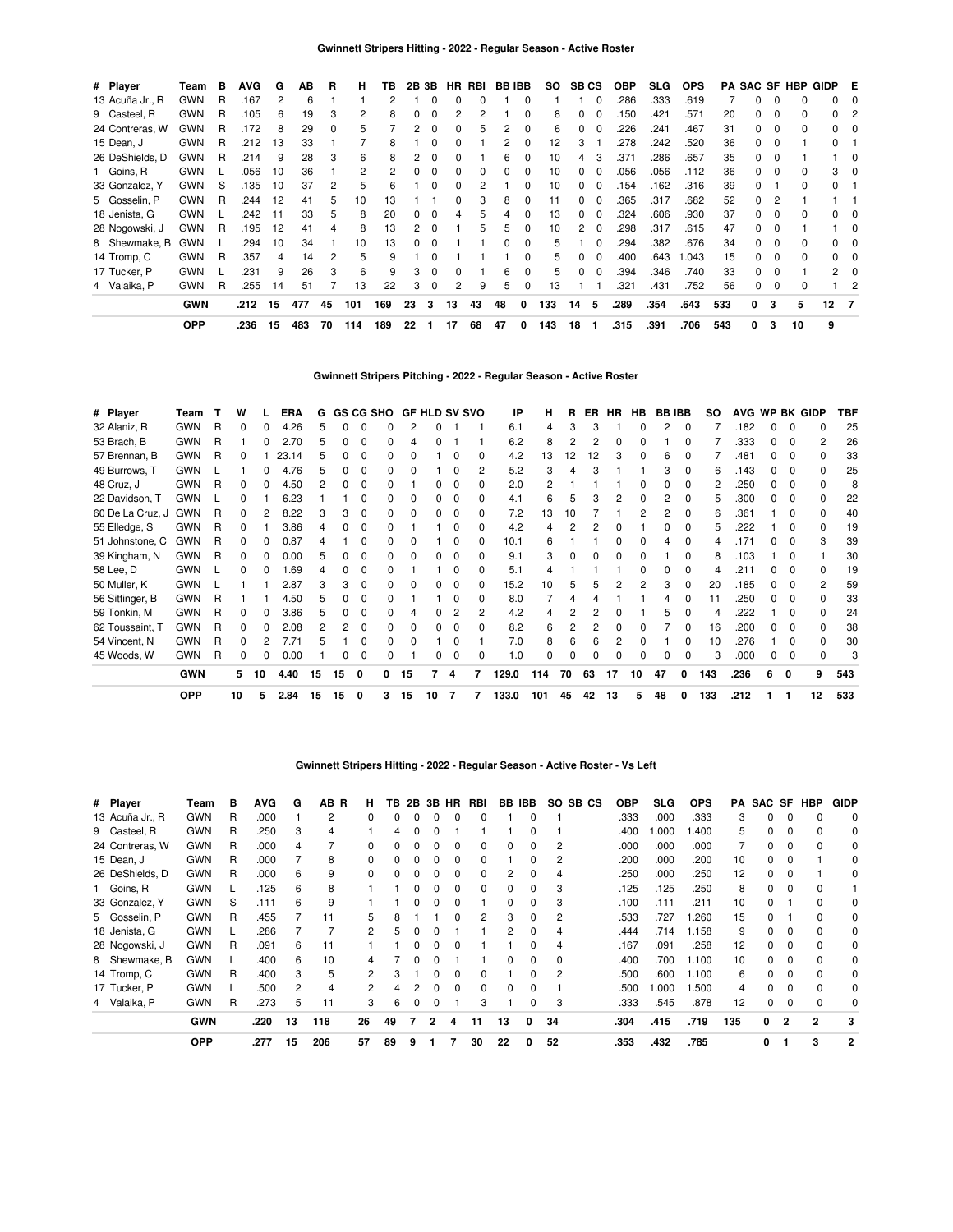| # Player        | Team       | в | <b>AVG</b> | G   | ΑВ  | R  | н   | ΤВ  | 2В | 3Β           |              | HR RBI |    | <b>BB IBB</b> | SO. | <b>SB CS</b> |          | <b>OBP</b> | SLG. | <b>OPS</b> |     |              |          | PA SAC SF HBP | GIDP E       |    |
|-----------------|------------|---|------------|-----|-----|----|-----|-----|----|--------------|--------------|--------|----|---------------|-----|--------------|----------|------------|------|------------|-----|--------------|----------|---------------|--------------|----|
| 13 Acuña Jr., R | <b>GWN</b> | R | .167       | 2   | 6   |    |     | 2   |    |              |              | 0      |    |               |     |              |          | 286        | .333 | .619       |     |              | $\Omega$ |               | 0            |    |
| 9 Casteel, R    | <b>GWN</b> | R | .105       | 6   | 19  | 3  | 2   | 8   |    |              |              | 2      |    |               | 8   |              |          | 150        | .421 | .571       | 20  |              | $\Omega$ | <sup>0</sup>  | <sup>0</sup> |    |
| 24 Contreras, W | <b>GWN</b> | R | .172       | 8   | 29  | 0  | 5.  |     |    |              |              | 5      |    |               | 6   |              |          | .226       | .241 | .467       | 31  |              | $\Omega$ | <sup>0</sup>  |              |    |
| 15 Dean, J      | <b>GWN</b> | R | .212       | 13  | 33  |    |     | 8   |    |              |              |        |    |               | 12  | З            |          | .278       | .242 | .520       | 36  |              | $\Omega$ |               |              |    |
| 26 DeShields, D | <b>GWN</b> | R | .214       | 9   | 28  | 3  | 6   | 8   |    |              |              |        | հ  |               | 10  |              |          | 371        | .286 | .657       | 35  |              |          |               |              |    |
| 1 Goins, R      | <b>GWN</b> |   | .056       | 10  | 36  |    | 2   |     |    |              |              | 0      |    |               | 10  | $\Omega$     |          | .056       | .056 | .112       | 36  |              | $\Omega$ |               | 3            |    |
| 33 Gonzalez, Y  | <b>GWN</b> | S | .135       | 10  | 37  | 2  | 5   | 6   |    |              |              |        |    |               | 10  | $\Omega$     |          | .154       | .162 | .316       | 39  |              |          |               |              |    |
| 5 Gosselin, P   | <b>GWN</b> | R | .244       | 12  | 41  | 5  | 10  | 13  |    |              |              | 3      | 8  |               |     | 0            |          | .365       | .317 | .682       | 52  | 0            | 2        |               |              |    |
| 18 Jenista, G   | <b>GWN</b> |   | .242       | -11 | 33  | 5  | 8   | 20  |    |              |              | 5      |    |               | 13  | 0            |          | 324        | .606 | .930       | 37  | 0            | 0        |               | 0            |    |
| 28 Nogowski, J  | <b>GWN</b> | R | .195       | 12  | 41  | 4  | 8   | 13  |    |              |              | 5      | 5  |               | 10  | 2            | 0        | .298       | .317 | .615       | 47  | 0            | $\Omega$ |               |              | 0  |
| 8 Shewmake, B   | <b>GWN</b> |   | 294        | 10  | 34  |    | 10  | 13  |    |              |              |        |    | 0             | 5   |              | $\Omega$ | 294        | .382 | .676       | 34  | O.           | $\Omega$ | 0             | 0            |    |
| 14 Tromp, C     | <b>GWN</b> | R | .357       | 4   | 14  | 2  | 5   | 9   |    |              |              |        |    | 0             | 5   | 0            | $\Omega$ | .400       | .643 | .043       | 15  | 0            | $\Omega$ | 0             | 0            |    |
| 17 Tucker, P    | <b>GWN</b> |   | .231       | 9   | 26  | 3  | 6   | 9   | 3  | <sup>0</sup> | <sup>0</sup> |        | 6  | 0             | 5   | $\Omega$     | $\Omega$ | .394       | .346 | .740       | 33  | <sup>0</sup> | $\Omega$ |               | $^{2}$       | 0  |
| 4 Valaika, P    | <b>GWN</b> | R | .255       | 14  | 51  |    | 13  | 22  | 3  | $\Omega$     | 2            | 9      | 5  | 0             | 13  |              |          | 321        | .431 | .752       | 56  | 0            | $\Omega$ |               |              | -2 |
|                 | <b>GWN</b> |   | .212       | 15  | 477 | 45 | 101 | 169 | 23 | 3            | 13           | 43     | 48 | 0             | 133 | 14           | 5        | .289       | .354 | .643       | 533 | 0            | 3        | 5             | 12           |    |
|                 | <b>OPP</b> |   | .236       | 15  | 483 | 70 | 114 | 189 | 22 |              | 17           | 68     | 47 | 0             | 143 | 18           |          | .315       | .391 | .706       | 543 | 0            | 3        | 10            | 9            |    |

# **Gwinnett Stripers Pitching - 2022 - Regular Season - Active Roster**

| # Player         | Team       |   | w            |    | <b>ERA</b> | G   |    |   | <b>GS CG SHO</b> |              | <b>GF HLD SV SVO</b> |              |   | IP    | н   | R  | ER | <b>HR</b> | HB.          | <b>BB IBB</b> |   | so  |      |   |              | AVG WP BK GIDP | TBF |
|------------------|------------|---|--------------|----|------------|-----|----|---|------------------|--------------|----------------------|--------------|---|-------|-----|----|----|-----------|--------------|---------------|---|-----|------|---|--------------|----------------|-----|
| 32 Alaniz, R     | <b>GWN</b> | R | <sup>0</sup> |    | 4.26       |     |    |   |                  |              |                      |              |   | 6.1   | 4   |    |    |           |              |               |   |     | .182 |   | O            | n              | 25  |
| 53 Brach, B      | <b>GWN</b> | R |              |    | 2.70       | 5   |    | 0 | O.               | Δ            |                      |              |   | 6.2   | 8   |    | 2  |           |              |               | 0 |     | .333 |   | $\Omega$     | 2              | 26  |
| 57 Brennan, B    | <b>GWN</b> | R | O            |    | 23.14      |     |    |   |                  |              |                      |              |   | 4.2   | 13  | 12 | 12 |           |              | հ             |   |     | .481 |   | $\Omega$     | 0              | 33  |
| 49 Burrows, T    | <b>GWN</b> |   |              | O. | 4.76       | 5   |    | 0 | 0                | <sup>0</sup> |                      |              |   | 5.2   | 3   |    | 3  |           |              | 3             | 0 | 6   | .143 |   | 0            | 0              | 25  |
| 48 Cruz, J       | <b>GWN</b> | R | <sup>0</sup> |    | 4.50       |     |    | ŋ |                  |              |                      |              |   | 2.0   | 2   |    |    |           |              |               | 0 | 2   | .250 |   | 0            |                | 8   |
| 22 Davidson, T   | <b>GWN</b> |   |              |    | 6.23       |     |    |   | O.               | <sup>0</sup> |                      | <sup>0</sup> |   | 4.1   | 6   |    |    |           |              |               | O | 5   | .300 |   | $\Omega$     | U              | 22  |
| 60 De La Cruz, J | <b>GWN</b> | R |              |    | 8.22       |     |    |   | O.               | <sup>0</sup> |                      |              |   | 7.2   | 13  | 10 |    |           |              | 2             | 0 |     | .361 |   | <sup>0</sup> | <sup>0</sup>   | 40  |
| 55 Elledge, S    | <b>GWN</b> | R |              |    | 3.86       |     |    |   |                  |              |                      |              |   | 4.2   | 4   |    |    |           |              |               | O | 5   | .222 |   | $\Omega$     | <sup>0</sup>   | 19  |
| 51 Johnstone, C  | <b>GWN</b> | R | <sup>n</sup> | O. | 0.87       |     |    | ŋ | 0                | o            |                      | O            | 0 | 10.1  | 6   |    |    | 0         | <sup>0</sup> | 4             | 0 | 4   | .171 |   | $\Omega$     | 3              | 39  |
| 39 Kingham, N    | <b>GWN</b> | R | <sup>0</sup> |    | 0.00       |     |    |   | O.               |              |                      |              |   | 9.1   | 3   |    | 0  |           |              |               | O |     | .103 |   | O            |                | 30  |
| 58 Lee, D        | <b>GWN</b> |   | 0            |    | .69        |     |    | ŋ | O.               |              |                      |              |   | 5.1   | 4   |    |    |           |              |               | O |     | .211 |   | $\Omega$     | U              | 19  |
| 50 Muller, K     | <b>GWN</b> |   |              |    | 2.87       |     |    |   |                  |              |                      |              |   | 15.2  | 10  |    | 5  |           |              | 3             | O | 20  | .185 |   |              | 2              | 59  |
| 56 Sittinger, B  | <b>GWN</b> | R |              |    | 4.50       |     |    |   |                  |              |                      |              |   | 8.0   |     |    |    |           |              |               | O | 11  | .250 |   | $\Omega$     | <sup>0</sup>   | 33  |
| 59 Tonkin, M     | <b>GWN</b> | R | n.           | o  | 3.86       | 'n. |    | ŋ | O.               | 4            | 0                    | 2            | 2 | 4.2   | 4   |    |    |           |              | 5             | 0 | 4   | .222 |   | 0            | 0              | 24  |
| 62 Toussaint, T  | <b>GWN</b> | R |              |    | 2.08       |     |    | 0 | O.               | <sup>0</sup> |                      |              |   | 8.2   | 6   |    | 2  |           |              |               | 0 | 16  | .200 |   | 0            | <sup>0</sup>   | 38  |
| 54 Vincent, N    | <b>GWN</b> | R |              |    | 7.71       |     |    | ი | O.               | <sup>0</sup> |                      |              |   | 7.0   | 8   | 6  | 6  |           |              |               | 0 | 10  | .276 |   | <sup>0</sup> | 0              | 30  |
| 45 Woods, W      | <b>GWN</b> | R |              |    | 0.00       |     |    |   |                  |              |                      |              |   | 1.0   | O   |    |    |           |              |               |   |     | .000 |   | 0            |                |     |
|                  | <b>GWN</b> |   | 5            | 10 | 4.40       | 15  | 15 | 0 | 0                | 15           |                      | 4            | 7 | 129.0 | 114 | 70 | 63 | 17        | 10           | 47            | 0 | 143 | .236 | 6 | 0            | 9              | 543 |
|                  | <b>OPP</b> |   | 10           | 5  | 2.84       | 15  | 15 | 0 | 3                | 15           | 10                   | 7            |   | 133.0 | 101 | 45 | 42 | 13        | 5            | 48            | o | 133 | .212 |   |              | 12             | 533 |

### **Gwinnett Stripers Hitting - 2022 - Regular Season - Active Roster - Vs Left**

| # Player        | Team       | в  | <b>AVG</b> | G  | AB R | н  | ΤВ |   |   | 2B 3B HR | RBI |    | BB IBB | SO.            | SB CS | <b>OBP</b> | SLG. | <b>OPS</b> | PA  | SAC SF |   | HBP          | <b>GIDP</b> |
|-----------------|------------|----|------------|----|------|----|----|---|---|----------|-----|----|--------|----------------|-------|------------|------|------------|-----|--------|---|--------------|-------------|
| 13 Acuña Jr., R | <b>GWN</b> | R  | .000       |    | 2    | 0  | 0  | O | 0 | 0        | 0   |    |        |                |       | .333       | .000 | .333       | 3   | 0      |   |              | $\Omega$    |
| 9 Casteel, R    | <b>GWN</b> | R  | .250       | 3  | 4    |    |    |   |   |          |     |    |        |                |       | .400       | .000 | .400       | 5   | 0      |   |              | 0           |
| 24 Contreras, W | <b>GWN</b> | R  | .000       | 4  |      |    |    |   |   |          | 0   |    | 0      | 2              |       | .000       | .000 | .000       |     | 0      |   |              | 0           |
| 15 Dean, J      | <b>GWN</b> | R. | .000       |    | 8    |    |    |   |   |          |     |    |        |                |       | .200       | .000 | .200       | 10  | O.     |   |              | 0           |
| 26 DeShields, D | <b>GWN</b> | R  | .000       | 6  | 9    |    |    |   |   |          | 0   | 2  |        | 4              |       | .250       | .000 | .250       | 12  | 0      |   |              | 0           |
| 1 Goins, R      | <b>GWN</b> |    | .125       | 6  | 8    |    |    |   |   |          | 0   | 0  | 0      | 3              |       | .125       | .125 | .250       | 8   | 0      |   |              |             |
| 33 Gonzalez, Y  | <b>GWN</b> | S  | .111       | 6  | 9    |    |    |   |   |          |     | 0  | 0      | 3              |       | .100       | .111 | .211       | 10  | 0      |   |              | 0           |
| 5 Gosselin, P   | <b>GWN</b> | R. | .455       |    | 11   | 5  | 8  |   |   | O        | 2   | 3  | 0      | 2              |       | .533       | .727 | 1.260      | 15  | 0      |   |              | 0           |
| 18 Jenista, G   | <b>GWN</b> |    | .286       |    |      | 2  | 5  | n | O |          |     | 2  | 0      | 4              |       | .444       | .714 | 1.158      | 9   | O.     |   |              | 0           |
| 28 Nogowski, J  | <b>GWN</b> | R  | .091       | 6  | 11   |    |    |   | O | O        |     |    | ŋ      | 4              |       | .167       | .091 | .258       | 12  | 0      |   |              | 0           |
| 8 Shewmake, B   | <b>GWN</b> |    | .400       | 6  | 10   |    |    |   |   |          |     |    | ŋ      | <sup>0</sup>   |       | .400       | .700 | 1.100      | 10  | O.     |   |              | 0           |
| 14 Tromp, C     | <b>GWN</b> | R  | .400       | 3  | 5    |    | З  |   |   |          |     |    | 0      | $\overline{c}$ |       | .500       | .600 | 1.100      | 6   | O.     |   |              | 0           |
| 17 Tucker, P    | <b>GWN</b> |    | .500       | 2  | 4    |    |    |   |   |          | 0   | 0  |        |                |       | .500       | .000 | 1.500      | 4   | U      |   |              | 0           |
| 4 Valaika, P    | <b>GWN</b> | R  | .273       | 5  | 11   | 3  | 6  |   | 0 |          | 3   |    | 0      | 3              |       | .333       | .545 | .878       | 12  | 0      |   |              | 0           |
|                 | <b>GWN</b> |    | .220       | 13 | 118  | 26 | 49 |   | 2 | 4        | 11  | 13 | 0      | 34             |       | .304       | .415 | .719       | 135 | 0      | 2 | $\mathbf{2}$ | 3           |
|                 | <b>OPP</b> |    | .277       | 15 | 206  | 57 | 89 | 9 |   |          | 30  | 22 | 0      | 52             |       | .353       | .432 | .785       |     | 0      |   | 3            | 2           |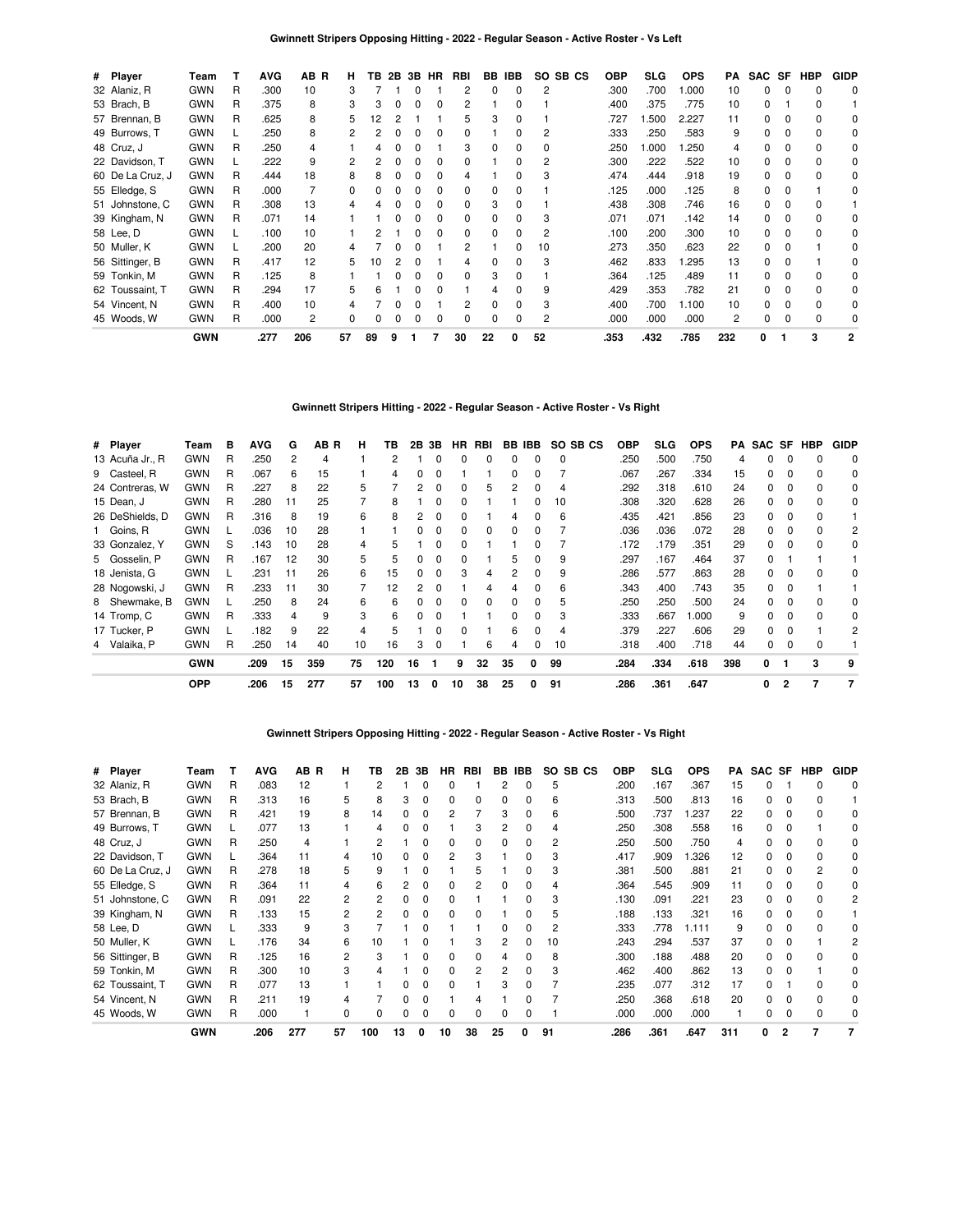| # Player         | Team       |   | <b>AVG</b> | AB R | н. | TВ |              |              | 2B 3B HR     | <b>RBI</b> |              | BB IBB | SO SB CS | <b>OBP</b> | SLG   | <b>OPS</b> | PA  |          |          | SAC SF HBP | <b>GIDP</b>  |
|------------------|------------|---|------------|------|----|----|--------------|--------------|--------------|------------|--------------|--------|----------|------------|-------|------------|-----|----------|----------|------------|--------------|
| 32 Alaniz, R     | <b>GWN</b> | R | .300       | 10   | 3  |    |              |              |              | 2          | 0            | 0      | 2        | .300       | .700  | 000.       | 10  | 0        | 0        | 0          | 0            |
| 53 Brach, B      | <b>GWN</b> | R | .375       | 8    | 3  | 3  | 0            | 0            | 0            | 2          |              | 0      |          | .400       | .375  | .775       | 10  | 0        |          | $\Omega$   |              |
| 57 Brennan, B    | <b>GWN</b> | R | .625       | 8    | 5  | 2  |              |              |              | 5          | 3            |        |          | .727       | 1.500 | 2.227      | 11  | 0        |          | 0          | 0            |
| 49 Burrows, T    | <b>GWN</b> |   | .250       | 8    |    |    |              |              |              | 0          |              | 0      | 2        | .333       | .250  | .583       | 9   | 0        |          | 0          | 0            |
| 48 Cruz, J       | <b>GWN</b> | R | .250       | 4    |    |    |              |              |              | 3          | 0            |        | 0        | .250       | 1.000 | .250       | 4   | 0        |          | $\Omega$   | 0            |
| 22 Davidson, T   | <b>GWN</b> |   | .222       | 9    |    |    |              |              |              | 0          |              | 0      | 2        | .300       | .222  | .522       | 10  | 0        |          | $\Omega$   | 0            |
| 60 De La Cruz, J | <b>GWN</b> | R | .444       | 18   | 8  |    |              |              |              | 4          |              | U      | З        | .474       | .444  | .918       | 19  | 0        | 0        | $\Omega$   | $\Omega$     |
| 55 Elledge, S    | <b>GWN</b> | R | .000       |      | 0  |    |              |              |              | 0          | 0            | U      |          | .125       | .000  | .125       | 8   | 0        |          |            | 0            |
| 51 Johnstone, C  | <b>GWN</b> | R | .308       | 13   |    |    |              |              |              | 0          | 3            | U      |          | .438       | .308  | .746       | 16  | 0        | $\Omega$ | $\Omega$   |              |
| 39 Kingham, N    | <b>GWN</b> | R | .071       | 14   |    |    |              |              |              | 0          | 0            | 0      | 3        | .071       | .071  | .142       | 14  | 0        |          | $\Omega$   | 0            |
| 58 Lee, D        | <b>GWN</b> |   | .100       | 10   |    |    |              |              |              | 0          | 0            | 0      | 2        | .100       | .200  | .300       | 10  | 0        | 0        | $\Omega$   | 0            |
| 50 Muller, K     | <b>GWN</b> |   | .200       | 20   |    |    |              |              |              | 2          |              | 0      | 10       | .273       | .350  | .623       | 22  | 0        | 0        |            | 0            |
| 56 Sittinger, B  | <b>GWN</b> | R | .417       | 12   | 5  | 10 |              | O            |              | 4          | <sup>0</sup> | O      | 3        | .462       | .833  | .295       | 13  | $\Omega$ | 0        |            | 0            |
| 59 Tonkin, M     | <b>GWN</b> | R | .125       | 8    |    |    |              | <sup>0</sup> |              | 0          | 3            | 0      |          | .364       | .125  | .489       | 11  | 0        | 0        | $\Omega$   | $\Omega$     |
| 62 Toussaint, T  | <b>GWN</b> | R | .294       | 17   | 5  | 6  |              | <sup>0</sup> | $\Omega$     |            | 4            | 0      | 9        | .429       | .353  | .782       | 21  | 0        | $\Omega$ | $\Omega$   | $\Omega$     |
| 54 Vincent, N    | <b>GWN</b> | R | .400       | 10   |    |    |              |              |              |            | 0            | 0      | 3        | .400       | .700  | 1.100      | 10  | 0        | $\Omega$ | $\Omega$   | 0            |
| 45 Woods, W      | <b>GWN</b> | R | .000       | 2    | 0  |    | <sup>0</sup> | <sup>0</sup> | <sup>0</sup> | 0          | 0            | 0      | 2        | .000       | .000  | .000       | 2   | 0        | 0        | $\Omega$   | 0            |
|                  | <b>GWN</b> |   | .277       | 206  | 57 | 89 | 9            |              |              | 30         | 22           | 0      | 52       | .353       | .432  | .785       | 232 | 0        |          | 3          | $\mathbf{2}$ |

# **Gwinnett Stripers Hitting - 2022 - Regular Season - Active Roster - Vs Right**

| # Player        | Team       | в | <b>AVG</b> | G  | AB R | н  | ΤВ  | 2В | 3В       | HR.          | RBI          |              | BB IBB | SO SB CS | <b>OBP</b> | SLG  | <b>OPS</b> | PA  |    |              | SAC SF HBP | <b>GIDP</b> |
|-----------------|------------|---|------------|----|------|----|-----|----|----------|--------------|--------------|--------------|--------|----------|------------|------|------------|-----|----|--------------|------------|-------------|
| 13 Acuña Jr., R | <b>GWN</b> | R | .250       | 2  | 4    |    | 2   |    | 0        | 0            | 0            | 0            | 0      | $\Omega$ | .250       | .500 | .750       | 4   | 0  | 0            | 0          | $\Omega$    |
| 9 Casteel, R    | <b>GWN</b> | R | .067       | 6  | 15   |    | 4   | 0  | 0        |              |              | 0            |        |          | .067       | .267 | .334       | 15  | 0  | 0            | 0          | 0           |
| 24 Contreras, W | <b>GWN</b> | R | .227       | 8  | 22   | 5  |     | 2  | $\Omega$ | 0            | 5            | 2            |        | 4        | .292       | .318 | .610       | 24  | 0  |              | $\Omega$   | 0           |
| 15 Dean, J      | <b>GWN</b> | R | .280       | 11 | 25   |    | 8   |    |          | 0            |              |              |        | 10       | .308       | .320 | .628       | 26  | 0  |              |            | 0           |
| 26 DeShields, D | <b>GWN</b> | R | .316       | 8  | 19   | 6  | 8   |    |          |              |              |              |        | 6        | .435       | .421 | .856       | 23  | 0  |              |            |             |
| 1 Goins, R      | <b>GWN</b> |   | .036       | 10 | 28   |    |     |    |          | 0            | 0            | 0            |        |          | .036       | .036 | .072       | 28  | 0  |              |            | 2           |
| 33 Gonzalez, Y  | <b>GWN</b> | S | .143       | 10 | 28   | 4  | 5   |    |          |              |              |              |        |          | .172       | .179 | .351       | 29  | 0  |              |            | 0           |
| 5 Gosselin, P   | <b>GWN</b> | R | .167       | 12 | 30   | 5  | 5   | 0  | $\Omega$ | 0            |              | 5            |        | 9        | .297       | .167 | .464       | 37  | 0  |              |            |             |
| 18 Jenista, G   | <b>GWN</b> |   | .231       | 11 | 26   | 6  | 15  | 0  | $\Omega$ | 3            | 4            | 2            |        | 9        | .286       | .577 | .863       | 28  | 0  | $\Omega$     | $\Omega$   | 0           |
| 28 Nogowski, J  | <b>GWN</b> | R | .233       | 11 | 30   |    | 12  | 2  | $\Omega$ |              | 4            | 4            |        | 6        | .343       | .400 | .743       | 35  | 0  |              |            |             |
| 8 Shewmake, B   | <b>GWN</b> |   | .250       | 8  | 24   | 6  | 6   | 0  | 0        | $\Omega$     | <sup>0</sup> | <sup>0</sup> |        | 5        | .250       | .250 | .500       | 24  | 0  |              | $\Omega$   | 0           |
| 14 Tromp, C     | <b>GWN</b> | R | .333       | 4  | 9    | 3  | 6   |    |          |              |              |              |        | 3        | .333       | .667 | 1.000      | 9   | n. |              |            | 0           |
| 17 Tucker, P    | <b>GWN</b> |   | .182       | 9  | 22   | 4  | 5   |    |          | <sup>0</sup> |              | 6            |        | 4        | .379       | .227 | .606       | 29  | 0  |              |            | 2           |
| 4 Valaika, P    | <b>GWN</b> | R | .250       | 14 | 40   | 10 | 16  | 3  | 0        |              | 6            | 4            |        | 10       | .318       | .400 | .718       | 44  | 0  |              |            |             |
|                 | <b>GWN</b> |   | .209       | 15 | 359  | 75 | 120 | 16 |          | 9            | 32           | 35           | 0      | 99       | .284       | .334 | .618       | 398 | 0  |              | 3          | 9           |
|                 | <b>OPP</b> |   | .206       | 15 | 277  | 57 | 100 | 13 | 0        | 10           | 38           | 25           | 0      | 91       | .286       | .361 | .647       |     | 0  | $\mathbf{2}$ |            |             |

### **Gwinnett Stripers Opposing Hitting - 2022 - Regular Season - Active Roster - Vs Right**

| # Player         | Team       |   | <b>AVG</b> | AB R | н              | ΤВ  | 2В | 3В | HR. | RBI | BB | IBB. | SO SB CS | <b>OBP</b> | SLG  | <b>OPS</b> | PA  | SAC SF |   | HBP | <b>GIDP</b> |
|------------------|------------|---|------------|------|----------------|-----|----|----|-----|-----|----|------|----------|------------|------|------------|-----|--------|---|-----|-------------|
| 32 Alaniz, R     | <b>GWN</b> | R | .083       | 12   |                |     |    | 0  | o   |     | 2  | 0    | 5        | .200       | .167 | .367       | 15  |        |   |     | 0           |
| 53 Brach, B      | <b>GWN</b> | R | .313       | 16   | 5              | 8   | 3  |    | 0   |     | 0  | 0    | 6        | .313       | .500 | .813       | 16  | 0      |   |     |             |
| 57 Brennan, B    | <b>GWN</b> | R | .421       | 19   | 8              | 14  |    |    |     |     | 3  | 0    | 6        | .500       | .737 | 1.237      | 22  |        |   |     | 0           |
| 49 Burrows, T    | <b>GWN</b> |   | .077       | 13   |                |     |    |    |     |     |    |      |          | .250       | .308 | .558       | 16  |        |   |     |             |
| 48 Cruz, J       | <b>GWN</b> | R | .250       | 4    |                |     |    |    |     |     |    |      |          | .250       | .500 | .750       |     |        |   |     |             |
| 22 Davidson, T   | <b>GWN</b> |   | .364       | 11   |                | 10  |    |    |     |     |    |      |          | .417       | .909 | .326       | 12  |        |   |     |             |
| 60 De La Cruz, J | <b>GWN</b> | R | .278       | 18   | 5              | 9   |    |    |     |     |    |      |          | .381       | .500 | .881       | 21  |        |   |     |             |
| 55 Elledge, S    | <b>GWN</b> | R | .364       | 11   | 4              | 6   |    |    |     |     |    |      |          | .364       | .545 | .909       | 11  |        |   |     |             |
| 51 Johnstone, C  | <b>GWN</b> | R | .091       | 22   | 2              | 2   |    |    | 0   |     |    | O    |          | .130       | .091 | .221       | 23  |        |   |     |             |
| 39 Kingham, N    | <b>GWN</b> | R | .133       | 15   | $\overline{c}$ | 2   |    |    | 0   |     |    | n    |          | .188       | .133 | .321       | 16  |        |   |     |             |
| 58 Lee, D        | <b>GWN</b> |   | .333       | 9    | 3              |     |    |    |     |     | 0  |      | 2        | .333       | .778 | 1.111      | 9   |        |   |     |             |
| 50 Muller, K     | <b>GWN</b> |   | .176       | 34   | 6              | 10  |    |    |     | З   | 2  |      | 10       | .243       | .294 | .537       | 37  | n.     |   |     |             |
| 56 Sittinger, B  | <b>GWN</b> | R | .125       | 16   | 2              | 3   |    |    |     |     |    | O    | 8        | .300       | .188 | .488       | 20  |        |   |     |             |
| 59 Tonkin, M     | <b>GWN</b> | R | .300       | 10   | 3              |     |    |    |     | 2   | 2  | O    | 3        | .462       | .400 | .862       | 13  |        |   |     |             |
| 62 Toussaint, T  | <b>GWN</b> | R | .077       | 13   |                |     |    | U  | ŋ   |     | з  | O    |          | .235       | .077 | .312       | 17  | n      |   |     |             |
| 54 Vincent, N    | <b>GWN</b> | R | .211       | 19   | Δ              |     | ŋ  |    |     |     |    | O    |          | .250       | .368 | .618       | 20  |        |   |     |             |
| 45 Woods, W      | <b>GWN</b> | R | .000       |      | <sup>0</sup>   | n   |    | n  | ŋ   |     | n  | O    |          | .000       | .000 | .000       |     |        |   |     |             |
|                  | <b>GWN</b> |   | .206       | 277  | 57             | 100 | 13 | 0  | 10  | 38  | 25 |      | 91       | .286       | .361 | .647       | 311 | 0      | 2 |     |             |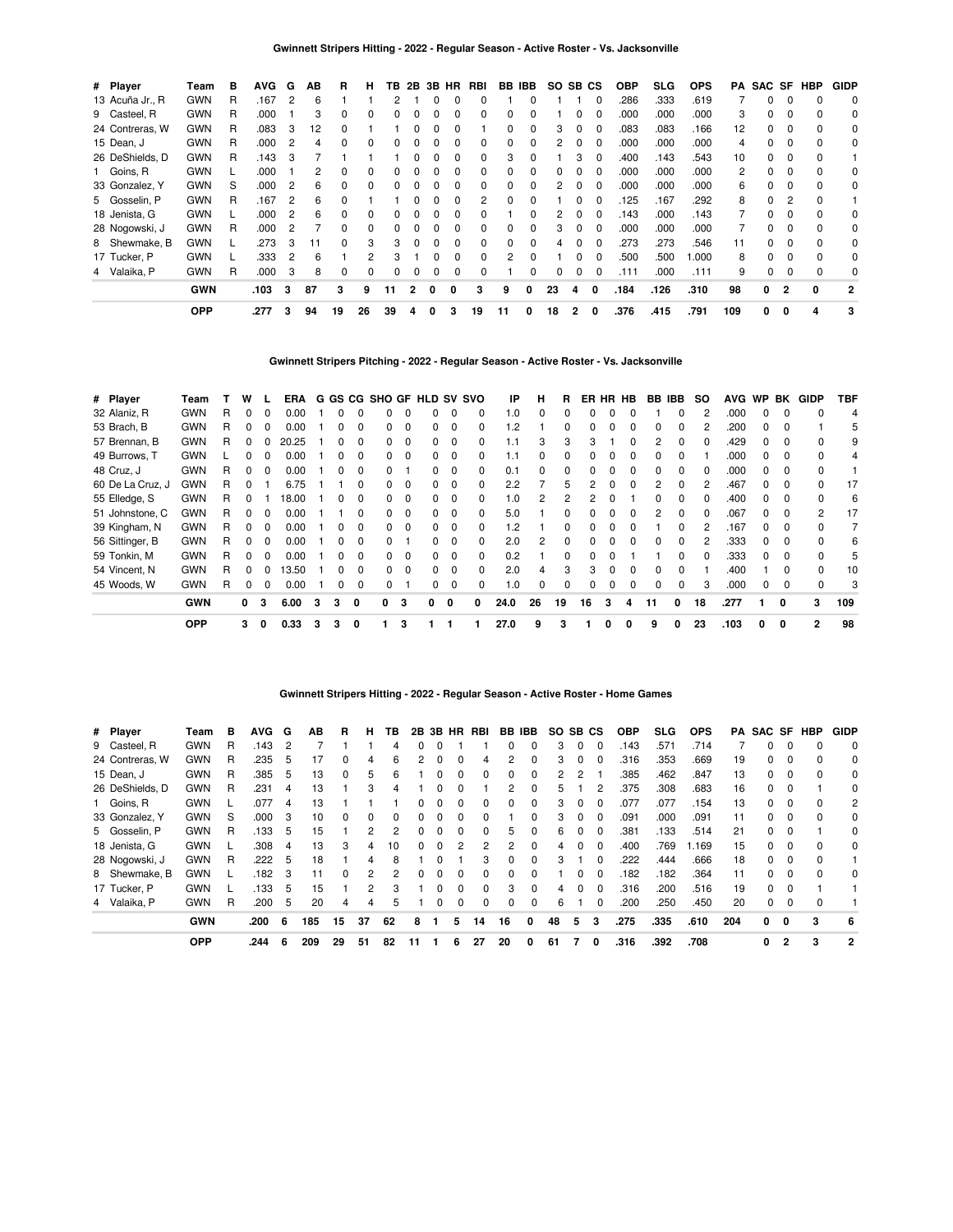| # Player        | Team       | в | <b>AVG</b> | G | AВ | R        | н  | TВ |              | 2B 3B        | HR       | RBI          | BB IBB   |              | SO. | SB CS |              | <b>OBP</b> | SLG. | <b>OPS</b> | PA  | SAC SF |              | HBP      | <b>GIDP</b>    |
|-----------------|------------|---|------------|---|----|----------|----|----|--------------|--------------|----------|--------------|----------|--------------|-----|-------|--------------|------------|------|------------|-----|--------|--------------|----------|----------------|
| 13 Acuña Jr., R | <b>GWN</b> | R | .167       | 2 | 6  |          |    |    |              |              |          |              |          |              |     |       | $\Omega$     | .286       | .333 | .619       |     | 0      |              |          | 0              |
| 9 Casteel, R    | <b>GWN</b> | R | .000       |   | 3  | 0        |    |    |              |              |          |              | 0        |              |     |       | $\Omega$     | .000       | .000 | .000       | 3   | 0      |              |          | 0              |
| 24 Contreras, W | <b>GWN</b> | R | .083       | 3 | 12 | 0        |    |    |              |              |          |              | 0        | 0            | 3   |       | 0            | .083       | .083 | .166       | 12  | 0      |              |          | 0              |
| 15 Dean, J      | <b>GWN</b> | R | .000       | 2 | 4  | 0        |    | 0  |              | 0            | 0        | 0            | 0        | 0            | 2   | 0     | 0            | .000       | .000 | .000       | 4   | 0      | $\Omega$     | $\Omega$ | 0              |
| 26 DeShields, D | <b>GWN</b> | R | .143       | з |    |          |    |    |              | O            | 0        | 0            | 3        | 0            |     | 3     | 0            | .400       | .143 | .543       | 10  | 0      | 0            | $\Omega$ |                |
| 1 Goins, R      | <b>GWN</b> |   | .000       |   | 2  | 0        |    |    |              | O            | ŋ        | 0            | 0        | <sup>0</sup> | 0   |       | <sup>0</sup> | .000       | .000 | .000       | 2   | 0      | 0            | $\Omega$ | 0              |
| 33 Gonzalez, Y  | <b>GWN</b> | S | .000       | 2 | 6  | 0        |    |    |              |              |          | 0            |          | 0            |     |       | <sup>0</sup> | .000       | .000 | .000       | 6   | 0      | 0            | $\Omega$ | 0              |
| 5 Gosselin, P   | <b>GWN</b> | R | .167       | 2 | 6  | 0        |    |    |              |              |          | 2            | 0        |              |     |       |              | .125       | .167 | .292       | 8   | 0      | 2            |          |                |
| 18 Jenista, G   | <b>GWN</b> |   | .000       | 2 | 6  | 0        |    |    |              |              | 0        |              |          | 0            | 2   | 0     | 0            | .143       | .000 | .143       |     | 0      |              |          | 0              |
| 28 Nogowski, J  | <b>GWN</b> | R | .000       | 2 |    | 0        | 0  |    |              | O            | 0        | 0            | 0        | $\Omega$     | 3   | 0     | $\Omega$     | .000       | .000 | .000       |     | 0      | 0            | 0        | 0              |
| 8 Shewmake, B   | <b>GWN</b> |   | .273       | з | 11 | $\Omega$ | 3  | 3  | <sup>0</sup> | <sup>0</sup> | $\Omega$ | <sup>0</sup> | $\Omega$ | <sup>0</sup> | 4   | 0     | $\Omega$     | .273       | .273 | .546       | 11  | 0      | $\Omega$     | $\Omega$ | 0              |
| 17 Tucker, P    | <b>GWN</b> |   | .333       | 2 | 6  |          | 2  | з  |              | O            | ŋ        | 0            | 2        |              |     |       |              | 500        | .500 | 1.000      | 8   | 0      | <sup>0</sup> | $\Omega$ | 0              |
| 4 Valaika, P    | <b>GWN</b> | R | .000       | 3 | 8  | 0        | 0  |    |              | 0            | 0        | 0            |          | 0            | 0   | 0     | $\Omega$     | .111       | .000 | .111       | 9   | 0      |              | $\Omega$ | 0              |
|                 | <b>GWN</b> |   | .103       | 3 | 87 | 3        | 9  | 11 | 2            | 0            | 0        | 3            | 9        | 0            | 23  | 4     | 0            | .184       | .126 | .310       | 98  | 0      | 2            | 0        | $\overline{2}$ |
|                 | <b>OPP</b> |   | .277       | 3 | 94 | 19       | 26 | 39 | 4            | 0            | 3        | 19           | 11       | 0            | 18  | 2     | 0            | .376       | .415 | .791       | 109 | 0      | 0            | 4        | 3              |

**Gwinnett Stripers Pitching - 2022 - Regular Season - Active Roster - Vs. Jacksonville**

| # Player         | Team       |   | w | L.       | ERA   |   |   |              | G GS CG SHO GF HLD SV SVO |          |   |                   |              | IP       | н            | R            |    |              | ER HR HB     | BB IBB |   | SO.      | <b>AVG</b> | <b>WP</b>    | BK       | GIDP         | TBF |
|------------------|------------|---|---|----------|-------|---|---|--------------|---------------------------|----------|---|-------------------|--------------|----------|--------------|--------------|----|--------------|--------------|--------|---|----------|------------|--------------|----------|--------------|-----|
| 32 Alaniz, R     | <b>GWN</b> | R | 0 | 0        | 0.00  |   |   |              |                           | $\Omega$ |   |                   | <sup>0</sup> | .0       | <sup>0</sup> | <sup>0</sup> |    |              |              |        |   |          | .000       | <sup>0</sup> | $\Omega$ | <sup>0</sup> | 4   |
| 53 Brach, B      | <b>GWN</b> | R | 0 | 0        | 0.00  |   |   |              |                           | $\Omega$ |   | 0                 |              | $\cdot$  |              | <sup>0</sup> |    |              |              |        |   |          | .200       |              |          |              | 5   |
| 57 Brennan, B    | <b>GWN</b> | R | 0 | 0        | 20.25 |   |   |              | O.                        | 0        |   | 0                 |              |          |              | 3            |    |              |              |        |   |          | .429       |              |          |              | 9   |
| 49 Burrows, T    | <b>GWN</b> |   | 0 | 0        | 0.00  |   |   |              | 0                         | $\Omega$ |   | 0<br>0            |              |          | 0            | $\Omega$     |    |              |              |        |   |          | .000       |              | 0        |              | 4   |
| 48 Cruz, J       | <b>GWN</b> | R | 0 | $\Omega$ | 0.00  |   | 0 | O            |                           |          |   | 0<br>$\Omega$     | 0            | 0.1      | $\Omega$     | $\Omega$     |    |              | 0            |        |   | $^{(1)}$ | .000       | 0            | $\Omega$ |              |     |
| 60 De La Cruz, J | <b>GWN</b> | R | 0 |          | 6.75  |   |   |              | n                         | $\Omega$ |   | 0<br><sup>0</sup> | <sup>0</sup> | 2.2      |              | 5            | 2  | <sup>0</sup> | <sup>0</sup> | 2      |   |          | .467       |              | $\Omega$ |              | 17  |
| 55 Elledge, S    | <b>GWN</b> | R | 0 |          | 18.00 |   |   |              | O.                        | $\Omega$ |   | O.<br>0           |              | $\Omega$ |              |              |    |              |              |        |   |          | .400       |              | $\Omega$ |              | 6   |
| 51 Johnstone, C  | <b>GWN</b> | R | 0 | 0        | 0.00  |   |   |              | O.                        | 0        |   | 0<br>0            | 0            | 5.0      |              | 0            |    |              |              |        |   |          | .067       |              | 0        | 2            | 17  |
| 39 Kingham, N    | <b>GWN</b> | R | 0 | $\Omega$ | 0.00  |   | 0 | <sup>0</sup> | O.                        | $\Omega$ |   | 0<br>$\Omega$     | 0            | .2       |              | $\Omega$     |    |              |              |        |   |          | .167       | 0            | $\Omega$ |              |     |
| 56 Sittinger, B  | <b>GWN</b> | R | 0 | 0        | 0.00  |   |   |              | n                         |          |   | 0<br>$\Omega$     | <sup>0</sup> | 2.0      | 2            | $\Omega$     |    |              |              |        |   |          | .333       | <sup>n</sup> | $\Omega$ | <sup>0</sup> | 6   |
| 59 Tonkin, M     | <b>GWN</b> | R | 0 | 0        | 0.00  |   |   |              | n                         | $\Omega$ |   | O.                | 0            | 0.2      |              | O            |    |              |              |        |   |          | .333       |              |          |              | 5   |
| 54 Vincent, N    | <b>GWN</b> | R | 0 | 0        | 13.50 |   |   |              | O.                        | - 0      |   | 0<br>$\Omega$     | 0            | 2.0      |              | 3            |    |              |              |        |   |          | .400       |              |          |              | 10  |
| 45 Woods, W      | <b>GWN</b> | R | 0 | 0        | 0.00  |   |   |              |                           |          |   | 0<br>0            |              | 1.0      | 0            | $\Omega$     |    |              |              |        |   | 3        | .000       |              | 0        | 0            | 3   |
|                  | <b>GWN</b> |   | 0 | 3        | 6.00  | 3 | 3 | 0            | 0.                        | 3        | 0 | 0                 | 0            | 24.0     | 26           | 19           | 16 | 3            | 4            | 11     | 0 | 18       | .277       |              | $\Omega$ | 3            | 109 |
|                  | <b>OPP</b> |   | 3 | 0        | 0.33  | 3 | 3 | 0            |                           | з        |   |                   |              | 27.0     | 9            | 3            |    | 0            | 0            | 9      | 0 | 23       | .103       | 0            | 0        | 2            | 98  |

### **Gwinnett Stripers Hitting - 2022 - Regular Season - Active Roster - Home Games**

| # Player        | Team       | в | AVG. | G   | ΑВ  | R            | н  | ΤВ | 2B | 3B | <b>HR</b> | RBI      | BB       | IBB          | SO. | SB CS |              | <b>OBP</b> | SLG. | <b>OPS</b> | PA  | SAC SF |                | HBP | <b>GIDP</b> |
|-----------------|------------|---|------|-----|-----|--------------|----|----|----|----|-----------|----------|----------|--------------|-----|-------|--------------|------------|------|------------|-----|--------|----------------|-----|-------------|
| 9 Casteel, R    | <b>GWN</b> | R | .143 | 2   |     |              |    |    |    |    |           |          |          | 0            | з   | 0     | $\Omega$     | .143       | .571 | .714       |     | 0      |                |     | $\Omega$    |
| 24 Contreras, W | <b>GWN</b> | R | .235 | 5   | 17  | 0            | 4  | 6  |    |    | 0         | 4        |          | 0            | 3   | 0     | 0            | .316       | .353 | .669       | 19  | 0      |                |     | 0           |
| 15 Dean, J      | <b>GWN</b> | R | .385 | 5   | 13  | 0            | 5  | 6  |    |    | 0         | 0        |          | 0            |     |       |              | .385       | .462 | .847       | 13  | 0      |                |     | 0           |
| 26 DeShields, D | <b>GWN</b> | R | .231 | 4   | 13  |              | 3  |    |    |    |           |          | 2        | 0            | 5   |       | 2            | .375       | .308 | .683       | 16  | 0      |                |     | 0           |
| 1 Goins, R      | <b>GWN</b> |   | .077 | 4   | 13  |              |    |    | 0  | 0  | $\Omega$  | 0        | $\Omega$ | 0            | 3   | 0     | $\Omega$     | 077        | .077 | 154        | 13  | 0      | $\Omega$       | n   | 2           |
| 33 Gonzalez, Y  | <b>GWN</b> | S | .000 | 3   | 10  |              | 0  |    |    |    |           |          |          | <sup>0</sup> | 3   | O     | 0            | .091       | .000 | .091       | 11  | 0      |                |     | 0           |
| 5 Gosselin, P   | <b>GWN</b> | R | .133 | 5   | 15  |              | 2  | 2  | 0  |    | $\Omega$  | 0        | 5.       | 0            | 6   | 0     | $\Omega$     | .381       | .133 | .514       | 21  | 0      | $\Omega$       |     | 0           |
| 18 Jenista, G   | <b>GWN</b> |   | .308 | 4   | 13  | 3            | 4  | 10 | 0  | 0  | 2         | 2        |          | 0            | 4   | O     | <sup>0</sup> | .400       | .769 | 1.169      | 15  | 0      | <sup>0</sup>   |     | 0           |
| 28 Nogowski, J  | <b>GWN</b> | R | .222 | 5   | 18  |              | 4  | 8  |    |    |           | 3        | $\Omega$ | $\Omega$     | 3   |       | 0            | 222        | .444 | .666       | 18  | 0      | 0              |     |             |
| 8 Shewmake, B   | <b>GWN</b> |   | .182 | 3   | 11  | <sup>0</sup> | 2  | 2  | 0  | 0  | $\Omega$  | $\Omega$ | $\Omega$ | 0            |     | O     | $\Omega$     | 182        | .182 | .364       | 11  | 0      | $\Omega$       | n   | $\Omega$    |
| 17 Tucker, P    | <b>GWN</b> |   | .133 | 5   | 15  |              | 2  | 3  |    |    | 0         | 0        | 3        | 0            |     | O     | 0            | .316       | .200 | .516       | 19  | 0      |                |     |             |
| 4 Valaika, P    | <b>GWN</b> | R | .200 | 5   | 20  |              | 4  | 5  |    |    | 0         | 0        | $\Omega$ | 0            | 6   |       | 0            | .200       | .250 | .450       | 20  | 0      | $\Omega$       |     |             |
|                 | <b>GWN</b> |   | .200 | - 6 | 185 | 15           | 37 | 62 | 8  |    | 5         | 14       | 16       | 0            | 48  | 5     | 3            | .275       | .335 | .610       | 204 | 0      | 0              | 3   | 6           |
|                 | <b>OPP</b> |   | .244 | 6   | 209 | 29           | 51 | 82 | 11 |    | 6         | 27       | 20       | 0            | 61  |       | 0            | .316       | .392 | .708       |     | 0      | $\overline{2}$ | 3   | 2           |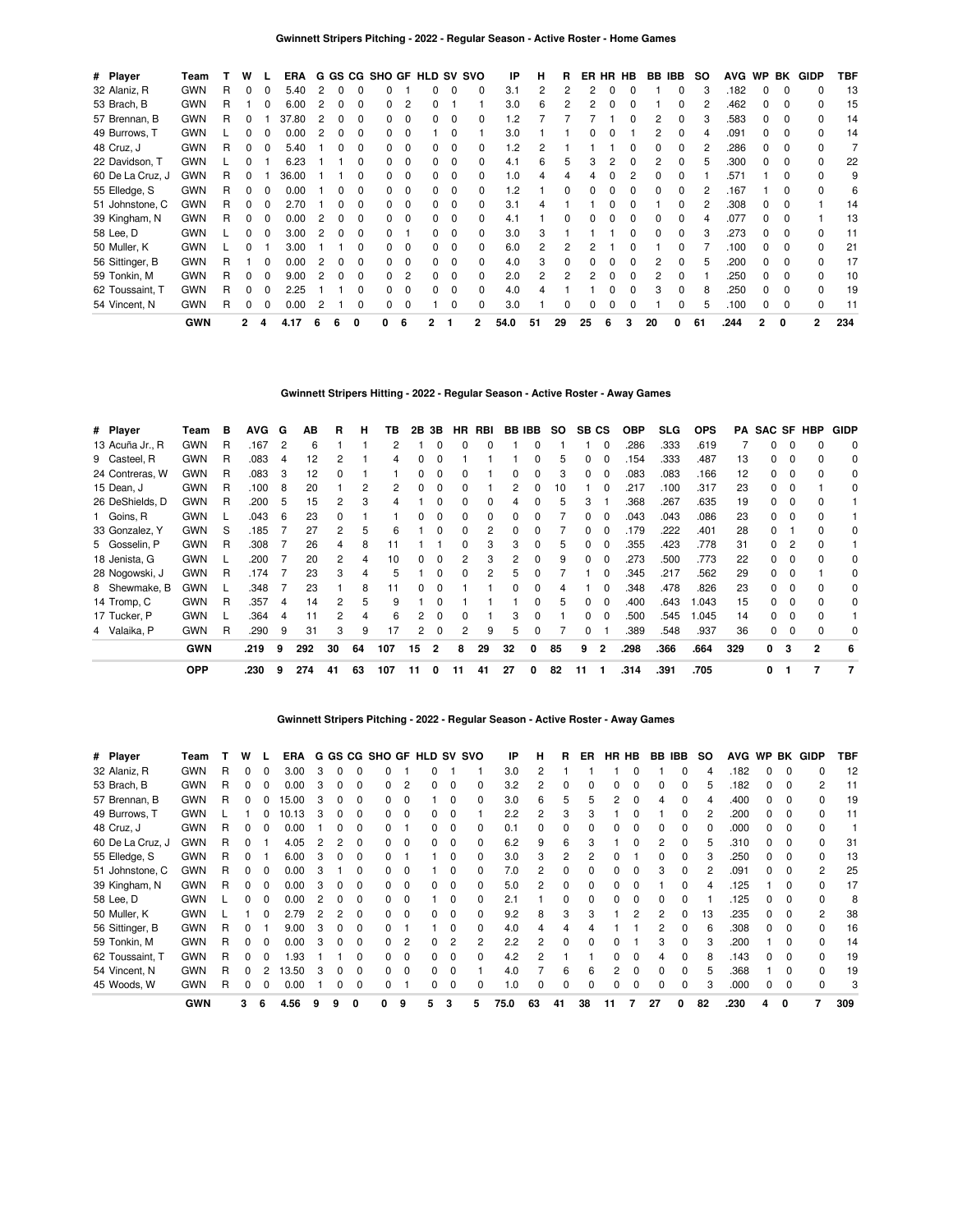| # Player         | Team       |   | w            |          | <b>ERA</b> |    |              |              |   |          |   |              | G GS CG SHO GF HLD SV SVO | IP       | н  | R  |    |   | ER HR HB | BB IBB |   | SO. | <b>AVG</b> | WP           | BK           | <b>GIDP</b>    | TBF |
|------------------|------------|---|--------------|----------|------------|----|--------------|--------------|---|----------|---|--------------|---------------------------|----------|----|----|----|---|----------|--------|---|-----|------------|--------------|--------------|----------------|-----|
| 32 Alaniz, R     | <b>GWN</b> | R | 0            | 0        | 5.40       | 2  | 0            |              |   |          |   | 0            |                           | 3.1      |    | 2  |    |   |          |        |   |     | .182       | 0            | $\Omega$     |                | 13  |
| 53 Brach, B      | <b>GWN</b> | R |              | 0        | 6.00       |    | 0            | O            |   | 2        |   |              |                           | 3.0      | 6  |    |    |   |          |        |   |     | .462       |              | <sup>0</sup> |                | 15  |
| 57 Brennan, B    | <b>GWN</b> | R | 0            |          | 37.80      |    | 0            |              |   | $\Omega$ |   | 0            |                           | .2       |    |    |    |   |          |        |   |     | .583       |              | <sup>0</sup> |                | 14  |
| 49 Burrows, T    | <b>GWN</b> |   | 0            | 0        | 0.00       |    | 0            | <sup>0</sup> |   | $\Omega$ |   | 0            |                           | 3.0      |    |    |    |   |          |        |   |     | .091       |              | <sup>0</sup> |                | 14  |
| 48 Cruz, J       | <b>GWN</b> | R | 0            | $\Omega$ | 5.40       |    | 0            | <sup>0</sup> |   | $\Omega$ |   | 0            |                           | 1.2      |    |    |    |   |          |        |   |     | .286       | 0            | <sup>0</sup> |                |     |
| 22 Davidson, T   | <b>GWN</b> |   | <sup>0</sup> |          | 6.23       |    |              | <sup>0</sup> |   | $\Omega$ |   | 0            |                           | 4.1      | 6  | 5  | З  |   | O        |        |   |     | .300       | <sup>n</sup> | <sup>0</sup> | 0              | 22  |
| 60 De La Cruz, J | <b>GWN</b> | R | 0            |          | 36.00      |    |              |              |   | $\Omega$ |   | 0            |                           | $\Omega$ |    |    |    |   |          |        |   |     | .571       |              |              |                | 9   |
| 55 Elledge, S    | <b>GWN</b> | R | 0            | $\Omega$ | 0.00       |    | O            | <sup>0</sup> |   | $\Omega$ | 0 | 0            |                           | $\cdot$  |    | ŋ  |    |   |          |        |   |     | .167       |              | <sup>0</sup> |                | 6   |
| 51 Johnstone, C  | <b>GWN</b> | R | 0            | $\Omega$ | 2.70       |    |              |              |   | $\Omega$ |   | <sup>0</sup> |                           | 3.1      |    |    |    |   |          |        |   |     | .308       | <sup>n</sup> | <sup>0</sup> |                | 14  |
| 39 Kingham, N    | <b>GWN</b> | R | 0            | $\Omega$ | 0.00       |    | <sup>0</sup> | O            |   | $\Omega$ |   | <sup>0</sup> |                           | 4.1      |    |    |    |   |          |        |   |     | .077       | <sup>n</sup> | <sup>0</sup> |                | 13  |
| 58 Lee, D        | <b>GWN</b> |   | 0            | $\Omega$ | 3.00       | 2  | $\Omega$     | <sup>0</sup> |   |          |   | <sup>0</sup> |                           | 3.0      | 3  |    |    |   |          |        |   |     | .273       | <sup>n</sup> | n            |                | 11  |
| 50 Muller, K     | <b>GWN</b> |   | 0            |          | 3.00       |    |              |              |   | $\Omega$ |   | 0            |                           | 6.0      |    |    |    |   |          |        |   |     | .100       | <sup>n</sup> | <sup>0</sup> | <sup>n</sup>   | 21  |
| 56 Sittinger, B  | <b>GWN</b> | R |              | $\Omega$ | 0.00       | 2  | <sup>0</sup> | <sup>0</sup> |   | $\Omega$ |   | <sup>0</sup> |                           | 4.0      |    | ŋ  |    |   |          |        |   |     | .200       | n            | <sup>0</sup> |                | 17  |
| 59 Tonkin, M     | <b>GWN</b> | R | 0            | $\Omega$ | 9.00       |    | <sup>0</sup> |              |   | 2        |   | <sup>0</sup> |                           | 2.0      | 2  | 2  |    |   |          |        |   |     | .250       |              | <sup>0</sup> |                | 10  |
| 62 Toussaint, T  | <b>GWN</b> | R | $\Omega$     | $\Omega$ | 2.25       |    |              |              |   | $\Omega$ |   | <sup>0</sup> |                           | 4.0      |    |    |    |   |          |        |   |     | .250       |              | <sup>0</sup> |                | 19  |
| 54 Vincent, N    | <b>GWN</b> | R | 0            | 0        | 0.00       |    |              |              |   | $\Omega$ |   |              |                           | 3.0      |    |    |    |   |          |        |   |     | .100       |              | $\Omega$     |                | 11  |
|                  | <b>GWN</b> |   | 2            | 4        | 4.17       | -6 | 6            | 0            | 0 | 6        |   |              | 2                         | 54.0     | 51 | 29 | 25 | 6 | 3        | 20     | 0 | 61  | .244       | 2            | 0            | $\overline{2}$ | 234 |

# **Gwinnett Stripers Hitting - 2022 - Regular Season - Active Roster - Away Games**

| # Player        | Team       | в | <b>AVG</b> | G              | АB  | R  | н  | ΤВ  | 2B | 3В | HR.          | RBI | BB IBB |   | SO. | SB <sub>CS</sub> |   | <b>OBP</b> | <b>SLG</b> | <b>OPS</b> | PA  |              |   | SAC SF HBP | <b>GIDP</b> |
|-----------------|------------|---|------------|----------------|-----|----|----|-----|----|----|--------------|-----|--------|---|-----|------------------|---|------------|------------|------------|-----|--------------|---|------------|-------------|
| 13 Acuña Jr., R | <b>GWN</b> | R | 167        | $\overline{2}$ | 6   |    |    | 2   |    |    | 0            |     |        |   |     |                  | 0 | .286       | .333       | .619       |     | 0            | O |            | $\mathbf 0$ |
| 9 Casteel, R    | <b>GWN</b> | R | .083       | 4              | 12  |    |    | 4   | 0  |    |              |     |        |   |     |                  |   | .154       | .333       | .487       | 13  | 0            | 0 |            | 0           |
| 24 Contreras, W | <b>GWN</b> | R | .083       | 3              | 12  |    |    |     |    |    |              |     |        |   |     |                  |   | .083       | .083       | .166       | 12  | 0            |   |            | 0           |
| 15 Dean, J      | <b>GWN</b> | R | .100       | 8              | 20  |    | 2  |     | n  |    |              |     | 2      |   | 10  |                  |   | .217       | .100       | .317       | 23  | 0            |   |            | 0           |
| 26 DeShields, D | <b>GWN</b> | R | .200       | 5              | 15  |    | 3  | 4   |    |    |              |     |        |   |     | 3                |   | .368       | .267       | .635       | 19  | 0            |   |            |             |
| 1 Goins, R      | <b>GWN</b> |   | .043       | 6              | 23  |    |    |     |    |    |              |     |        |   |     |                  |   | .043       | .043       | .086       | 23  | 0            |   |            |             |
| 33 Gonzalez, Y  | <b>GWN</b> | S | .185       |                | 27  | 2  | 5  | 6   |    |    | 0            |     | 0      |   |     | 0                | 0 | .179       | .222       | .401       | 28  | 0            |   |            | 0           |
| 5 Gosselin, P   | <b>GWN</b> | R | .308       |                | 26  | 4  | 8  | 11  |    |    | <sup>0</sup> | з   | 3      |   | 5   | 0                | 0 | .355       | .423       | .778       | 31  | <sup>o</sup> |   |            |             |
| 18 Jenista, G   | <b>GWN</b> |   | .200       |                | 20  | 2  | 4  | 10  | 0  |    | 2            | з   | 2      |   | 9   | $\Omega$         | 0 | .273       | .500       | .773       | 22  | <sup>o</sup> | O |            | 0           |
| 28 Nogowski, J  | <b>GWN</b> | R | .174       |                | 23  | 3  | 4  | 5   |    |    | <sup>0</sup> |     | 5      |   |     |                  |   | .345       | .217       | .562       | 29  | 0            |   |            | 0           |
| 8 Shewmake, B   | <b>GWN</b> |   | .348       |                | 23  |    | 8  | 11  | O. |    |              |     |        |   |     |                  |   | .348       | .478       | .826       | 23  | O.           |   |            | 0           |
| 14 Tromp, C     | <b>GWN</b> | R | .357       | 4              | 14  |    | 5  | 9   |    |    |              |     |        |   |     |                  | o | .400       | .643       | .043       | 15  | O.           |   |            | 0           |
| 17 Tucker, P    | <b>GWN</b> |   | .364       | 4              |     | 2  | 4  | 6   | 2  |    |              |     | з      |   |     | 0                | 0 | .500       | .545       | 1.045      | 14  | 0            |   |            |             |
| 4 Valaika, P    | <b>GWN</b> | R | .290       | 9              | 31  | 3  | 9  | 17  | 2  | 0  | 2            | 9   | 5      |   |     | 0                |   | .389       | .548       | .937       | 36  | 0            | 0 |            | 0           |
|                 | <b>GWN</b> |   | .219       | 9              | 292 | 30 | 64 | 107 | 15 | 2  | 8            | 29  | 32     | 0 | 85  | 9                | 2 | .298       | .366       | .664       | 329 | 0            | 3 | 2          | 6           |
|                 | <b>OPP</b> |   | .230       | 9              | 274 | 41 | 63 | 107 | 11 |    | 11           | 41  | 27     | 0 | 82  | 11               |   | .314       | .391       | .705       |     | 0            |   |            |             |

### **Gwinnett Stripers Pitching - 2022 - Regular Season - Active Roster - Away Games**

| # Player         | Team       |   | w        |   | <b>ERA</b> |   |          |              | G GS CG SHO GF HLD SV SVO |                |    |              |   | ΙP   | н              | R              | ER           |    | HR HB | BB | IBB          | SO.            | <b>AVG</b> |    |   | WP BK GIDP | TBF |
|------------------|------------|---|----------|---|------------|---|----------|--------------|---------------------------|----------------|----|--------------|---|------|----------------|----------------|--------------|----|-------|----|--------------|----------------|------------|----|---|------------|-----|
| 32 Alaniz, R     | GWN        | R | $\Omega$ | 0 | 3.00       | 3 | $\Omega$ | 0            |                           |                |    |              |   | 3.0  | 2              |                |              |    | 0     |    | $\Omega$     | 4              | .182       | 0  | 0 | 0          | 12  |
| 53 Brach, B      | <b>GWN</b> | R | 0        | 0 | 0.00       | 3 |          | 0            |                           | 2              |    | 0            |   | 3.2  | $\overline{c}$ | 0              |              |    | 0     | 0  | $\Omega$     | 5              | .182       | 0  |   | 2          | 11  |
| 57 Brennan, B    | GWN        | R | 0        | 0 | 15.00      | З |          | 0            |                           | $\Omega$       |    | 0            |   | 3.0  | 6              | 5              |              | 2  | 0     |    | O            |                | .400       |    |   |            | 19  |
| 49 Burrows, T    | <b>GWN</b> |   |          |   | 10.13      |   |          | 0            |                           | 0              |    | O            |   | 2.2  | 2              | 3              |              |    | ŋ     |    |              | $\overline{c}$ | .200       | n. |   |            | 11  |
| 48 Cruz, J       | <b>GWN</b> | R | 0        | 0 | 0.00       |   |          | 0            |                           |                |    | C            |   | 0.1  |                |                |              |    |       |    |              | 0              | .000       |    |   | ŋ          |     |
| 60 De La Cruz, J | GWN        | R |          |   | 4.05       |   |          | 0            |                           | $\Omega$       |    | C            |   | 6.2  | 9              | 6              |              |    | ŋ     | 2  |              | 5              | .310       |    |   |            | 31  |
| 55 Elledge, S    | <b>GWN</b> | R |          |   | 6.00       |   |          | 0            |                           |                |    | 0            |   | 3.0  | 3              | $\overline{2}$ |              |    |       |    | <sup>0</sup> | 3              | .250       |    |   |            | 13  |
| 51 Johnstone, C  | <b>GWN</b> | R |          |   | 0.00       |   |          | ŋ            |                           | 0              |    | C            |   | 7.0  | 2              | O              |              |    | ŋ     | 3  |              | 2              | .091       |    |   | 2          | 25  |
| 39 Kingham, N    | <b>GWN</b> | R | 0        |   | 0.00       |   |          | 0            |                           | $\Omega$       |    | 0            |   | 5.0  | 2              | 0              |              |    |       |    |              |                | .125       |    |   |            | 17  |
| 58 Lee, D        | GWN        |   |          |   | 0.00       |   |          | O            |                           | $\Omega$       |    | 0            |   | 2.1  |                | 0              |              |    | ŋ     |    |              |                | .125       |    |   |            | 8   |
| 50 Muller, K     | <b>GWN</b> |   |          |   | 2.79       |   |          | O            |                           | $\Omega$       |    | $\Omega$     |   | 9.2  | 8              | 3              |              |    |       |    |              | 13             | .235       |    |   | 2          | 38  |
| 56 Sittinger, B  | <b>GWN</b> | R |          |   | 9.00       |   |          | O            |                           |                |    | <sup>0</sup> |   | 4.0  |                |                |              |    |       |    |              | 6              | .308       |    |   |            | 16  |
| 59 Tonkin, M     | <b>GWN</b> |   | ŋ        |   | 0.00       |   |          | <sup>0</sup> |                           | $\overline{c}$ |    | 2            |   | 2.2  | 2              | O              |              |    |       | 3  | <sup>0</sup> | 3              | .200       |    |   |            | 14  |
| 62 Toussaint, T  | <b>GWN</b> |   |          |   | l.93       |   |          | n            |                           | $\Omega$       |    | 0            |   | 4.2  | 2              |                |              |    | ŋ     |    |              | 8              | .143       |    |   |            | 19  |
| 54 Vincent, N    | <b>GWN</b> | R | 0        | 2 | 3.50       | 3 |          | O            |                           | $\mathbf 0$    | O. | 0            |   | 4.0  |                | 6              | 6            | 2  | 0     |    | $\Omega$     | 5              | .368       |    |   |            | 19  |
| 45 Woods, W      | <b>GWN</b> | R | 0        | 0 | 0.00       |   |          | 0            |                           |                | 0  | 0            |   | 1.0  | 0              | 0              | <sup>0</sup> | 0  | 0     | 0  | 0            | 3              | .000       |    |   |            | 3   |
|                  | <b>GWN</b> |   | 3        | 6 | 4.56       | 9 | 9        | 0            | 0                         | 9              | 5  | 3            | 5 | 75.0 | 63             | 41             | 38           | 11 | 7     | 27 | 0            | 82             | .230       | 4  | 0 | 7          | 309 |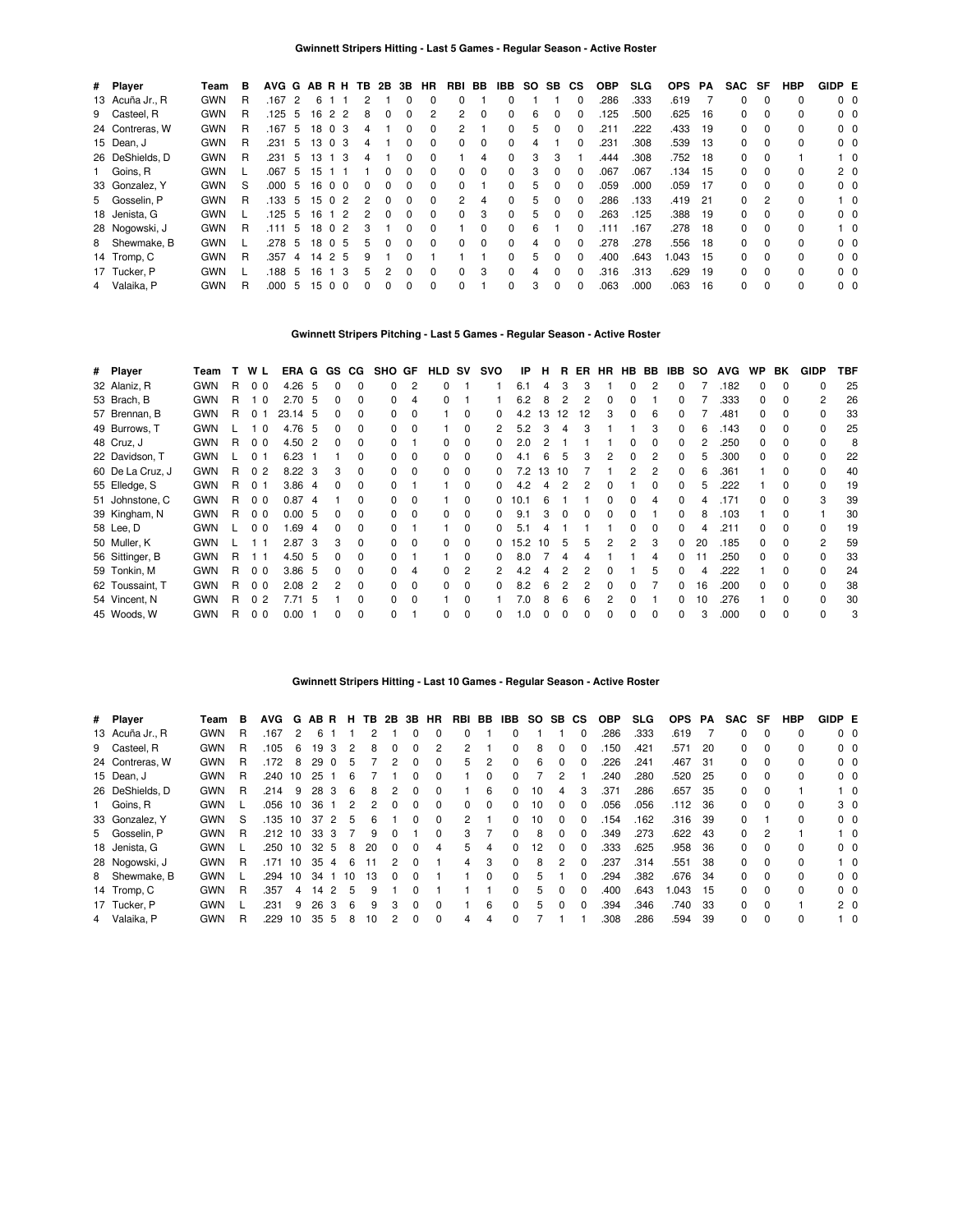| # Player        | Team       | в | AVG G AB R H TB 2B 3B |    |                 |                 |   |          |              | HR           | RBI BB         |          | IBB      | SO. | SB.          | СS           | <b>OBP</b> | <b>SLG</b> | <b>OPS</b> | PA   | SAC SF |          | <b>HBP</b>   | GIDP E |                |
|-----------------|------------|---|-----------------------|----|-----------------|-----------------|---|----------|--------------|--------------|----------------|----------|----------|-----|--------------|--------------|------------|------------|------------|------|--------|----------|--------------|--------|----------------|
| 13 Acuña Jr., R | <b>GWN</b> | R | .167                  | 2  | 6               |                 |   |          |              | $\Omega$     | 0              |          |          |     |              | 0            | .286       | .333       | .619       |      | 0      | $\Omega$ | 0            |        | 0 <sub>0</sub> |
| 9 Casteel, R    | <b>GWN</b> | R | .125                  | -5 | 16              | 2 2             | 8 |          | 0            | 2            | $\overline{2}$ | 0        | $\Omega$ | 6   | <sup>0</sup> | 0            | 125        | .500       | .625       | 16   | 0      | $\Omega$ | 0            |        | $0\quad 0$     |
| 24 Contreras, W | <b>GWN</b> | R | .167                  | 5  |                 | 18 0 3          |   | 4        |              | $\Omega$     | 2              |          |          | 5   |              | O            | 211        | .222       | .433       | - 19 | 0      | $\Omega$ | 0            |        | 0 <sub>0</sub> |
| 15 Dean, J      | <b>GWN</b> | R | .231                  | 5  | 13 <sub>0</sub> | -3              |   | 4        | 0            | $\Omega$     | 0              | 0        | $\Omega$ | 4   |              | <sup>0</sup> | .231       | .308       | .539       | - 13 | 0      | $\Omega$ | 0            |        | 0 <sub>0</sub> |
| 26 DeShields, D | <b>GWN</b> | R | .231                  | 5  | 13              | -3              |   |          |              | $\Omega$     |                | 4        |          | 3   | 3            |              | .444       | .308       | .752 18    |      | 0      | $\Omega$ |              |        | $1\quad 0$     |
| 1 Goins, R      | <b>GWN</b> |   | .067                  | 5  | 15              |                 |   |          |              | $\Omega$     | 0              | 0        | $\Omega$ | 3   | $\Omega$     | <sup>0</sup> | .067       | .067       | .134       | - 15 | 0      | $\Omega$ | 0            |        | 2 <sub>0</sub> |
| 33 Gonzalez, Y  | <b>GWN</b> | S | .000                  | 5  | 16              | 0 <sub>0</sub>  |   |          |              | <sup>0</sup> | <sup>0</sup>   |          |          | 5   |              | O            | .059       | .000       | .059       | - 17 | 0      | $\Omega$ | 0            |        | 0 <sub>0</sub> |
| 5 Gosselin, P   | <b>GWN</b> | R | .133                  | 5  |                 | 1502            |   | $\Omega$ | 0            | $\Omega$     | 2              | 4        | $\Omega$ | 5   | $\Omega$     | <sup>0</sup> | .286       | .133       | .419       | -21  | 0      | 2        | 0            |        | $1\quad$ 0     |
| 18 Jenista, G   | <b>GWN</b> |   | .125                  | -5 | 16              | 1 <sub>2</sub>  |   |          | $\Omega$     | $\Omega$     | <sup>0</sup>   | 3        | $\Omega$ | 5   | $\Omega$     | O            | .263       | .125       | .388       | - 19 | 0      | $\Omega$ | 0            |        | 0 <sub>0</sub> |
| 28 Nogowski, J  | <b>GWN</b> | R | .111                  | 5  | 18              | 0 <sub>2</sub>  | 3 |          | 0            | $\Omega$     |                | 0        | $\Omega$ | 6   |              | O            | .111       | .167       | .278       | -18  | 0      | $\Omega$ | <sup>0</sup> |        | $1\quad$ 0     |
| 8 Shewmake, B   | <b>GWN</b> |   | .278                  | 5  |                 | 18 0 5          |   | h.       | 0            | $\Omega$     | 0              | $\Omega$ |          | 4   |              | O            | 278        | .278       | .556       | -18  | 0      | $\Omega$ | 0            |        | $0\quad 0$     |
| 14 Tromp, C     | <b>GWN</b> | R | .357                  | 4  |                 | 1425            | 9 |          |              |              |                |          | $\Omega$ | 5   | $\Omega$     | <sup>0</sup> | .400       | .643       | .043       | - 15 | 0      | $\Omega$ | 0            |        | 0 <sub>0</sub> |
| 17 Tucker, P    | <b>GWN</b> |   | .188                  | -5 | 16              | 3               |   | 5        | <sup>0</sup> | $\Omega$     | 0              | 3        | $\Omega$ | 4   |              | $\Omega$     | .316       | .313       | .629       | 19   | 0      | $\Omega$ | 0            |        | $0\quad 0$     |
| 4 Valaika, P    | <b>GWN</b> | R | .000                  | 5  | 15              | $\Omega$<br>- 0 |   |          |              | $\Omega$     | 0              |          |          | 3   | $\Omega$     | <sup>0</sup> | .063       | .000       | .063       | 16   | 0      | $\Omega$ | 0            |        | $0\quad 0$     |

# **Gwinnett Stripers Pitching - Last 5 Games - Regular Season - Active Roster**

| # Player         | Team       | т  |                |      |    |                                                                                                                                                                     |              |                |                    |          | svo | IP     | н    | B. |    |   |               |           | IBB          | SO. | <b>AVG</b> | <b>WP</b> | BK           | <b>GIDP</b>    | TBF |
|------------------|------------|----|----------------|------|----|---------------------------------------------------------------------------------------------------------------------------------------------------------------------|--------------|----------------|--------------------|----------|-----|--------|------|----|----|---|---------------|-----------|--------------|-----|------------|-----------|--------------|----------------|-----|
| 32 Alaniz, R     | <b>GWN</b> | R  | 0 <sub>0</sub> |      |    | 0                                                                                                                                                                   | 0            | $\overline{2}$ | 0                  |          |     | 6.1    | 4    | 3  | 3  |   | 0             |           | 0            |     | .182       | 0         | $\Omega$     | <sup>0</sup>   | 25  |
| 53 Brach, B      | <b>GWN</b> | R  | 10             |      |    | 0                                                                                                                                                                   | 0            | 4              | 0                  |          |     | 6.2    | 8    | 2  | 2  | 0 |               |           |              |     | .333       | 0         | $\Omega$     | $\overline{2}$ | 26  |
| 57 Brennan, B    | <b>GWN</b> | R. | 01             |      |    | 0                                                                                                                                                                   | <sup>0</sup> | $\Omega$       |                    | $\Omega$ | 0   | 4.2    | 13   | 12 | 12 | 3 | <sup>0</sup>  | 6         |              |     | .481       | 0         | <sup>0</sup> | 0              | 33  |
| 49 Burrows, T    | <b>GWN</b> |    | 10             |      |    | 0                                                                                                                                                                   | <sup>0</sup> | $\Omega$       |                    | $\Omega$ | 2   | 5.2    | 3    | 4  | 3  |   |               |           |              | 6   | .143       | 0         | $\Omega$     | <sup>0</sup>   | 25  |
| 48 Cruz, J       | <b>GWN</b> | R  | 0 <sub>0</sub> |      |    | 0                                                                                                                                                                   | 0            |                | 0                  | $\Omega$ | 0   | 2.0    |      |    |    |   | o             |           |              |     | .250       | 0         | <sup>0</sup> | <sup>0</sup>   | 8   |
| 22 Davidson, T   | <b>GWN</b> |    | 0 <sub>1</sub> | 6.23 |    |                                                                                                                                                                     |              | $\Omega$       | 0                  | 0        |     |        | 6    | 5  | З  | 2 |               |           |              |     | .300       | 0         | $\Omega$     | $\Omega$       | 22  |
| 60 De La Cruz, J | <b>GWN</b> | R. | 0 <sub>2</sub> |      |    | 3                                                                                                                                                                   | 0            | $\Omega$       | <sup>0</sup>       | 0        |     | 72     | 13   | 10 |    |   |               |           |              |     | .361       |           | O            |                | 40  |
| 55 Elledge, S    | <b>GWN</b> | R. | 0 <sub>1</sub> |      | -4 |                                                                                                                                                                     | $\Omega$     |                |                    | $\Omega$ |     | 4.2    |      |    |    |   |               |           |              |     | 222        |           | <sup>n</sup> |                | 19  |
| 51 Johnstone, C  | <b>GWN</b> | R. | 0 <sub>0</sub> | 0.87 |    |                                                                                                                                                                     | <sup>0</sup> |                |                    | O        |     | 10.1   |      |    |    |   |               |           |              |     | .171       |           | <sup>0</sup> | 3              | 39  |
| 39 Kingham, N    | <b>GWN</b> | R  | 0 <sub>0</sub> |      |    |                                                                                                                                                                     | <sup>0</sup> | $\Omega$       | <sup>0</sup>       | O        |     | 9.1    |      |    |    |   |               |           |              |     | .103       |           |              |                | 30  |
| 58 Lee, D        | <b>GWN</b> |    | 0 <sub>0</sub> | 1.69 | -4 |                                                                                                                                                                     | <sup>0</sup> |                |                    | 0        |     | 5.1    |      |    |    |   |               |           |              |     | .211       |           |              |                | 19  |
| 50 Muller, K     | <b>GWN</b> |    |                |      |    | 3                                                                                                                                                                   | $\Omega$     | $\Omega$       | 0                  | 0        | 0   |        | 10   | 5  | 5  | 2 | $\mathcal{P}$ | 3         | 0            | 20  | .185       |           |              |                | 59  |
| 56 Sittinger, B  | <b>GWN</b> | R  | 1 1            |      |    | 0                                                                                                                                                                   | $\Omega$     |                |                    | 0        | 0   | 8.0    |      | 4  |    |   |               |           | <sup>0</sup> |     | .250       |           |              |                | 33  |
| 59 Tonkin, M     | <b>GWN</b> | R  | 0 <sub>0</sub> |      |    | 0                                                                                                                                                                   | $\Omega$     | 4              | 0                  | 2        |     | 4.2    |      |    | 2  |   |               |           | 0            |     | 222        |           | O            |                | 24  |
| 62 Toussaint, T  | <b>GWN</b> | R. | 0 <sub>0</sub> | 2.08 | -2 | 2                                                                                                                                                                   | $\Omega$     | $\Omega$       | 0                  | 0        |     | 8.2    | 6    | 2  | 2  | 0 |               |           | 0            | 16  | .200       | 0         | $\Omega$     |                | 38  |
| 54 Vincent, N    | <b>GWN</b> | R  | 0 <sub>2</sub> | 7.71 | -5 |                                                                                                                                                                     | $\Omega$     | $\Omega$       |                    | $\Omega$ |     | 7.0    | 8    | 6  | 6  | 2 |               |           | 0            | 10  | 276        |           | $\Omega$     | 0              | 30  |
| 45 Woods, W      | <b>GWN</b> | R  | 0 <sub>0</sub> | 0.00 |    | 0                                                                                                                                                                   | $\Omega$     |                | 0                  | $\Omega$ | 0   | 1.0    |      | 0  | 0  | n |               |           | <sup>0</sup> | 3   | .000       | 0         | $\Omega$     | $\Omega$       | 3   |
|                  |            |    |                | W L  |    | $4.26\quad 5$<br>2.70 <sub>5</sub><br>23.14 5<br>4.76 5<br>4.50<br>$\overline{2}$<br>$8.22 \quad 3$<br>3.86<br>-4<br>0.005<br>2.87 <sup>3</sup><br>4.50 5<br>3.86 5 |              |                | ERA G GS CG SHO GF |          |     | HLD SV | 15.2 |    |    |   | ER            | <b>HR</b> | HB BB        |     |            |           |              |                |     |

#### **Gwinnett Stripers Hitting - Last 10 Games - Regular Season - Active Roster**

| # Player        | Team       | в | <b>AVG</b> | G  | AB R |          | н             |    |              |              | <b>TB 2B 3B HR</b> | RBI            | BB       | IBB          | SO.               | SB.          | CS.      | <b>OBP</b> | <b>SLG</b> | <b>OPS</b> | PA  | SAC      | SF       | HBP          | GIDP E |                |
|-----------------|------------|---|------------|----|------|----------|---------------|----|--------------|--------------|--------------------|----------------|----------|--------------|-------------------|--------------|----------|------------|------------|------------|-----|----------|----------|--------------|--------|----------------|
| 13 Acuña Jr., R | <b>GWN</b> | R | .167       | 2  | ี    |          |               |    |              |              |                    |                |          |              |                   |              |          | .286       | .333       | .619       |     | 0        | $\Omega$ | 0            |        | $0\quad 0$     |
| 9 Casteel, R    | <b>GWN</b> | R | .105       | 6  | 19   | 3        | $\mathcal{P}$ | 8  | <sup>0</sup> | $\Omega$     | 2                  | $\overline{2}$ |          | 0            | 8                 | <sup>0</sup> |          | .150       | .421       | .571       | 20  | 0        | $\Omega$ | <sup>0</sup> |        | $0\quad 0$     |
| 24 Contreras, W | <b>GWN</b> | R | .172       | 8  | 29   | $\Omega$ | 5             |    |              | $\Omega$     | $\Omega$           | 5              | 2        | 0            | 6                 | $\Omega$     |          | .226       | .241       | .467       | -31 | 0        | $\Omega$ | <sup>0</sup> |        | $0\quad 0$     |
| 15 Dean, J      | <b>GWN</b> | R | .240       | 10 | 25   |          | 6             |    |              |              | $\Omega$           |                | 0        |              |                   |              |          | .240       | .280       | .520       | 25  | 0        | $\Omega$ | 0            |        | $0\quad 0$     |
| 26 DeShields, D | <b>GWN</b> | R | .214       | 9  | 28   | 3        | 6             | 8  |              |              |                    |                | 6        | 0            | 10                |              |          | .371       | .286       | .657       | 35  | 0        | $\Omega$ |              |        | $1\quad 0$     |
| 1 Goins, R      | <b>GWN</b> |   | .056       | 10 | 36   |          | 2             | 2  | O            |              | $\Omega$           | <sup>0</sup>   | $\Omega$ | <sup>0</sup> | 10                | <sup>0</sup> |          | .056       | .056       | .112       | 36  | 0        | $\Omega$ | <sup>0</sup> |        | 3 0            |
| 33 Gonzalez, Y  | <b>GWN</b> | S | .135       | 10 | 37   |          | 5             | 6  |              |              |                    | $\overline{2}$ |          | <sup>0</sup> | 10                | 0            |          | .154       | .162       | .316       | 39  | 0        |          | 0            |        | 0 <sub>0</sub> |
| 5 Gosselin, P   | <b>GWN</b> | R | .212       | 10 | 33   | 3        |               | 9  | O            |              | <sup>n</sup>       | 3              |          | 0            | 8                 | <sup>0</sup> |          | .349       | .273       | .622       | 43  | $\Omega$ | 2        |              |        | $1\quad$ 0     |
| 18 Jenista, G   | <b>GWN</b> |   | .250       | 10 | 32   | -5       | 8             | 20 | <sup>0</sup> |              | 4                  | 5.             | 4        |              | $12 \overline{ }$ | <sup>0</sup> |          | .333       | .625       | .958       | -36 | 0        | $\Omega$ | <sup>0</sup> |        | 0 <sub>0</sub> |
| 28 Nogowski, J  | <b>GWN</b> | R | .171       | 10 | 35   | 4        | 6             | 11 | 2            |              |                    | 4              | 3        | <sup>0</sup> | 8                 | 2            | U        | .237       | .314       | .551       | 38  | 0        | $\Omega$ | <sup>0</sup> |        | $1\quad$ 0     |
| 8 Shewmake, B   | <b>GWN</b> |   | .294       | 10 | 34 1 |          | 10            | 13 |              |              |                    |                | 0        | $\Omega$     | 5                 |              |          | .294       | .382       | .676       | 34  | 0        | $\Omega$ | 0            |        | 0 <sub>0</sub> |
| 14 Tromp, C     | <b>GWN</b> | R | .357       | 4  | 14   |          | 5             | 9  |              |              |                    |                |          | <sup>0</sup> | 5                 | $\Omega$     | $\Omega$ | .400       | .643       | .043       | 15  | 0        | $\Omega$ | <sup>0</sup> |        | 0 <sub>0</sub> |
| 17 Tucker, P    | <b>GWN</b> |   | .231       | 9  | 26   | 3        | 6             | 9  | 3            | <sup>n</sup> | $\Omega$           |                | 6        | $\Omega$     | 5                 | $\Omega$     |          | .394       | .346       | 740        | 33  | 0        | $\Omega$ |              |        | $2\quad0$      |
| 4 Valaika, P    | <b>GWN</b> | R | .229       | 10 | 35   | 5        | 8             | 10 | っ            |              | $\Omega$           | 4              | 4        |              |                   |              |          | .308       | .286       | .594       | 39  | 0        | $\Omega$ | 0            |        | $1\quad$ 0     |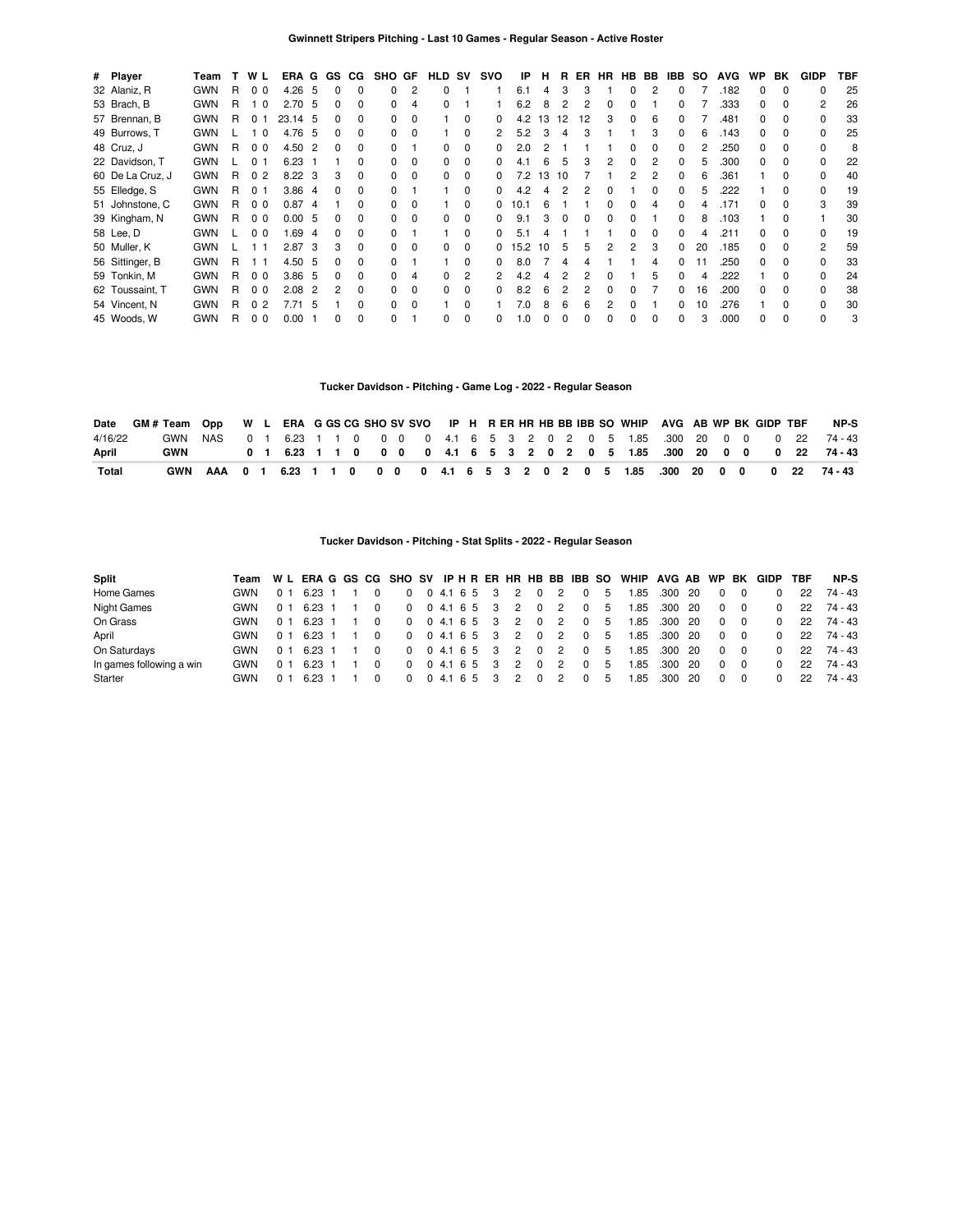| # Player         | Team       |    | W L            | ERA G GS          |                |          | CG.          | SHO GF |          | HLD SV       |          | svo          | IP   | н  | R. | ER | HR |              | HB BB | IBB.         | SO. | <b>AVG</b> | <b>WP</b>    | BK           | <b>GIDP</b>    | TBF |
|------------------|------------|----|----------------|-------------------|----------------|----------|--------------|--------|----------|--------------|----------|--------------|------|----|----|----|----|--------------|-------|--------------|-----|------------|--------------|--------------|----------------|-----|
| 32 Alaniz, R     | <b>GWN</b> | R  | 0 <sub>0</sub> | $4.26\quad 5$     |                | $\Omega$ | 0            |        | 2        | $\Omega$     |          |              | 6.1  | 4  | 3  | 3  |    | 0            | 2     | 0            |     | .182       | 0            | $\Omega$     | <sup>0</sup>   | 25  |
| 53 Brach, B      | <b>GWN</b> | R. | 10             | 2.70, 5           |                | 0        | 0            |        | 4        | 0            |          |              | 6.2  | 8  | 2  | 2  | 0  | o            |       |              |     | .333       | 0            | $\Omega$     | 2              | 26  |
| 57 Brennan, B    | <b>GWN</b> | R. | 0 <sub>1</sub> | 23.14 5           |                | n.       | <sup>0</sup> |        | $\Omega$ |              | 0        |              | 4.2  | 13 | 12 | 12 | 3  |              | 6     |              |     | .481       | O.           | $\Omega$     |                | 33  |
| 49 Burrows, T    | <b>GWN</b> |    | 1 ∩            | 4.76              | - 5            | 0        | <sup>0</sup> |        |          |              | 0        |              | 5.2  |    | 4  | З  |    |              |       |              |     | .143       | n.           | $\Omega$     |                | 25  |
| 48 Cruz, J       | <b>GWN</b> | R  | 0 <sub>0</sub> | 4.50              | -2             | 0        | <sup>0</sup> |        |          | O.           | $\Omega$ |              | 2.0  |    |    |    |    |              |       |              |     | .250       | <sup>n</sup> | $\Omega$     |                | 8   |
| 22 Davidson, T   | <b>GWN</b> |    | 0 1            | 6.23              |                |          | <sup>0</sup> |        | $\Omega$ | <sup>0</sup> | $\Omega$ |              | 4.1  | 6  |    | З  |    |              |       |              |     | .300       | <sup>n</sup> |              |                | 22  |
| 60 De La Cruz, J | <b>GWN</b> | R  | 0 <sub>2</sub> | $8.22 \quad 3$    |                | 3        | 0            |        | $\Omega$ | <sup>0</sup> | 0        |              | 7.2  | 13 | 10 |    |    |              |       |              |     | .361       |              |              |                | 40  |
| 55 Elledge, S    | <b>GWN</b> | R  | 0 <sub>1</sub> | 3.864             |                |          | 0            |        |          |              | $\Omega$ |              | 4.2  |    |    |    |    |              |       |              |     | 222        |              |              |                | 19  |
| 51 Johnstone, C  | <b>GWN</b> | R. | 0 <sub>0</sub> | 0.87              | -4             |          | 0            |        |          |              | 0        |              | 10.1 | 6  |    |    |    |              |       |              |     | .171       |              |              |                | 39  |
| 39 Kingham, N    | <b>GWN</b> | R. | 0 <sub>0</sub> | 0.005             |                |          | 0            |        | $\Omega$ | 0            | 0        |              | 9.1  |    | O  | 0  |    |              |       |              |     | .103       |              | O            |                | 30  |
| 58 Lee, D        | <b>GWN</b> |    | 0 <sub>0</sub> | 1.69              | 4              | 0        | 0            |        |          |              | $\Omega$ |              | 5.1  |    |    |    |    | <sup>n</sup> |       | <sup>0</sup> |     | .211       | <sup>0</sup> | $\Omega$     |                | 19  |
| 50 Muller, K     | <b>GWN</b> |    | 11             | 2.87              | -3             | 3        | $\Omega$     |        | $\Omega$ | $\Omega$     | $\Omega$ | 0            | 15.2 | 10 | 5  | 5  | 2  | 2            | 3     | 0            | 20  | .185       | 0            | $\Omega$     | $\overline{2}$ | 59  |
| 56 Sittinger, B  | <b>GWN</b> | R  | 11             | 4.50 5            |                | 0        | $\Omega$     |        |          |              | $\Omega$ | 0            | 8.0  |    | 4  |    |    |              | 4     | <sup>0</sup> |     | .250       | 0            | $\Omega$     | <sup>0</sup>   | 33  |
| 59 Tonkin, M     | <b>GWN</b> | R. | 0 <sub>0</sub> | 3.86 <sub>5</sub> |                | 0        | $\Omega$     |        | 4        | <sup>0</sup> | 2        | 2            | 4.2  |    |    | 2  | ŋ  |              | 5     | 0            |     | 222        |              | <sup>0</sup> | $\Omega$       | 24  |
| 62 Toussaint, T  | <b>GWN</b> | R  | 0 <sub>0</sub> | 2.08              | $\overline{2}$ | 2        | $\Omega$     |        | $\Omega$ | 0            | $\Omega$ | <sup>n</sup> | 8.2  | ĥ  | 2  | 2  | n  |              |       | <sup>0</sup> | 16  | .200       | U            | $\Omega$     | <sup>n</sup>   | 38  |
| 54 Vincent, N    | <b>GWN</b> | R  | 0 <sub>2</sub> | 7.71              | -5             |          | $\Omega$     |        | $\Omega$ |              | $\Omega$ |              | 7.0  | 8  | 6  | Բ  | 2  |              |       | <sup>n</sup> | 10  | 276        |              | <sup>n</sup> | U              | 30  |
| 45 Woods, W      | <b>GWN</b> | R  | 0 <sub>0</sub> | 0.00              |                |          | $\Omega$     |        |          | 0            | $\Omega$ | U            | .0   |    | ŋ  |    |    |              |       |              |     | .000       |              | $\Omega$     | <sup>0</sup>   | 3   |

### **Tucker Davidson - Pitching - Game Log - 2022 - Regular Season**

|         | Date GM # Team Opp W L ERA G GS CG SHO SV SVO IP H R ER HR HB BB IBB SO WHIP AVG AB WP BK GIDP TBF |  |  |  |  |  |  |  |  |  |  |  |  |  | NP-S                                                                                                     |
|---------|----------------------------------------------------------------------------------------------------|--|--|--|--|--|--|--|--|--|--|--|--|--|----------------------------------------------------------------------------------------------------------|
| 4/16/22 |                                                                                                    |  |  |  |  |  |  |  |  |  |  |  |  |  | GWN NAS  0  1  6.23  1  1  0  0  0  0  4.1  6  5  3  2  0  2  0  5  1.85  300  20  0  0  0  22  74  - 43 |
| April   | <b>GWN</b>                                                                                         |  |  |  |  |  |  |  |  |  |  |  |  |  | 0 1 6.23 1 1 0 0 0 0 4.1 6 5 3 2 0 2 0 5 1.85 .300 20 0 0 0 22 74-43                                     |
| Total   |                                                                                                    |  |  |  |  |  |  |  |  |  |  |  |  |  | GWN AAA 0 1 6.23 1 1 0 0 0 0 4.1 6 5 3 2 0 2 0 5 1.85 .300 20 0 0 0 22 74-43                             |

# **Tucker Davidson - Pitching - Stat Splits - 2022 - Regular Season**

| <b>Split</b>             |            |                |                |  |  |               |      |  |     |    |              |                |            |                | Team WL ERAGGS CG SHOSV IPHRER HRHBBBIBBSO WHIP AVGABWP |         |      |              | BK       | GIDP     | TBF | NP-S    |
|--------------------------|------------|----------------|----------------|--|--|---------------|------|--|-----|----|--------------|----------------|------------|----------------|---------------------------------------------------------|---------|------|--------------|----------|----------|-----|---------|
| Home Games               | GWN        | 0 <sub>1</sub> | 6.23 1         |  |  | $0 \t04.1653$ |      |  |     | 2  | 0            | $\overline{2}$ | $^{\circ}$ | 5              | 1.85                                                    | .300    | - 20 | $\Omega$     | $\Omega$ |          | 22  | 74 - 43 |
| Night Games              | GWN        | 0 <sub>1</sub> | 6.23 1         |  |  | $0 \t04.1653$ |      |  |     | 2  | $\Omega$     | $\overline{2}$ | $^{\circ}$ | 5              | 1.85                                                    | .300 20 |      | $\Omega$     | 0        |          | 22  | 74 - 43 |
| On Grass                 | GWN        | 0 <sub>1</sub> | 6.23 1         |  |  | 0 0 4.1 6 5 3 |      |  |     | 2  | $\Omega$     | -2             | $\Omega$   | 5              | 1.85                                                    | .300 20 |      | $\Omega$     | $\Omega$ |          | 22  | 74 - 43 |
| April                    | GWN        | 0 <sub>1</sub> | 6.23 1         |  |  | $0 \t04.1653$ |      |  |     | 2  | $\Omega$     | 2              | $^{\circ}$ | - 5            | 1.85                                                    | .300    | - 20 | $\Omega$     | $\Omega$ |          | 22  | 74 - 43 |
| On Saturdays             | <b>GWN</b> | 0 <sub>1</sub> | 6.23 1         |  |  | $0 \t04.1653$ |      |  |     | -2 | $\Omega$     | 2              |            | 0 <sub>5</sub> | 1.85                                                    | .300 20 |      | $\Omega$     | - 0      | $\Omega$ | 22  | 74 - 43 |
| In games following a win | GWN        | 0 <sub>1</sub> | $6.23 \quad 1$ |  |  | 0 0 4.1 6 5 3 |      |  |     | 2  | $\Omega$     | $\overline{2}$ | $\Omega$   | 5              | 1.85                                                    | .300    | -20  | $\Omega$     | $\Omega$ | $\Omega$ | 22  | 74 - 43 |
| Starter                  | GWN        | 0 <sub>1</sub> |                |  |  |               | 04.1 |  | 653 |    | <sup>0</sup> |                | 0          | $\mathbf b$    | .85                                                     | .300    | -20  | <sup>0</sup> | 0        | $\Omega$ | 22  | 74 - 43 |